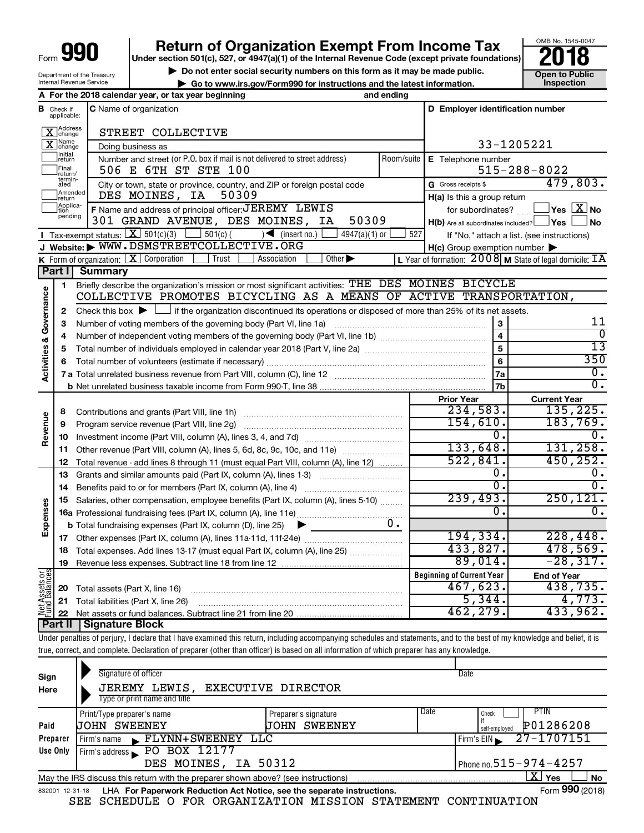| Form | qqr |  |
|------|-----|--|
|      |     |  |

# **990** Return of Organization Exempt From Income Tax **Punce 1845-004 Puncer section 501(c), 527, or 4947(a)(1)** of the Internal Revenue Code (except private foundations) **2018**

▶ Do not enter social security numbers on this form as it may be made public. <br>
inspection and the latest information. **Dependent in the latest information** inspection **| Go to www.irs.gov/Form990 for instructions and the latest information. Inspection**

OMB No. 1545-0047

Department of the Treasury Internal Revenue Service

|                                                                                                                |                               | A For the 2018 calendar year, or tax year beginning                                                                                                                        | and ending |                                                     |                                                             |
|----------------------------------------------------------------------------------------------------------------|-------------------------------|----------------------------------------------------------------------------------------------------------------------------------------------------------------------------|------------|-----------------------------------------------------|-------------------------------------------------------------|
|                                                                                                                | <b>B</b> Check if applicable: | C Name of organization                                                                                                                                                     |            | D Employer identification number                    |                                                             |
|                                                                                                                | X Address                     | STREET COLLECTIVE                                                                                                                                                          |            |                                                     |                                                             |
|                                                                                                                | X Change                      | Doing business as                                                                                                                                                          |            |                                                     | 33-1205221                                                  |
|                                                                                                                | Initial<br>return             | Number and street (or P.O. box if mail is not delivered to street address)                                                                                                 | Room/suite | E Telephone number                                  |                                                             |
|                                                                                                                | Final<br> return/             | 506 E 6TH ST STE 100                                                                                                                                                       |            |                                                     | $515 - 288 - 8022$                                          |
|                                                                                                                | termin-<br>ated               | City or town, state or province, country, and ZIP or foreign postal code                                                                                                   |            | G Gross receipts \$                                 | 479,803.                                                    |
|                                                                                                                | Amended<br>return             | 50309<br>DES MOINES, IA                                                                                                                                                    |            | H(a) Is this a group return                         |                                                             |
|                                                                                                                | Applica-<br>Ition<br>pending  | F Name and address of principal officer: JEREMY LEWIS                                                                                                                      |            | for subordinates?                                   | $\Box$ Yes $\Box X$ No                                      |
|                                                                                                                |                               | 50309<br>301 GRAND AVENUE, DES MOINES, IA                                                                                                                                  |            | $H(b)$ Are all subordinates included? $\Box$ Yes    | ⊿ No                                                        |
|                                                                                                                |                               | Tax-exempt status: $X \sim 501(c)(3)$ 1 $501(c)($<br>$\sqrt{\frac{1}{1}}$ (insert no.)<br>$4947(a)(1)$ or                                                                  | 527        |                                                     | If "No," attach a list. (see instructions)                  |
|                                                                                                                |                               | J Website: WWW.DSMSTREETCOLLECTIVE.ORG                                                                                                                                     |            | $H(c)$ Group exemption number $\blacktriangleright$ |                                                             |
|                                                                                                                |                               | K Form of organization: $X$ Corporation<br>Trust<br>Other $\blacktriangleright$<br>Association                                                                             |            |                                                     | L Year of formation: $2008$ M State of legal domicile: $TA$ |
|                                                                                                                | Part I                        | <b>Summary</b>                                                                                                                                                             |            |                                                     |                                                             |
|                                                                                                                | 1                             | Briefly describe the organization's mission or most significant activities: THE DES MOINES BICYCLE                                                                         |            |                                                     |                                                             |
| Governance                                                                                                     |                               | COLLECTIVE PROMOTES BICYCLING AS A MEANS OF ACTIVE TRANSPORTATION,                                                                                                         |            |                                                     |                                                             |
|                                                                                                                | 2                             | Check this box $\blacktriangleright \Box$ if the organization discontinued its operations or disposed of more than 25% of its net assets.                                  |            |                                                     |                                                             |
|                                                                                                                | 3                             |                                                                                                                                                                            |            | 3                                                   | 11                                                          |
|                                                                                                                | 4                             |                                                                                                                                                                            |            | $\overline{4}$                                      | 0                                                           |
|                                                                                                                | 5                             |                                                                                                                                                                            |            | $\overline{5}$                                      | $\overline{13}$                                             |
| <b>Activities &amp;</b>                                                                                        | 6                             |                                                                                                                                                                            |            | $6\phantom{a}$                                      | 350                                                         |
|                                                                                                                |                               |                                                                                                                                                                            |            | <b>7a</b>                                           | $0$ .<br>0.                                                 |
|                                                                                                                |                               |                                                                                                                                                                            |            | <b>7b</b>                                           |                                                             |
|                                                                                                                |                               |                                                                                                                                                                            |            |                                                     | <b>Current Year</b><br>135, 225.                            |
|                                                                                                                |                               |                                                                                                                                                                            |            |                                                     | 183, 769.                                                   |
| <b>Prior Year</b><br>234,583.<br>8<br>Revenue<br>154,610.<br>9<br>Program service revenue (Part VIII, line 2g) | О.                            | 0.                                                                                                                                                                         |            |                                                     |                                                             |
|                                                                                                                | 10                            |                                                                                                                                                                            |            | 133,648.                                            | 131, 258.                                                   |
|                                                                                                                | 11                            | Other revenue (Part VIII, column (A), lines 5, 6d, 8c, 9c, 10c, and 11e)                                                                                                   |            | 522,841.                                            | 450, 252.                                                   |
|                                                                                                                | 12                            | Total revenue - add lines 8 through 11 (must equal Part VIII, column (A), line 12)                                                                                         |            | О.                                                  | 0.                                                          |
|                                                                                                                | 13                            | Grants and similar amounts paid (Part IX, column (A), lines 1-3)                                                                                                           |            | σ.                                                  | 0.                                                          |
|                                                                                                                | 14                            | Salaries, other compensation, employee benefits (Part IX, column (A), lines 5-10)                                                                                          |            | 239,493.                                            | 250, 121.                                                   |
| Expenses                                                                                                       | 15                            |                                                                                                                                                                            |            | 0.                                                  | 0.                                                          |
|                                                                                                                |                               | <b>b</b> Total fundraising expenses (Part IX, column (D), line 25)<br>▶                                                                                                    | $0$ .      |                                                     |                                                             |
|                                                                                                                | 17                            |                                                                                                                                                                            |            | 194, 334.                                           | 228,448.                                                    |
|                                                                                                                | 18                            | Total expenses. Add lines 13-17 (must equal Part IX, column (A), line 25)                                                                                                  |            | 433,827.                                            | 478,569.                                                    |
|                                                                                                                | 19                            |                                                                                                                                                                            |            | 89,014.                                             | $-28, 317.$                                                 |
|                                                                                                                |                               |                                                                                                                                                                            |            | <b>Beginning of Current Year</b>                    | <b>End of Year</b>                                          |
| Net Assets or                                                                                                  | 20                            | Total assets (Part X, line 16)                                                                                                                                             |            | 467,623.                                            | 438,735.                                                    |
|                                                                                                                | 21                            | Total liabilities (Part X, line 26)                                                                                                                                        |            | 5,344.                                              | 4,773.                                                      |
|                                                                                                                | 22                            |                                                                                                                                                                            |            | 462,279.                                            | 433,962.                                                    |
|                                                                                                                | <b>Part II</b>                | <b>Signature Block</b>                                                                                                                                                     |            |                                                     |                                                             |
|                                                                                                                |                               | Under penalties of perjury, I declare that I have examined this return, including accompanying schedules and statements, and to the best of my knowledge and belief, it is |            |                                                     |                                                             |
|                                                                                                                |                               | true, correct, and complete. Declaration of preparer (other than officer) is based on all information of which preparer has any knowledge.                                 |            |                                                     |                                                             |

| Sign<br>Here    | Signature of officer<br>LEWIS,<br><b>JEREMY</b><br>Type or print name and title                      | EXECUTIVE DIRECTOR                                    |      | Date                                        |  |
|-----------------|------------------------------------------------------------------------------------------------------|-------------------------------------------------------|------|---------------------------------------------|--|
| Paid            | Print/Type preparer's name<br><b>JOHN SWEENEY</b>                                                    | Preparer's signature<br><b>SWEENEY</b><br><b>UOHN</b> | Date | PTIN<br>Check<br>P01286208<br>self-emploved |  |
| Preparer        | FLYNN+SWEENEY LLC<br>Firm's name                                                                     |                                                       |      | 27-1707151<br>Firm's $EIN$                  |  |
| Use Only        | Firm's address PO BOX 12177                                                                          |                                                       |      |                                             |  |
|                 | DES MOINES, IA 50312                                                                                 |                                                       |      | Phone no. $515 - 974 - 4257$                |  |
|                 | x.<br>Yes<br>No<br>May the IRS discuss this return with the preparer shown above? (see instructions) |                                                       |      |                                             |  |
| 832001 12-31-18 | LHA For Paperwork Reduction Act Notice, see the separate instructions.                               |                                                       |      | Form 990 (2018)                             |  |

SEE SCHEDULE O FOR ORGANIZATION MISSION STATEMENT CONTINUATION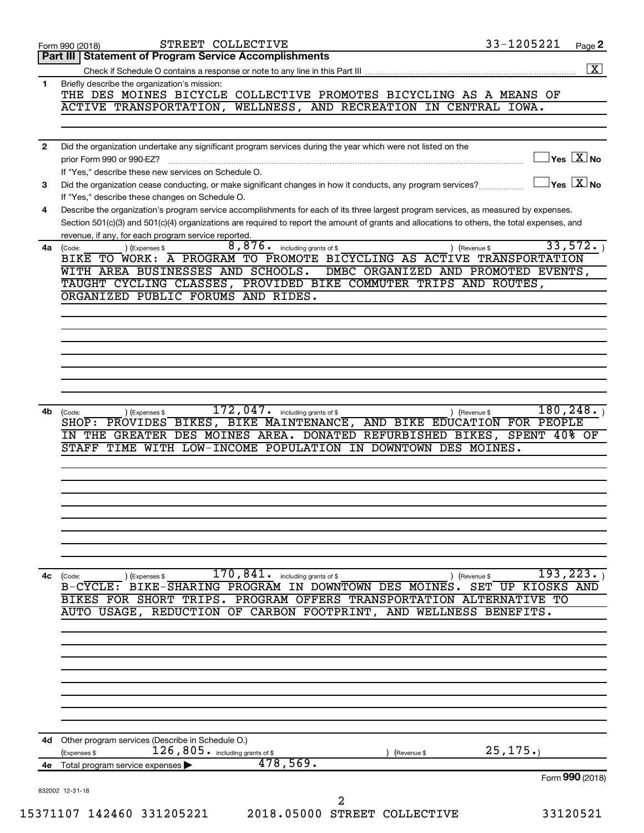|              | STREET COLLECTIVE<br>Form 990 (2018)                                                                                                         | 33-1205221<br>Page 2                    |
|--------------|----------------------------------------------------------------------------------------------------------------------------------------------|-----------------------------------------|
|              | Part III   Statement of Program Service Accomplishments                                                                                      |                                         |
|              |                                                                                                                                              |                                         |
| 1.           | Briefly describe the organization's mission:<br>THE DES MOINES BICYCLE COLLECTIVE PROMOTES BICYCLING AS A MEANS OF                           |                                         |
|              | ACTIVE TRANSPORTATION, WELLNESS, AND RECREATION IN CENTRAL IOWA.                                                                             |                                         |
|              |                                                                                                                                              |                                         |
|              |                                                                                                                                              |                                         |
| $\mathbf{2}$ | Did the organization undertake any significant program services during the year which were not listed on the                                 |                                         |
|              | prior Form 990 or 990-EZ?                                                                                                                    | $\Box$ Yes $[\overline{\mathrm{X}}]$ No |
|              | If "Yes," describe these new services on Schedule O.                                                                                         |                                         |
| 3            | Did the organization cease conducting, or make significant changes in how it conducts, any program services?                                 | $\Box$ Yes $[\overline{\mathrm{X}}]$ No |
|              | If "Yes," describe these changes on Schedule O.                                                                                              |                                         |
| 4            | Describe the organization's program service accomplishments for each of its three largest program services, as measured by expenses.         |                                         |
|              | Section 501(c)(3) and 501(c)(4) organizations are required to report the amount of grants and allocations to others, the total expenses, and |                                         |
|              | revenue, if any, for each program service reported.                                                                                          |                                         |
| 4a           | $8,876$ . including grants of \$<br>) (Expenses \$<br>(Code:                                                                                 | 33,572.<br>(Revenue \$                  |
|              | BIKE TO WORK: A PROGRAM TO PROMOTE BICYCLING AS ACTIVE TRANSPORTATION<br>WITH AREA BUSINESSES AND SCHOOLS.                                   | DMBC ORGANIZED AND PROMOTED EVENTS,     |
|              | TAUGHT CYCLING CLASSES, PROVIDED BIKE COMMUTER TRIPS AND ROUTES,                                                                             |                                         |
|              | ORGANIZED PUBLIC FORUMS AND RIDES.                                                                                                           |                                         |
|              |                                                                                                                                              |                                         |
|              |                                                                                                                                              |                                         |
|              |                                                                                                                                              |                                         |
|              |                                                                                                                                              |                                         |
|              |                                                                                                                                              |                                         |
|              |                                                                                                                                              |                                         |
|              |                                                                                                                                              |                                         |
|              |                                                                                                                                              |                                         |
|              |                                                                                                                                              |                                         |
| 4b           | $172, 047$ . including grants of \$<br>(Expenses \$<br>(Code:                                                                                | 180, 248.<br>) (Revenue \$              |
|              | SHOP: PROVIDES BIKES, BIKE MAINTENANCE, AND BIKE EDUCATION FOR PEOPLE                                                                        |                                         |
|              | IN THE GREATER DES MOINES AREA. DONATED REFURBISHED BIKES, SPENT 40% OF                                                                      |                                         |
|              | STAFF TIME WITH LOW-INCOME POPULATION IN DOWNTOWN DES MOINES.                                                                                |                                         |
|              |                                                                                                                                              |                                         |
|              |                                                                                                                                              |                                         |
|              |                                                                                                                                              |                                         |
|              |                                                                                                                                              |                                         |
|              |                                                                                                                                              |                                         |
|              |                                                                                                                                              |                                         |
|              |                                                                                                                                              |                                         |
|              |                                                                                                                                              |                                         |
|              |                                                                                                                                              |                                         |
| 4c           | 170,841.<br>including grants of \$<br>(Code:<br>) (Expenses \$                                                                               | 193, 223.<br>(Revenue \$                |
|              | BIKE-SHARING PROGRAM IN DOWNTOWN DES MOINES.<br>$B-CYCLE:$                                                                                   | SET UP KIOSKS AND                       |
|              | BIKES FOR SHORT TRIPS. PROGRAM OFFERS TRANSPORTATION ALTERNATIVE TO                                                                          |                                         |
|              | AUTO USAGE, REDUCTION OF CARBON FOOTPRINT, AND WELLNESS BENEFITS.                                                                            |                                         |
|              |                                                                                                                                              |                                         |
|              |                                                                                                                                              |                                         |
|              |                                                                                                                                              |                                         |
|              |                                                                                                                                              |                                         |
|              |                                                                                                                                              |                                         |
|              |                                                                                                                                              |                                         |
|              |                                                                                                                                              |                                         |
|              |                                                                                                                                              |                                         |
|              |                                                                                                                                              |                                         |
|              | 4d Other program services (Describe in Schedule O.)                                                                                          |                                         |
|              | $126, 805$ . including grants of \$<br>(Expenses \$<br>(Revenue \$                                                                           | 25, 175.                                |
| 4е           | 478,569.<br>Total program service expenses                                                                                                   |                                         |
|              |                                                                                                                                              | Form 990 (2018)                         |
|              | 832002 12-31-18                                                                                                                              |                                         |
|              | 2                                                                                                                                            |                                         |
|              | 15371107 142460 331205221<br>2018.05000 STREET COLLECTIVE                                                                                    | 33120521                                |
|              |                                                                                                                                              |                                         |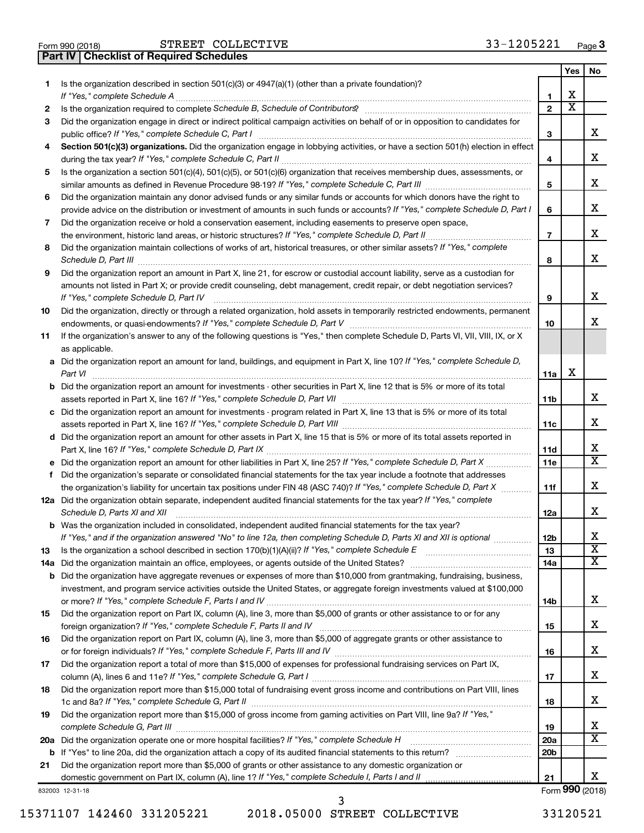| Form 990 (2018) |  |  |
|-----------------|--|--|

**Part IV Checklist of Required Schedules**

Form 990 (2018)  $\begin{array}{cccc} \text{STREET} & \text{COLLECTIVE} \end{array}$  33–1205221  $_{\text{Page}}$ 

|        |                                                                                                                                      |                   | Yes                     | No                      |
|--------|--------------------------------------------------------------------------------------------------------------------------------------|-------------------|-------------------------|-------------------------|
| 1      | Is the organization described in section 501(c)(3) or 4947(a)(1) (other than a private foundation)?                                  |                   | X                       |                         |
|        |                                                                                                                                      | 1<br>$\mathbf{2}$ | $\overline{\textbf{x}}$ |                         |
| 2<br>З | Did the organization engage in direct or indirect political campaign activities on behalf of or in opposition to candidates for      |                   |                         |                         |
|        |                                                                                                                                      | 3                 |                         | х                       |
| 4      | Section 501(c)(3) organizations. Did the organization engage in lobbying activities, or have a section 501(h) election in effect     |                   |                         |                         |
|        |                                                                                                                                      | 4                 |                         | x                       |
| 5      | Is the organization a section 501(c)(4), 501(c)(5), or 501(c)(6) organization that receives membership dues, assessments, or         |                   |                         |                         |
|        |                                                                                                                                      | 5                 |                         | x                       |
| 6      | Did the organization maintain any donor advised funds or any similar funds or accounts for which donors have the right to            |                   |                         |                         |
|        | provide advice on the distribution or investment of amounts in such funds or accounts? If "Yes," complete Schedule D, Part I         | 6                 |                         | x                       |
| 7      | Did the organization receive or hold a conservation easement, including easements to preserve open space,                            |                   |                         |                         |
|        |                                                                                                                                      | $\overline{7}$    |                         | X                       |
| 8      | Did the organization maintain collections of works of art, historical treasures, or other similar assets? If "Yes," complete         |                   |                         |                         |
|        |                                                                                                                                      | 8                 |                         | х                       |
| 9      | Did the organization report an amount in Part X, line 21, for escrow or custodial account liability, serve as a custodian for        |                   |                         |                         |
|        | amounts not listed in Part X; or provide credit counseling, debt management, credit repair, or debt negotiation services?            |                   |                         |                         |
|        |                                                                                                                                      | 9                 |                         | х                       |
| 10     | Did the organization, directly or through a related organization, hold assets in temporarily restricted endowments, permanent        |                   |                         |                         |
|        |                                                                                                                                      | 10                |                         | x                       |
| 11     | If the organization's answer to any of the following questions is "Yes," then complete Schedule D, Parts VI, VII, VIII, IX, or X     |                   |                         |                         |
|        | as applicable.                                                                                                                       |                   |                         |                         |
|        | a Did the organization report an amount for land, buildings, and equipment in Part X, line 10? If "Yes," complete Schedule D,        |                   |                         |                         |
|        |                                                                                                                                      | 11a               | X                       |                         |
|        | <b>b</b> Did the organization report an amount for investments - other securities in Part X, line 12 that is 5% or more of its total |                   |                         | x                       |
|        |                                                                                                                                      | 11 <sub>b</sub>   |                         |                         |
|        | c Did the organization report an amount for investments - program related in Part X, line 13 that is 5% or more of its total         | 11c               |                         | х                       |
|        | d Did the organization report an amount for other assets in Part X, line 15 that is 5% or more of its total assets reported in       |                   |                         |                         |
|        |                                                                                                                                      | 11d               |                         | х                       |
|        |                                                                                                                                      | 11e               |                         | $\overline{\textbf{X}}$ |
|        | f Did the organization's separate or consolidated financial statements for the tax year include a footnote that addresses            |                   |                         |                         |
|        | the organization's liability for uncertain tax positions under FIN 48 (ASC 740)? If "Yes," complete Schedule D, Part X               | 11f               |                         | х                       |
|        | 12a Did the organization obtain separate, independent audited financial statements for the tax year? If "Yes," complete              |                   |                         |                         |
|        | Schedule D, Parts XI and XII                                                                                                         | 12a               |                         | x                       |
|        | <b>b</b> Was the organization included in consolidated, independent audited financial statements for the tax year?                   |                   |                         |                         |
|        | If "Yes," and if the organization answered "No" to line 12a, then completing Schedule D, Parts XI and XII is optional                | 12 <sub>b</sub>   |                         | х                       |
| 13     |                                                                                                                                      | 13                |                         | $\overline{\mathbf{X}}$ |
|        |                                                                                                                                      | 14a               |                         | х                       |
|        | <b>b</b> Did the organization have aggregate revenues or expenses of more than \$10,000 from grantmaking, fundraising, business,     |                   |                         |                         |
|        | investment, and program service activities outside the United States, or aggregate foreign investments valued at \$100,000           |                   |                         |                         |
|        |                                                                                                                                      | 14b               |                         | x                       |
| 15     | Did the organization report on Part IX, column (A), line 3, more than \$5,000 of grants or other assistance to or for any            |                   |                         | x                       |
|        |                                                                                                                                      | 15                |                         |                         |
| 16     | Did the organization report on Part IX, column (A), line 3, more than \$5,000 of aggregate grants or other assistance to             | 16                |                         | x                       |
| 17     | Did the organization report a total of more than \$15,000 of expenses for professional fundraising services on Part IX,              |                   |                         |                         |
|        |                                                                                                                                      | 17                |                         | x                       |
| 18     | Did the organization report more than \$15,000 total of fundraising event gross income and contributions on Part VIII, lines         |                   |                         |                         |
|        |                                                                                                                                      | 18                |                         | х                       |
| 19     | Did the organization report more than \$15,000 of gross income from gaming activities on Part VIII, line 9a? If "Yes,"               |                   |                         |                         |
|        |                                                                                                                                      | 19                |                         | х                       |
|        |                                                                                                                                      | 20a               |                         | X                       |
|        |                                                                                                                                      | 20b               |                         |                         |
| 21     | Did the organization report more than \$5,000 of grants or other assistance to any domestic organization or                          |                   |                         |                         |
|        |                                                                                                                                      | 21                |                         | x                       |
|        | 832003 12-31-18                                                                                                                      |                   |                         | Form 990 (2018)         |

15371107 142460 331205221 2018.05000 STREET COLLECTIVE 33120521 3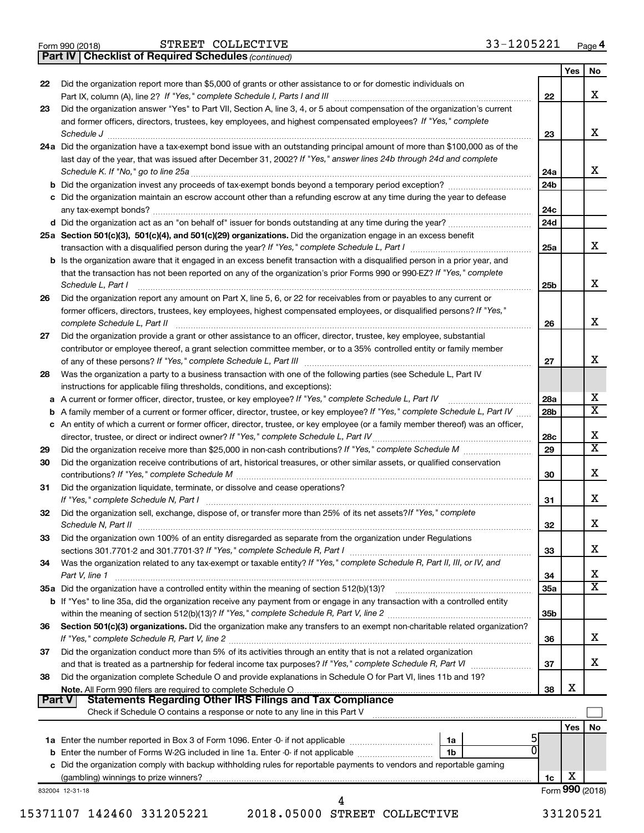|  | Form 990 (2018) |  |
|--|-----------------|--|
|  |                 |  |

**Part IV Checklist of Required Schedules**

STREET COLLECTIVE 33-1205221

*(continued)*

|        |                                                                                                                                                                                                                                                                 |                        | Yes | No                      |
|--------|-----------------------------------------------------------------------------------------------------------------------------------------------------------------------------------------------------------------------------------------------------------------|------------------------|-----|-------------------------|
| 22     | Did the organization report more than \$5,000 of grants or other assistance to or for domestic individuals on                                                                                                                                                   |                        |     |                         |
|        |                                                                                                                                                                                                                                                                 | 22                     |     | x                       |
| 23     | Did the organization answer "Yes" to Part VII, Section A, line 3, 4, or 5 about compensation of the organization's current                                                                                                                                      |                        |     |                         |
|        | and former officers, directors, trustees, key employees, and highest compensated employees? If "Yes," complete                                                                                                                                                  |                        |     | x                       |
|        | Schedule J<br>24a Did the organization have a tax-exempt bond issue with an outstanding principal amount of more than \$100,000 as of the                                                                                                                       | 23                     |     |                         |
|        | last day of the year, that was issued after December 31, 2002? If "Yes," answer lines 24b through 24d and complete                                                                                                                                              |                        |     |                         |
|        |                                                                                                                                                                                                                                                                 | 24a                    |     | x                       |
|        |                                                                                                                                                                                                                                                                 | 24 <sub>b</sub>        |     |                         |
|        | c Did the organization maintain an escrow account other than a refunding escrow at any time during the year to defease                                                                                                                                          |                        |     |                         |
|        | any tax-exempt bonds?                                                                                                                                                                                                                                           | 24c                    |     |                         |
|        |                                                                                                                                                                                                                                                                 | 24d                    |     |                         |
|        | 25a Section 501(c)(3), 501(c)(4), and 501(c)(29) organizations. Did the organization engage in an excess benefit                                                                                                                                                |                        |     |                         |
|        |                                                                                                                                                                                                                                                                 | 25a                    |     | x                       |
|        | b Is the organization aware that it engaged in an excess benefit transaction with a disqualified person in a prior year, and                                                                                                                                    |                        |     |                         |
|        | that the transaction has not been reported on any of the organization's prior Forms 990 or 990-EZ? If "Yes," complete                                                                                                                                           |                        |     |                         |
|        | Schedule L, Part I                                                                                                                                                                                                                                              | 25b                    |     | х                       |
| 26     | Did the organization report any amount on Part X, line 5, 6, or 22 for receivables from or payables to any current or                                                                                                                                           |                        |     |                         |
|        | former officers, directors, trustees, key employees, highest compensated employees, or disqualified persons? If "Yes,"                                                                                                                                          |                        |     |                         |
|        | complete Schedule L, Part II                                                                                                                                                                                                                                    | 26                     |     | x                       |
| 27     | Did the organization provide a grant or other assistance to an officer, director, trustee, key employee, substantial                                                                                                                                            |                        |     |                         |
|        | contributor or employee thereof, a grant selection committee member, or to a 35% controlled entity or family member                                                                                                                                             |                        |     |                         |
|        |                                                                                                                                                                                                                                                                 | 27                     |     | x                       |
| 28     | Was the organization a party to a business transaction with one of the following parties (see Schedule L, Part IV                                                                                                                                               |                        |     |                         |
|        | instructions for applicable filing thresholds, conditions, and exceptions):                                                                                                                                                                                     |                        |     | х                       |
| a      | A current or former officer, director, trustee, or key employee? If "Yes," complete Schedule L, Part IV                                                                                                                                                         | 28a<br>28 <sub>b</sub> |     | $\overline{\textbf{X}}$ |
| b      | A family member of a current or former officer, director, trustee, or key employee? If "Yes," complete Schedule L, Part IV<br>c An entity of which a current or former officer, director, trustee, or key employee (or a family member thereof) was an officer, |                        |     |                         |
|        | director, trustee, or direct or indirect owner? If "Yes," complete Schedule L, Part IV                                                                                                                                                                          | 28c                    |     | х                       |
| 29     |                                                                                                                                                                                                                                                                 | 29                     |     | X                       |
| 30     | Did the organization receive contributions of art, historical treasures, or other similar assets, or qualified conservation                                                                                                                                     |                        |     |                         |
|        |                                                                                                                                                                                                                                                                 | 30                     |     | х                       |
| 31     | Did the organization liquidate, terminate, or dissolve and cease operations?                                                                                                                                                                                    |                        |     |                         |
|        | If "Yes," complete Schedule N, Part I                                                                                                                                                                                                                           | 31                     |     | х                       |
| 32     | Did the organization sell, exchange, dispose of, or transfer more than 25% of its net assets? If "Yes," complete                                                                                                                                                |                        |     |                         |
|        | Schedule N, Part II                                                                                                                                                                                                                                             | 32                     |     | х                       |
| 33     | Did the organization own 100% of an entity disregarded as separate from the organization under Regulations                                                                                                                                                      |                        |     |                         |
|        |                                                                                                                                                                                                                                                                 | 33                     |     | х                       |
| 34     | Was the organization related to any tax-exempt or taxable entity? If "Yes," complete Schedule R, Part II, III, or IV, and                                                                                                                                       |                        |     |                         |
|        | Part V, line 1                                                                                                                                                                                                                                                  | 34                     |     | х                       |
|        |                                                                                                                                                                                                                                                                 | 35a                    |     | $\overline{\text{X}}$   |
|        | b If "Yes" to line 35a, did the organization receive any payment from or engage in any transaction with a controlled entity                                                                                                                                     |                        |     |                         |
|        |                                                                                                                                                                                                                                                                 | 35 <sub>b</sub>        |     |                         |
| 36     | Section 501(c)(3) organizations. Did the organization make any transfers to an exempt non-charitable related organization?                                                                                                                                      | 36                     |     | х                       |
| 37     | Did the organization conduct more than 5% of its activities through an entity that is not a related organization                                                                                                                                                |                        |     |                         |
|        | and that is treated as a partnership for federal income tax purposes? If "Yes," complete Schedule R, Part VI                                                                                                                                                    | 37                     |     | x.                      |
| 38     | Did the organization complete Schedule O and provide explanations in Schedule O for Part VI, lines 11b and 19?                                                                                                                                                  |                        |     |                         |
|        |                                                                                                                                                                                                                                                                 | 38                     | X   |                         |
| Part V | <b>Statements Regarding Other IRS Filings and Tax Compliance</b>                                                                                                                                                                                                |                        |     |                         |
|        | Check if Schedule O contains a response or note to any line in this Part V                                                                                                                                                                                      |                        |     |                         |
|        |                                                                                                                                                                                                                                                                 |                        | Yes | No                      |
|        | 1a                                                                                                                                                                                                                                                              |                        |     |                         |
|        | <b>b</b> Enter the number of Forms W-2G included in line 1a. Enter -0- if not applicable<br>1b                                                                                                                                                                  |                        |     |                         |
|        | c Did the organization comply with backup withholding rules for reportable payments to vendors and reportable gaming                                                                                                                                            |                        |     |                         |
|        |                                                                                                                                                                                                                                                                 | 1c                     | х   |                         |
|        | 832004 12-31-18                                                                                                                                                                                                                                                 |                        |     | Form 990 (2018)         |
|        | 4                                                                                                                                                                                                                                                               |                        |     |                         |

15371107 142460 331205221 2018.05000 STREET COLLECTIVE 33120521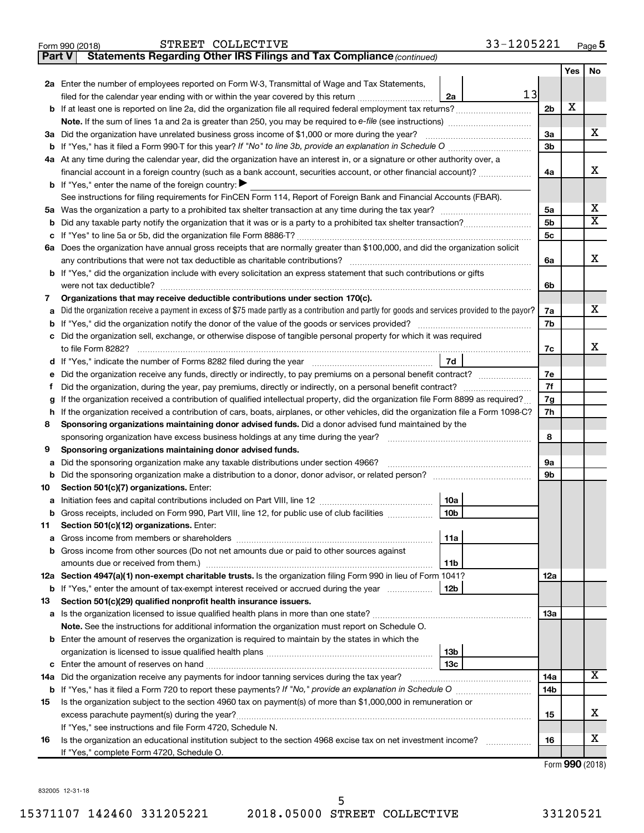| Form 990 (2018) | COLLECTIVE<br><b>STREET</b> | , , , , , , ,<br>1205221<br>$P$ age $\sim$ |
|-----------------|-----------------------------|--------------------------------------------|
|-----------------|-----------------------------|--------------------------------------------|

| <b>Yes</b><br>No<br>2a Enter the number of employees reported on Form W-3, Transmittal of Wage and Tax Statements,<br>13<br>filed for the calendar year ending with or within the year covered by this return<br>2a<br>X<br>2 <sub>b</sub><br>If at least one is reported on line 2a, did the organization file all required federal employment tax returns?<br>b<br>x<br>Did the organization have unrelated business gross income of \$1,000 or more during the year?<br>За<br>За<br>3 <sub>b</sub><br>4a At any time during the calendar year, did the organization have an interest in, or a signature or other authority over, a<br>X<br>financial account in a foreign country (such as a bank account, securities account, or other financial account)?<br>4a<br><b>b</b> If "Yes," enter the name of the foreign country: $\blacktriangleright$<br>See instructions for filing requirements for FinCEN Form 114, Report of Foreign Bank and Financial Accounts (FBAR).<br>Χ<br>5a<br>5a<br>$\overline{\textbf{X}}$<br>5 <sub>b</sub><br>b<br>5 <sub>c</sub><br>c<br>6a Does the organization have annual gross receipts that are normally greater than \$100,000, and did the organization solicit<br>x<br>any contributions that were not tax deductible as charitable contributions?<br>6a<br>If "Yes," did the organization include with every solicitation an express statement that such contributions or gifts<br>b<br>were not tax deductible?<br>6b<br>Organizations that may receive deductible contributions under section 170(c).<br>7<br>x<br>Did the organization receive a payment in excess of \$75 made partly as a contribution and partly for goods and services provided to the payor?<br>7a<br>a<br>7b<br>b<br>Did the organization sell, exchange, or otherwise dispose of tangible personal property for which it was required<br>c<br>x<br>to file Form 8282?<br>7c<br>7d<br>If "Yes," indicate the number of Forms 8282 filed during the year manufacture intervent controller<br>d<br>7e<br>е<br>7f<br>Did the organization, during the year, pay premiums, directly or indirectly, on a personal benefit contract?<br>If the organization received a contribution of qualified intellectual property, did the organization file Form 8899 as required?<br>7g<br>g<br>If the organization received a contribution of cars, boats, airplanes, or other vehicles, did the organization file a Form 1098-C?<br>7h<br>h<br>Sponsoring organizations maintaining donor advised funds. Did a donor advised fund maintained by the<br>8<br>8<br>Sponsoring organizations maintaining donor advised funds.<br>9<br>Did the sponsoring organization make any taxable distributions under section 4966?<br>9а<br>а<br>9 <sub>b</sub><br>b<br>Section 501(c)(7) organizations. Enter:<br>10<br>10a<br>а<br>Gross receipts, included on Form 990, Part VIII, line 12, for public use of club facilities<br>10 <sub>b</sub><br>b<br>Section 501(c)(12) organizations. Enter:<br>11<br>11a<br>а<br>Gross income from other sources (Do not net amounts due or paid to other sources against<br>b<br>amounts due or received from them.)<br>11b<br>12a Section 4947(a)(1) non-exempt charitable trusts. Is the organization filing Form 990 in lieu of Form 1041?<br><b>12a</b><br><b>b</b> If "Yes," enter the amount of tax-exempt interest received or accrued during the year<br>12b<br>Section 501(c)(29) qualified nonprofit health insurance issuers.<br>13<br>13a<br>Note. See the instructions for additional information the organization must report on Schedule O.<br>Enter the amount of reserves the organization is required to maintain by the states in which the<br>b<br>13 <sub>b</sub><br>13 <sub>c</sub><br>с<br>х<br>14a Did the organization receive any payments for indoor tanning services during the tax year?<br>14a<br>14b<br>Is the organization subject to the section 4960 tax on payment(s) of more than \$1,000,000 in remuneration or<br>15<br>х<br>15<br>excess parachute payment(s) during the year?<br>If "Yes," see instructions and file Form 4720, Schedule N.<br>х<br>Is the organization an educational institution subject to the section 4968 excise tax on net investment income?<br>16<br>16<br>If "Yes," complete Form 4720, Schedule O. | Part V | Statements Regarding Other IRS Filings and Tax Compliance (continued) |  |  |
|------------------------------------------------------------------------------------------------------------------------------------------------------------------------------------------------------------------------------------------------------------------------------------------------------------------------------------------------------------------------------------------------------------------------------------------------------------------------------------------------------------------------------------------------------------------------------------------------------------------------------------------------------------------------------------------------------------------------------------------------------------------------------------------------------------------------------------------------------------------------------------------------------------------------------------------------------------------------------------------------------------------------------------------------------------------------------------------------------------------------------------------------------------------------------------------------------------------------------------------------------------------------------------------------------------------------------------------------------------------------------------------------------------------------------------------------------------------------------------------------------------------------------------------------------------------------------------------------------------------------------------------------------------------------------------------------------------------------------------------------------------------------------------------------------------------------------------------------------------------------------------------------------------------------------------------------------------------------------------------------------------------------------------------------------------------------------------------------------------------------------------------------------------------------------------------------------------------------------------------------------------------------------------------------------------------------------------------------------------------------------------------------------------------------------------------------------------------------------------------------------------------------------------------------------------------------------------------------------------------------------------------------------------------------------------------------------------------------------------------------------------------------------------------------------------------------------------------------------------------------------------------------------------------------------------------------------------------------------------------------------------------------------------------------------------------------------------------------------------------------------------------------------------------------------------------------------------------------------------------------------------------------------------------------------------------------------------------------------------------------------------------------------------------------------------------------------------------------------------------------------------------------------------------------------------------------------------------------------------------------------------------------------------------------------------------------------------------------------------------------------------------------------------------------------------------------------------------------------------------------------------------------------------------------------------------------------------------------------------------------------------------------------------------------------------------------------------------------------------------------------------------------------------------------------------------------------------------------------------------------------------------------------------------------------------|--------|-----------------------------------------------------------------------|--|--|
|                                                                                                                                                                                                                                                                                                                                                                                                                                                                                                                                                                                                                                                                                                                                                                                                                                                                                                                                                                                                                                                                                                                                                                                                                                                                                                                                                                                                                                                                                                                                                                                                                                                                                                                                                                                                                                                                                                                                                                                                                                                                                                                                                                                                                                                                                                                                                                                                                                                                                                                                                                                                                                                                                                                                                                                                                                                                                                                                                                                                                                                                                                                                                                                                                                                                                                                                                                                                                                                                                                                                                                                                                                                                                                                                                                                                                                                                                                                                                                                                                                                                                                                                                                                                                                                                                                            |        |                                                                       |  |  |
|                                                                                                                                                                                                                                                                                                                                                                                                                                                                                                                                                                                                                                                                                                                                                                                                                                                                                                                                                                                                                                                                                                                                                                                                                                                                                                                                                                                                                                                                                                                                                                                                                                                                                                                                                                                                                                                                                                                                                                                                                                                                                                                                                                                                                                                                                                                                                                                                                                                                                                                                                                                                                                                                                                                                                                                                                                                                                                                                                                                                                                                                                                                                                                                                                                                                                                                                                                                                                                                                                                                                                                                                                                                                                                                                                                                                                                                                                                                                                                                                                                                                                                                                                                                                                                                                                                            |        |                                                                       |  |  |
|                                                                                                                                                                                                                                                                                                                                                                                                                                                                                                                                                                                                                                                                                                                                                                                                                                                                                                                                                                                                                                                                                                                                                                                                                                                                                                                                                                                                                                                                                                                                                                                                                                                                                                                                                                                                                                                                                                                                                                                                                                                                                                                                                                                                                                                                                                                                                                                                                                                                                                                                                                                                                                                                                                                                                                                                                                                                                                                                                                                                                                                                                                                                                                                                                                                                                                                                                                                                                                                                                                                                                                                                                                                                                                                                                                                                                                                                                                                                                                                                                                                                                                                                                                                                                                                                                                            |        |                                                                       |  |  |
|                                                                                                                                                                                                                                                                                                                                                                                                                                                                                                                                                                                                                                                                                                                                                                                                                                                                                                                                                                                                                                                                                                                                                                                                                                                                                                                                                                                                                                                                                                                                                                                                                                                                                                                                                                                                                                                                                                                                                                                                                                                                                                                                                                                                                                                                                                                                                                                                                                                                                                                                                                                                                                                                                                                                                                                                                                                                                                                                                                                                                                                                                                                                                                                                                                                                                                                                                                                                                                                                                                                                                                                                                                                                                                                                                                                                                                                                                                                                                                                                                                                                                                                                                                                                                                                                                                            |        |                                                                       |  |  |
|                                                                                                                                                                                                                                                                                                                                                                                                                                                                                                                                                                                                                                                                                                                                                                                                                                                                                                                                                                                                                                                                                                                                                                                                                                                                                                                                                                                                                                                                                                                                                                                                                                                                                                                                                                                                                                                                                                                                                                                                                                                                                                                                                                                                                                                                                                                                                                                                                                                                                                                                                                                                                                                                                                                                                                                                                                                                                                                                                                                                                                                                                                                                                                                                                                                                                                                                                                                                                                                                                                                                                                                                                                                                                                                                                                                                                                                                                                                                                                                                                                                                                                                                                                                                                                                                                                            |        |                                                                       |  |  |
|                                                                                                                                                                                                                                                                                                                                                                                                                                                                                                                                                                                                                                                                                                                                                                                                                                                                                                                                                                                                                                                                                                                                                                                                                                                                                                                                                                                                                                                                                                                                                                                                                                                                                                                                                                                                                                                                                                                                                                                                                                                                                                                                                                                                                                                                                                                                                                                                                                                                                                                                                                                                                                                                                                                                                                                                                                                                                                                                                                                                                                                                                                                                                                                                                                                                                                                                                                                                                                                                                                                                                                                                                                                                                                                                                                                                                                                                                                                                                                                                                                                                                                                                                                                                                                                                                                            |        |                                                                       |  |  |
|                                                                                                                                                                                                                                                                                                                                                                                                                                                                                                                                                                                                                                                                                                                                                                                                                                                                                                                                                                                                                                                                                                                                                                                                                                                                                                                                                                                                                                                                                                                                                                                                                                                                                                                                                                                                                                                                                                                                                                                                                                                                                                                                                                                                                                                                                                                                                                                                                                                                                                                                                                                                                                                                                                                                                                                                                                                                                                                                                                                                                                                                                                                                                                                                                                                                                                                                                                                                                                                                                                                                                                                                                                                                                                                                                                                                                                                                                                                                                                                                                                                                                                                                                                                                                                                                                                            |        |                                                                       |  |  |
|                                                                                                                                                                                                                                                                                                                                                                                                                                                                                                                                                                                                                                                                                                                                                                                                                                                                                                                                                                                                                                                                                                                                                                                                                                                                                                                                                                                                                                                                                                                                                                                                                                                                                                                                                                                                                                                                                                                                                                                                                                                                                                                                                                                                                                                                                                                                                                                                                                                                                                                                                                                                                                                                                                                                                                                                                                                                                                                                                                                                                                                                                                                                                                                                                                                                                                                                                                                                                                                                                                                                                                                                                                                                                                                                                                                                                                                                                                                                                                                                                                                                                                                                                                                                                                                                                                            |        |                                                                       |  |  |
|                                                                                                                                                                                                                                                                                                                                                                                                                                                                                                                                                                                                                                                                                                                                                                                                                                                                                                                                                                                                                                                                                                                                                                                                                                                                                                                                                                                                                                                                                                                                                                                                                                                                                                                                                                                                                                                                                                                                                                                                                                                                                                                                                                                                                                                                                                                                                                                                                                                                                                                                                                                                                                                                                                                                                                                                                                                                                                                                                                                                                                                                                                                                                                                                                                                                                                                                                                                                                                                                                                                                                                                                                                                                                                                                                                                                                                                                                                                                                                                                                                                                                                                                                                                                                                                                                                            |        |                                                                       |  |  |
|                                                                                                                                                                                                                                                                                                                                                                                                                                                                                                                                                                                                                                                                                                                                                                                                                                                                                                                                                                                                                                                                                                                                                                                                                                                                                                                                                                                                                                                                                                                                                                                                                                                                                                                                                                                                                                                                                                                                                                                                                                                                                                                                                                                                                                                                                                                                                                                                                                                                                                                                                                                                                                                                                                                                                                                                                                                                                                                                                                                                                                                                                                                                                                                                                                                                                                                                                                                                                                                                                                                                                                                                                                                                                                                                                                                                                                                                                                                                                                                                                                                                                                                                                                                                                                                                                                            |        |                                                                       |  |  |
|                                                                                                                                                                                                                                                                                                                                                                                                                                                                                                                                                                                                                                                                                                                                                                                                                                                                                                                                                                                                                                                                                                                                                                                                                                                                                                                                                                                                                                                                                                                                                                                                                                                                                                                                                                                                                                                                                                                                                                                                                                                                                                                                                                                                                                                                                                                                                                                                                                                                                                                                                                                                                                                                                                                                                                                                                                                                                                                                                                                                                                                                                                                                                                                                                                                                                                                                                                                                                                                                                                                                                                                                                                                                                                                                                                                                                                                                                                                                                                                                                                                                                                                                                                                                                                                                                                            |        |                                                                       |  |  |
|                                                                                                                                                                                                                                                                                                                                                                                                                                                                                                                                                                                                                                                                                                                                                                                                                                                                                                                                                                                                                                                                                                                                                                                                                                                                                                                                                                                                                                                                                                                                                                                                                                                                                                                                                                                                                                                                                                                                                                                                                                                                                                                                                                                                                                                                                                                                                                                                                                                                                                                                                                                                                                                                                                                                                                                                                                                                                                                                                                                                                                                                                                                                                                                                                                                                                                                                                                                                                                                                                                                                                                                                                                                                                                                                                                                                                                                                                                                                                                                                                                                                                                                                                                                                                                                                                                            |        |                                                                       |  |  |
|                                                                                                                                                                                                                                                                                                                                                                                                                                                                                                                                                                                                                                                                                                                                                                                                                                                                                                                                                                                                                                                                                                                                                                                                                                                                                                                                                                                                                                                                                                                                                                                                                                                                                                                                                                                                                                                                                                                                                                                                                                                                                                                                                                                                                                                                                                                                                                                                                                                                                                                                                                                                                                                                                                                                                                                                                                                                                                                                                                                                                                                                                                                                                                                                                                                                                                                                                                                                                                                                                                                                                                                                                                                                                                                                                                                                                                                                                                                                                                                                                                                                                                                                                                                                                                                                                                            |        |                                                                       |  |  |
|                                                                                                                                                                                                                                                                                                                                                                                                                                                                                                                                                                                                                                                                                                                                                                                                                                                                                                                                                                                                                                                                                                                                                                                                                                                                                                                                                                                                                                                                                                                                                                                                                                                                                                                                                                                                                                                                                                                                                                                                                                                                                                                                                                                                                                                                                                                                                                                                                                                                                                                                                                                                                                                                                                                                                                                                                                                                                                                                                                                                                                                                                                                                                                                                                                                                                                                                                                                                                                                                                                                                                                                                                                                                                                                                                                                                                                                                                                                                                                                                                                                                                                                                                                                                                                                                                                            |        |                                                                       |  |  |
|                                                                                                                                                                                                                                                                                                                                                                                                                                                                                                                                                                                                                                                                                                                                                                                                                                                                                                                                                                                                                                                                                                                                                                                                                                                                                                                                                                                                                                                                                                                                                                                                                                                                                                                                                                                                                                                                                                                                                                                                                                                                                                                                                                                                                                                                                                                                                                                                                                                                                                                                                                                                                                                                                                                                                                                                                                                                                                                                                                                                                                                                                                                                                                                                                                                                                                                                                                                                                                                                                                                                                                                                                                                                                                                                                                                                                                                                                                                                                                                                                                                                                                                                                                                                                                                                                                            |        |                                                                       |  |  |
|                                                                                                                                                                                                                                                                                                                                                                                                                                                                                                                                                                                                                                                                                                                                                                                                                                                                                                                                                                                                                                                                                                                                                                                                                                                                                                                                                                                                                                                                                                                                                                                                                                                                                                                                                                                                                                                                                                                                                                                                                                                                                                                                                                                                                                                                                                                                                                                                                                                                                                                                                                                                                                                                                                                                                                                                                                                                                                                                                                                                                                                                                                                                                                                                                                                                                                                                                                                                                                                                                                                                                                                                                                                                                                                                                                                                                                                                                                                                                                                                                                                                                                                                                                                                                                                                                                            |        |                                                                       |  |  |
|                                                                                                                                                                                                                                                                                                                                                                                                                                                                                                                                                                                                                                                                                                                                                                                                                                                                                                                                                                                                                                                                                                                                                                                                                                                                                                                                                                                                                                                                                                                                                                                                                                                                                                                                                                                                                                                                                                                                                                                                                                                                                                                                                                                                                                                                                                                                                                                                                                                                                                                                                                                                                                                                                                                                                                                                                                                                                                                                                                                                                                                                                                                                                                                                                                                                                                                                                                                                                                                                                                                                                                                                                                                                                                                                                                                                                                                                                                                                                                                                                                                                                                                                                                                                                                                                                                            |        |                                                                       |  |  |
|                                                                                                                                                                                                                                                                                                                                                                                                                                                                                                                                                                                                                                                                                                                                                                                                                                                                                                                                                                                                                                                                                                                                                                                                                                                                                                                                                                                                                                                                                                                                                                                                                                                                                                                                                                                                                                                                                                                                                                                                                                                                                                                                                                                                                                                                                                                                                                                                                                                                                                                                                                                                                                                                                                                                                                                                                                                                                                                                                                                                                                                                                                                                                                                                                                                                                                                                                                                                                                                                                                                                                                                                                                                                                                                                                                                                                                                                                                                                                                                                                                                                                                                                                                                                                                                                                                            |        |                                                                       |  |  |
|                                                                                                                                                                                                                                                                                                                                                                                                                                                                                                                                                                                                                                                                                                                                                                                                                                                                                                                                                                                                                                                                                                                                                                                                                                                                                                                                                                                                                                                                                                                                                                                                                                                                                                                                                                                                                                                                                                                                                                                                                                                                                                                                                                                                                                                                                                                                                                                                                                                                                                                                                                                                                                                                                                                                                                                                                                                                                                                                                                                                                                                                                                                                                                                                                                                                                                                                                                                                                                                                                                                                                                                                                                                                                                                                                                                                                                                                                                                                                                                                                                                                                                                                                                                                                                                                                                            |        |                                                                       |  |  |
|                                                                                                                                                                                                                                                                                                                                                                                                                                                                                                                                                                                                                                                                                                                                                                                                                                                                                                                                                                                                                                                                                                                                                                                                                                                                                                                                                                                                                                                                                                                                                                                                                                                                                                                                                                                                                                                                                                                                                                                                                                                                                                                                                                                                                                                                                                                                                                                                                                                                                                                                                                                                                                                                                                                                                                                                                                                                                                                                                                                                                                                                                                                                                                                                                                                                                                                                                                                                                                                                                                                                                                                                                                                                                                                                                                                                                                                                                                                                                                                                                                                                                                                                                                                                                                                                                                            |        |                                                                       |  |  |
|                                                                                                                                                                                                                                                                                                                                                                                                                                                                                                                                                                                                                                                                                                                                                                                                                                                                                                                                                                                                                                                                                                                                                                                                                                                                                                                                                                                                                                                                                                                                                                                                                                                                                                                                                                                                                                                                                                                                                                                                                                                                                                                                                                                                                                                                                                                                                                                                                                                                                                                                                                                                                                                                                                                                                                                                                                                                                                                                                                                                                                                                                                                                                                                                                                                                                                                                                                                                                                                                                                                                                                                                                                                                                                                                                                                                                                                                                                                                                                                                                                                                                                                                                                                                                                                                                                            |        |                                                                       |  |  |
|                                                                                                                                                                                                                                                                                                                                                                                                                                                                                                                                                                                                                                                                                                                                                                                                                                                                                                                                                                                                                                                                                                                                                                                                                                                                                                                                                                                                                                                                                                                                                                                                                                                                                                                                                                                                                                                                                                                                                                                                                                                                                                                                                                                                                                                                                                                                                                                                                                                                                                                                                                                                                                                                                                                                                                                                                                                                                                                                                                                                                                                                                                                                                                                                                                                                                                                                                                                                                                                                                                                                                                                                                                                                                                                                                                                                                                                                                                                                                                                                                                                                                                                                                                                                                                                                                                            |        |                                                                       |  |  |
|                                                                                                                                                                                                                                                                                                                                                                                                                                                                                                                                                                                                                                                                                                                                                                                                                                                                                                                                                                                                                                                                                                                                                                                                                                                                                                                                                                                                                                                                                                                                                                                                                                                                                                                                                                                                                                                                                                                                                                                                                                                                                                                                                                                                                                                                                                                                                                                                                                                                                                                                                                                                                                                                                                                                                                                                                                                                                                                                                                                                                                                                                                                                                                                                                                                                                                                                                                                                                                                                                                                                                                                                                                                                                                                                                                                                                                                                                                                                                                                                                                                                                                                                                                                                                                                                                                            |        |                                                                       |  |  |
|                                                                                                                                                                                                                                                                                                                                                                                                                                                                                                                                                                                                                                                                                                                                                                                                                                                                                                                                                                                                                                                                                                                                                                                                                                                                                                                                                                                                                                                                                                                                                                                                                                                                                                                                                                                                                                                                                                                                                                                                                                                                                                                                                                                                                                                                                                                                                                                                                                                                                                                                                                                                                                                                                                                                                                                                                                                                                                                                                                                                                                                                                                                                                                                                                                                                                                                                                                                                                                                                                                                                                                                                                                                                                                                                                                                                                                                                                                                                                                                                                                                                                                                                                                                                                                                                                                            |        |                                                                       |  |  |
|                                                                                                                                                                                                                                                                                                                                                                                                                                                                                                                                                                                                                                                                                                                                                                                                                                                                                                                                                                                                                                                                                                                                                                                                                                                                                                                                                                                                                                                                                                                                                                                                                                                                                                                                                                                                                                                                                                                                                                                                                                                                                                                                                                                                                                                                                                                                                                                                                                                                                                                                                                                                                                                                                                                                                                                                                                                                                                                                                                                                                                                                                                                                                                                                                                                                                                                                                                                                                                                                                                                                                                                                                                                                                                                                                                                                                                                                                                                                                                                                                                                                                                                                                                                                                                                                                                            |        |                                                                       |  |  |
|                                                                                                                                                                                                                                                                                                                                                                                                                                                                                                                                                                                                                                                                                                                                                                                                                                                                                                                                                                                                                                                                                                                                                                                                                                                                                                                                                                                                                                                                                                                                                                                                                                                                                                                                                                                                                                                                                                                                                                                                                                                                                                                                                                                                                                                                                                                                                                                                                                                                                                                                                                                                                                                                                                                                                                                                                                                                                                                                                                                                                                                                                                                                                                                                                                                                                                                                                                                                                                                                                                                                                                                                                                                                                                                                                                                                                                                                                                                                                                                                                                                                                                                                                                                                                                                                                                            |        |                                                                       |  |  |
|                                                                                                                                                                                                                                                                                                                                                                                                                                                                                                                                                                                                                                                                                                                                                                                                                                                                                                                                                                                                                                                                                                                                                                                                                                                                                                                                                                                                                                                                                                                                                                                                                                                                                                                                                                                                                                                                                                                                                                                                                                                                                                                                                                                                                                                                                                                                                                                                                                                                                                                                                                                                                                                                                                                                                                                                                                                                                                                                                                                                                                                                                                                                                                                                                                                                                                                                                                                                                                                                                                                                                                                                                                                                                                                                                                                                                                                                                                                                                                                                                                                                                                                                                                                                                                                                                                            |        |                                                                       |  |  |
|                                                                                                                                                                                                                                                                                                                                                                                                                                                                                                                                                                                                                                                                                                                                                                                                                                                                                                                                                                                                                                                                                                                                                                                                                                                                                                                                                                                                                                                                                                                                                                                                                                                                                                                                                                                                                                                                                                                                                                                                                                                                                                                                                                                                                                                                                                                                                                                                                                                                                                                                                                                                                                                                                                                                                                                                                                                                                                                                                                                                                                                                                                                                                                                                                                                                                                                                                                                                                                                                                                                                                                                                                                                                                                                                                                                                                                                                                                                                                                                                                                                                                                                                                                                                                                                                                                            |        |                                                                       |  |  |
|                                                                                                                                                                                                                                                                                                                                                                                                                                                                                                                                                                                                                                                                                                                                                                                                                                                                                                                                                                                                                                                                                                                                                                                                                                                                                                                                                                                                                                                                                                                                                                                                                                                                                                                                                                                                                                                                                                                                                                                                                                                                                                                                                                                                                                                                                                                                                                                                                                                                                                                                                                                                                                                                                                                                                                                                                                                                                                                                                                                                                                                                                                                                                                                                                                                                                                                                                                                                                                                                                                                                                                                                                                                                                                                                                                                                                                                                                                                                                                                                                                                                                                                                                                                                                                                                                                            |        |                                                                       |  |  |
|                                                                                                                                                                                                                                                                                                                                                                                                                                                                                                                                                                                                                                                                                                                                                                                                                                                                                                                                                                                                                                                                                                                                                                                                                                                                                                                                                                                                                                                                                                                                                                                                                                                                                                                                                                                                                                                                                                                                                                                                                                                                                                                                                                                                                                                                                                                                                                                                                                                                                                                                                                                                                                                                                                                                                                                                                                                                                                                                                                                                                                                                                                                                                                                                                                                                                                                                                                                                                                                                                                                                                                                                                                                                                                                                                                                                                                                                                                                                                                                                                                                                                                                                                                                                                                                                                                            |        |                                                                       |  |  |
|                                                                                                                                                                                                                                                                                                                                                                                                                                                                                                                                                                                                                                                                                                                                                                                                                                                                                                                                                                                                                                                                                                                                                                                                                                                                                                                                                                                                                                                                                                                                                                                                                                                                                                                                                                                                                                                                                                                                                                                                                                                                                                                                                                                                                                                                                                                                                                                                                                                                                                                                                                                                                                                                                                                                                                                                                                                                                                                                                                                                                                                                                                                                                                                                                                                                                                                                                                                                                                                                                                                                                                                                                                                                                                                                                                                                                                                                                                                                                                                                                                                                                                                                                                                                                                                                                                            |        |                                                                       |  |  |
|                                                                                                                                                                                                                                                                                                                                                                                                                                                                                                                                                                                                                                                                                                                                                                                                                                                                                                                                                                                                                                                                                                                                                                                                                                                                                                                                                                                                                                                                                                                                                                                                                                                                                                                                                                                                                                                                                                                                                                                                                                                                                                                                                                                                                                                                                                                                                                                                                                                                                                                                                                                                                                                                                                                                                                                                                                                                                                                                                                                                                                                                                                                                                                                                                                                                                                                                                                                                                                                                                                                                                                                                                                                                                                                                                                                                                                                                                                                                                                                                                                                                                                                                                                                                                                                                                                            |        |                                                                       |  |  |
|                                                                                                                                                                                                                                                                                                                                                                                                                                                                                                                                                                                                                                                                                                                                                                                                                                                                                                                                                                                                                                                                                                                                                                                                                                                                                                                                                                                                                                                                                                                                                                                                                                                                                                                                                                                                                                                                                                                                                                                                                                                                                                                                                                                                                                                                                                                                                                                                                                                                                                                                                                                                                                                                                                                                                                                                                                                                                                                                                                                                                                                                                                                                                                                                                                                                                                                                                                                                                                                                                                                                                                                                                                                                                                                                                                                                                                                                                                                                                                                                                                                                                                                                                                                                                                                                                                            |        |                                                                       |  |  |
|                                                                                                                                                                                                                                                                                                                                                                                                                                                                                                                                                                                                                                                                                                                                                                                                                                                                                                                                                                                                                                                                                                                                                                                                                                                                                                                                                                                                                                                                                                                                                                                                                                                                                                                                                                                                                                                                                                                                                                                                                                                                                                                                                                                                                                                                                                                                                                                                                                                                                                                                                                                                                                                                                                                                                                                                                                                                                                                                                                                                                                                                                                                                                                                                                                                                                                                                                                                                                                                                                                                                                                                                                                                                                                                                                                                                                                                                                                                                                                                                                                                                                                                                                                                                                                                                                                            |        |                                                                       |  |  |
|                                                                                                                                                                                                                                                                                                                                                                                                                                                                                                                                                                                                                                                                                                                                                                                                                                                                                                                                                                                                                                                                                                                                                                                                                                                                                                                                                                                                                                                                                                                                                                                                                                                                                                                                                                                                                                                                                                                                                                                                                                                                                                                                                                                                                                                                                                                                                                                                                                                                                                                                                                                                                                                                                                                                                                                                                                                                                                                                                                                                                                                                                                                                                                                                                                                                                                                                                                                                                                                                                                                                                                                                                                                                                                                                                                                                                                                                                                                                                                                                                                                                                                                                                                                                                                                                                                            |        |                                                                       |  |  |
|                                                                                                                                                                                                                                                                                                                                                                                                                                                                                                                                                                                                                                                                                                                                                                                                                                                                                                                                                                                                                                                                                                                                                                                                                                                                                                                                                                                                                                                                                                                                                                                                                                                                                                                                                                                                                                                                                                                                                                                                                                                                                                                                                                                                                                                                                                                                                                                                                                                                                                                                                                                                                                                                                                                                                                                                                                                                                                                                                                                                                                                                                                                                                                                                                                                                                                                                                                                                                                                                                                                                                                                                                                                                                                                                                                                                                                                                                                                                                                                                                                                                                                                                                                                                                                                                                                            |        |                                                                       |  |  |
|                                                                                                                                                                                                                                                                                                                                                                                                                                                                                                                                                                                                                                                                                                                                                                                                                                                                                                                                                                                                                                                                                                                                                                                                                                                                                                                                                                                                                                                                                                                                                                                                                                                                                                                                                                                                                                                                                                                                                                                                                                                                                                                                                                                                                                                                                                                                                                                                                                                                                                                                                                                                                                                                                                                                                                                                                                                                                                                                                                                                                                                                                                                                                                                                                                                                                                                                                                                                                                                                                                                                                                                                                                                                                                                                                                                                                                                                                                                                                                                                                                                                                                                                                                                                                                                                                                            |        |                                                                       |  |  |
|                                                                                                                                                                                                                                                                                                                                                                                                                                                                                                                                                                                                                                                                                                                                                                                                                                                                                                                                                                                                                                                                                                                                                                                                                                                                                                                                                                                                                                                                                                                                                                                                                                                                                                                                                                                                                                                                                                                                                                                                                                                                                                                                                                                                                                                                                                                                                                                                                                                                                                                                                                                                                                                                                                                                                                                                                                                                                                                                                                                                                                                                                                                                                                                                                                                                                                                                                                                                                                                                                                                                                                                                                                                                                                                                                                                                                                                                                                                                                                                                                                                                                                                                                                                                                                                                                                            |        |                                                                       |  |  |
|                                                                                                                                                                                                                                                                                                                                                                                                                                                                                                                                                                                                                                                                                                                                                                                                                                                                                                                                                                                                                                                                                                                                                                                                                                                                                                                                                                                                                                                                                                                                                                                                                                                                                                                                                                                                                                                                                                                                                                                                                                                                                                                                                                                                                                                                                                                                                                                                                                                                                                                                                                                                                                                                                                                                                                                                                                                                                                                                                                                                                                                                                                                                                                                                                                                                                                                                                                                                                                                                                                                                                                                                                                                                                                                                                                                                                                                                                                                                                                                                                                                                                                                                                                                                                                                                                                            |        |                                                                       |  |  |
|                                                                                                                                                                                                                                                                                                                                                                                                                                                                                                                                                                                                                                                                                                                                                                                                                                                                                                                                                                                                                                                                                                                                                                                                                                                                                                                                                                                                                                                                                                                                                                                                                                                                                                                                                                                                                                                                                                                                                                                                                                                                                                                                                                                                                                                                                                                                                                                                                                                                                                                                                                                                                                                                                                                                                                                                                                                                                                                                                                                                                                                                                                                                                                                                                                                                                                                                                                                                                                                                                                                                                                                                                                                                                                                                                                                                                                                                                                                                                                                                                                                                                                                                                                                                                                                                                                            |        |                                                                       |  |  |
|                                                                                                                                                                                                                                                                                                                                                                                                                                                                                                                                                                                                                                                                                                                                                                                                                                                                                                                                                                                                                                                                                                                                                                                                                                                                                                                                                                                                                                                                                                                                                                                                                                                                                                                                                                                                                                                                                                                                                                                                                                                                                                                                                                                                                                                                                                                                                                                                                                                                                                                                                                                                                                                                                                                                                                                                                                                                                                                                                                                                                                                                                                                                                                                                                                                                                                                                                                                                                                                                                                                                                                                                                                                                                                                                                                                                                                                                                                                                                                                                                                                                                                                                                                                                                                                                                                            |        |                                                                       |  |  |
|                                                                                                                                                                                                                                                                                                                                                                                                                                                                                                                                                                                                                                                                                                                                                                                                                                                                                                                                                                                                                                                                                                                                                                                                                                                                                                                                                                                                                                                                                                                                                                                                                                                                                                                                                                                                                                                                                                                                                                                                                                                                                                                                                                                                                                                                                                                                                                                                                                                                                                                                                                                                                                                                                                                                                                                                                                                                                                                                                                                                                                                                                                                                                                                                                                                                                                                                                                                                                                                                                                                                                                                                                                                                                                                                                                                                                                                                                                                                                                                                                                                                                                                                                                                                                                                                                                            |        |                                                                       |  |  |
|                                                                                                                                                                                                                                                                                                                                                                                                                                                                                                                                                                                                                                                                                                                                                                                                                                                                                                                                                                                                                                                                                                                                                                                                                                                                                                                                                                                                                                                                                                                                                                                                                                                                                                                                                                                                                                                                                                                                                                                                                                                                                                                                                                                                                                                                                                                                                                                                                                                                                                                                                                                                                                                                                                                                                                                                                                                                                                                                                                                                                                                                                                                                                                                                                                                                                                                                                                                                                                                                                                                                                                                                                                                                                                                                                                                                                                                                                                                                                                                                                                                                                                                                                                                                                                                                                                            |        |                                                                       |  |  |
|                                                                                                                                                                                                                                                                                                                                                                                                                                                                                                                                                                                                                                                                                                                                                                                                                                                                                                                                                                                                                                                                                                                                                                                                                                                                                                                                                                                                                                                                                                                                                                                                                                                                                                                                                                                                                                                                                                                                                                                                                                                                                                                                                                                                                                                                                                                                                                                                                                                                                                                                                                                                                                                                                                                                                                                                                                                                                                                                                                                                                                                                                                                                                                                                                                                                                                                                                                                                                                                                                                                                                                                                                                                                                                                                                                                                                                                                                                                                                                                                                                                                                                                                                                                                                                                                                                            |        |                                                                       |  |  |
|                                                                                                                                                                                                                                                                                                                                                                                                                                                                                                                                                                                                                                                                                                                                                                                                                                                                                                                                                                                                                                                                                                                                                                                                                                                                                                                                                                                                                                                                                                                                                                                                                                                                                                                                                                                                                                                                                                                                                                                                                                                                                                                                                                                                                                                                                                                                                                                                                                                                                                                                                                                                                                                                                                                                                                                                                                                                                                                                                                                                                                                                                                                                                                                                                                                                                                                                                                                                                                                                                                                                                                                                                                                                                                                                                                                                                                                                                                                                                                                                                                                                                                                                                                                                                                                                                                            |        |                                                                       |  |  |
|                                                                                                                                                                                                                                                                                                                                                                                                                                                                                                                                                                                                                                                                                                                                                                                                                                                                                                                                                                                                                                                                                                                                                                                                                                                                                                                                                                                                                                                                                                                                                                                                                                                                                                                                                                                                                                                                                                                                                                                                                                                                                                                                                                                                                                                                                                                                                                                                                                                                                                                                                                                                                                                                                                                                                                                                                                                                                                                                                                                                                                                                                                                                                                                                                                                                                                                                                                                                                                                                                                                                                                                                                                                                                                                                                                                                                                                                                                                                                                                                                                                                                                                                                                                                                                                                                                            |        |                                                                       |  |  |
|                                                                                                                                                                                                                                                                                                                                                                                                                                                                                                                                                                                                                                                                                                                                                                                                                                                                                                                                                                                                                                                                                                                                                                                                                                                                                                                                                                                                                                                                                                                                                                                                                                                                                                                                                                                                                                                                                                                                                                                                                                                                                                                                                                                                                                                                                                                                                                                                                                                                                                                                                                                                                                                                                                                                                                                                                                                                                                                                                                                                                                                                                                                                                                                                                                                                                                                                                                                                                                                                                                                                                                                                                                                                                                                                                                                                                                                                                                                                                                                                                                                                                                                                                                                                                                                                                                            |        |                                                                       |  |  |
|                                                                                                                                                                                                                                                                                                                                                                                                                                                                                                                                                                                                                                                                                                                                                                                                                                                                                                                                                                                                                                                                                                                                                                                                                                                                                                                                                                                                                                                                                                                                                                                                                                                                                                                                                                                                                                                                                                                                                                                                                                                                                                                                                                                                                                                                                                                                                                                                                                                                                                                                                                                                                                                                                                                                                                                                                                                                                                                                                                                                                                                                                                                                                                                                                                                                                                                                                                                                                                                                                                                                                                                                                                                                                                                                                                                                                                                                                                                                                                                                                                                                                                                                                                                                                                                                                                            |        |                                                                       |  |  |
|                                                                                                                                                                                                                                                                                                                                                                                                                                                                                                                                                                                                                                                                                                                                                                                                                                                                                                                                                                                                                                                                                                                                                                                                                                                                                                                                                                                                                                                                                                                                                                                                                                                                                                                                                                                                                                                                                                                                                                                                                                                                                                                                                                                                                                                                                                                                                                                                                                                                                                                                                                                                                                                                                                                                                                                                                                                                                                                                                                                                                                                                                                                                                                                                                                                                                                                                                                                                                                                                                                                                                                                                                                                                                                                                                                                                                                                                                                                                                                                                                                                                                                                                                                                                                                                                                                            |        |                                                                       |  |  |
|                                                                                                                                                                                                                                                                                                                                                                                                                                                                                                                                                                                                                                                                                                                                                                                                                                                                                                                                                                                                                                                                                                                                                                                                                                                                                                                                                                                                                                                                                                                                                                                                                                                                                                                                                                                                                                                                                                                                                                                                                                                                                                                                                                                                                                                                                                                                                                                                                                                                                                                                                                                                                                                                                                                                                                                                                                                                                                                                                                                                                                                                                                                                                                                                                                                                                                                                                                                                                                                                                                                                                                                                                                                                                                                                                                                                                                                                                                                                                                                                                                                                                                                                                                                                                                                                                                            |        |                                                                       |  |  |
|                                                                                                                                                                                                                                                                                                                                                                                                                                                                                                                                                                                                                                                                                                                                                                                                                                                                                                                                                                                                                                                                                                                                                                                                                                                                                                                                                                                                                                                                                                                                                                                                                                                                                                                                                                                                                                                                                                                                                                                                                                                                                                                                                                                                                                                                                                                                                                                                                                                                                                                                                                                                                                                                                                                                                                                                                                                                                                                                                                                                                                                                                                                                                                                                                                                                                                                                                                                                                                                                                                                                                                                                                                                                                                                                                                                                                                                                                                                                                                                                                                                                                                                                                                                                                                                                                                            |        |                                                                       |  |  |
|                                                                                                                                                                                                                                                                                                                                                                                                                                                                                                                                                                                                                                                                                                                                                                                                                                                                                                                                                                                                                                                                                                                                                                                                                                                                                                                                                                                                                                                                                                                                                                                                                                                                                                                                                                                                                                                                                                                                                                                                                                                                                                                                                                                                                                                                                                                                                                                                                                                                                                                                                                                                                                                                                                                                                                                                                                                                                                                                                                                                                                                                                                                                                                                                                                                                                                                                                                                                                                                                                                                                                                                                                                                                                                                                                                                                                                                                                                                                                                                                                                                                                                                                                                                                                                                                                                            |        |                                                                       |  |  |
|                                                                                                                                                                                                                                                                                                                                                                                                                                                                                                                                                                                                                                                                                                                                                                                                                                                                                                                                                                                                                                                                                                                                                                                                                                                                                                                                                                                                                                                                                                                                                                                                                                                                                                                                                                                                                                                                                                                                                                                                                                                                                                                                                                                                                                                                                                                                                                                                                                                                                                                                                                                                                                                                                                                                                                                                                                                                                                                                                                                                                                                                                                                                                                                                                                                                                                                                                                                                                                                                                                                                                                                                                                                                                                                                                                                                                                                                                                                                                                                                                                                                                                                                                                                                                                                                                                            |        |                                                                       |  |  |
|                                                                                                                                                                                                                                                                                                                                                                                                                                                                                                                                                                                                                                                                                                                                                                                                                                                                                                                                                                                                                                                                                                                                                                                                                                                                                                                                                                                                                                                                                                                                                                                                                                                                                                                                                                                                                                                                                                                                                                                                                                                                                                                                                                                                                                                                                                                                                                                                                                                                                                                                                                                                                                                                                                                                                                                                                                                                                                                                                                                                                                                                                                                                                                                                                                                                                                                                                                                                                                                                                                                                                                                                                                                                                                                                                                                                                                                                                                                                                                                                                                                                                                                                                                                                                                                                                                            |        |                                                                       |  |  |

Form (2018) **990**

832005 12-31-18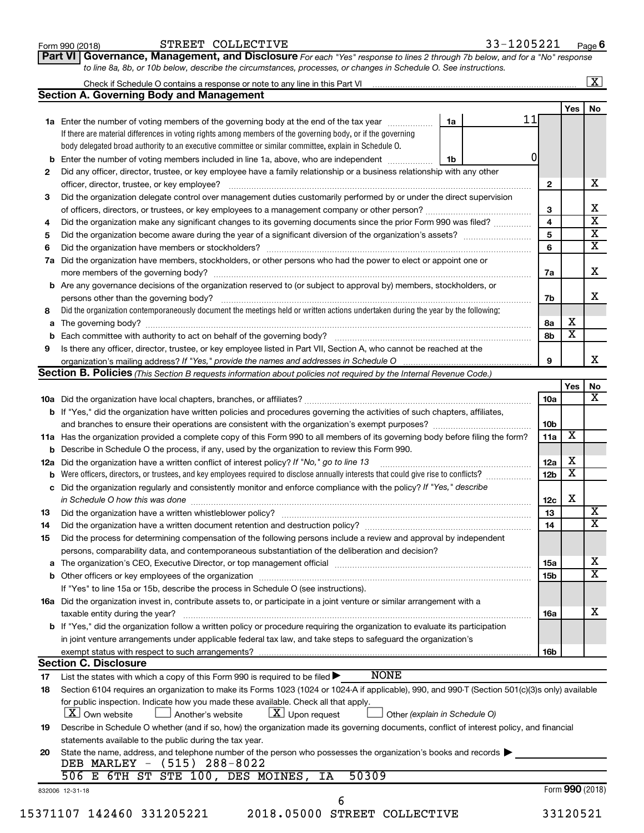| Form 990 (2018) |  |
|-----------------|--|
|-----------------|--|

#### Form 990 (2018)  $\begin{array}{cccc} \text{STREET} & \text{COLLECTIVE} \end{array}$  33–1205221  $_{\text{Page}}$

**Part VI** Governance, Management, and Disclosure For each "Yes" response to lines 2 through 7b below, and for a "No" response *to line 8a, 8b, or 10b below, describe the circumstances, processes, or changes in Schedule O. See instructions.*

|     | Check if Schedule O contains a response or note to any line in this Part VI [11] [12] Check if Schedule O contains a response or note to any line in this Part VI |                               |                         |                         | $\overline{\mathbf{X}}$                            |
|-----|-------------------------------------------------------------------------------------------------------------------------------------------------------------------|-------------------------------|-------------------------|-------------------------|----------------------------------------------------|
|     | <b>Section A. Governing Body and Management</b>                                                                                                                   |                               |                         |                         |                                                    |
|     |                                                                                                                                                                   |                               |                         | <b>Yes</b>              | No                                                 |
|     | 1a Enter the number of voting members of the governing body at the end of the tax year                                                                            | 1a                            | 11                      |                         |                                                    |
|     | If there are material differences in voting rights among members of the governing body, or if the governing                                                       |                               |                         |                         |                                                    |
|     | body delegated broad authority to an executive committee or similar committee, explain in Schedule O.                                                             |                               |                         |                         |                                                    |
| b   | Enter the number of voting members included in line 1a, above, who are independent <i>manamer</i>                                                                 | 1b                            | 0                       |                         |                                                    |
| 2   | Did any officer, director, trustee, or key employee have a family relationship or a business relationship with any other                                          |                               |                         |                         |                                                    |
|     | officer, director, trustee, or key employee?                                                                                                                      |                               | $\mathbf{2}$            |                         | x                                                  |
| 3   | Did the organization delegate control over management duties customarily performed by or under the direct supervision                                             |                               |                         |                         |                                                    |
|     |                                                                                                                                                                   |                               | 3                       |                         | х                                                  |
| 4   | Did the organization make any significant changes to its governing documents since the prior Form 990 was filed?                                                  |                               | $\overline{4}$          |                         | $\overline{\textbf{x}}$<br>$\overline{\textbf{x}}$ |
| 5   |                                                                                                                                                                   |                               | $\overline{\mathbf{5}}$ |                         | $\overline{\textbf{x}}$                            |
| 6   |                                                                                                                                                                   |                               | 6                       |                         |                                                    |
| 7a  | Did the organization have members, stockholders, or other persons who had the power to elect or appoint one or                                                    |                               |                         |                         |                                                    |
|     |                                                                                                                                                                   |                               | 7a                      |                         | x                                                  |
|     | <b>b</b> Are any governance decisions of the organization reserved to (or subject to approval by) members, stockholders, or                                       |                               |                         |                         |                                                    |
|     | persons other than the governing body?                                                                                                                            |                               | 7b                      |                         | x                                                  |
| 8   | Did the organization contemporaneously document the meetings held or written actions undertaken during the year by the following:                                 |                               |                         |                         |                                                    |
|     |                                                                                                                                                                   |                               | 8а                      | х                       |                                                    |
|     |                                                                                                                                                                   |                               | 8b                      | $\overline{\text{x}}$   |                                                    |
| 9   | Is there any officer, director, trustee, or key employee listed in Part VII, Section A, who cannot be reached at the                                              |                               |                         |                         |                                                    |
|     | organization's mailing address? If "Yes," provide the names and addresses in Schedule O manuminum manuminum man                                                   |                               | 9                       |                         |                                                    |
|     | Section B. Policies (This Section B requests information about policies not required by the Internal Revenue Code.)                                               |                               |                         |                         |                                                    |
|     |                                                                                                                                                                   |                               |                         | Yes                     | No.                                                |
|     |                                                                                                                                                                   |                               | 10a                     |                         |                                                    |
|     | b If "Yes," did the organization have written policies and procedures governing the activities of such chapters, affiliates,                                      |                               |                         |                         |                                                    |
|     | and branches to ensure their operations are consistent with the organization's exempt purposes? <i>managereconominion</i>                                         |                               | 10 <sub>b</sub>         |                         |                                                    |
|     | 11a Has the organization provided a complete copy of this Form 990 to all members of its governing body before filing the form?                                   |                               | 11a                     | $\overline{\mathbf{X}}$ |                                                    |
|     | <b>b</b> Describe in Schedule O the process, if any, used by the organization to review this Form 990.                                                            |                               |                         |                         |                                                    |
| 12a | Did the organization have a written conflict of interest policy? If "No," go to line 13                                                                           |                               | 12a                     | х                       |                                                    |
| b   | Were officers, directors, or trustees, and key employees required to disclose annually interests that could give rise to conflicts?                               |                               | 12 <sub>b</sub>         | $\overline{\text{x}}$   |                                                    |
| c   | Did the organization regularly and consistently monitor and enforce compliance with the policy? If "Yes," describe                                                |                               |                         |                         |                                                    |
|     | in Schedule O how this was done manufactured and continuum and contact the way to the set of the set of the schedule O how this was done                          |                               | 12c                     | X                       |                                                    |
| 13  |                                                                                                                                                                   |                               | 13                      |                         |                                                    |
| 14  | Did the organization have a written document retention and destruction policy? [11] manufaction manufaction in                                                    |                               | 14                      |                         |                                                    |
| 15  | Did the process for determining compensation of the following persons include a review and approval by independent                                                |                               |                         |                         |                                                    |
|     |                                                                                                                                                                   |                               |                         |                         |                                                    |
|     | persons, comparability data, and contemporaneous substantiation of the deliberation and decision?                                                                 |                               |                         |                         |                                                    |
|     |                                                                                                                                                                   |                               | 15a                     |                         |                                                    |
|     |                                                                                                                                                                   |                               | 15b                     |                         |                                                    |
|     | If "Yes" to line 15a or 15b, describe the process in Schedule O (see instructions).                                                                               |                               |                         |                         |                                                    |
|     | 16a Did the organization invest in, contribute assets to, or participate in a joint venture or similar arrangement with a                                         |                               |                         |                         |                                                    |
|     | taxable entity during the year?                                                                                                                                   |                               | 16a                     |                         |                                                    |
|     | b If "Yes," did the organization follow a written policy or procedure requiring the organization to evaluate its participation                                    |                               |                         |                         |                                                    |
|     | in joint venture arrangements under applicable federal tax law, and take steps to safeguard the organization's                                                    |                               |                         |                         |                                                    |
|     | exempt status with respect to such arrangements?                                                                                                                  |                               | 16b                     |                         |                                                    |
|     | <b>Section C. Disclosure</b>                                                                                                                                      |                               |                         |                         |                                                    |
| 17  | <b>NONE</b><br>List the states with which a copy of this Form 990 is required to be filed >                                                                       |                               |                         |                         |                                                    |
| 18  | Section 6104 requires an organization to make its Forms 1023 (1024 or 1024-A if applicable), 990, and 990-T (Section 501(c)(3)s only) available                   |                               |                         |                         |                                                    |
|     | for public inspection. Indicate how you made these available. Check all that apply.                                                                               |                               |                         |                         |                                                    |
|     | X   Own website<br>$ \underline{X} $ Upon request<br>Another's website                                                                                            | Other (explain in Schedule O) |                         |                         |                                                    |
| 19  | Describe in Schedule O whether (and if so, how) the organization made its governing documents, conflict of interest policy, and financial                         |                               |                         |                         |                                                    |
|     | statements available to the public during the tax year.                                                                                                           |                               |                         |                         |                                                    |
| 20  | State the name, address, and telephone number of the person who possesses the organization's books and records                                                    |                               |                         |                         |                                                    |
|     | DEB MARLEY - (515) 288-8022                                                                                                                                       |                               |                         |                         |                                                    |
|     | 50309<br>506 E 6TH ST STE 100, DES MOINES, IA                                                                                                                     |                               |                         |                         |                                                    |
|     | 832006 12-31-18                                                                                                                                                   |                               |                         | Form 990 (2018)         |                                                    |
|     | 6                                                                                                                                                                 |                               |                         |                         |                                                    |
|     | 15371107 142460 331205221<br>2018.05000 STREET COLLECTIVE                                                                                                         |                               |                         | 33120521                |                                                    |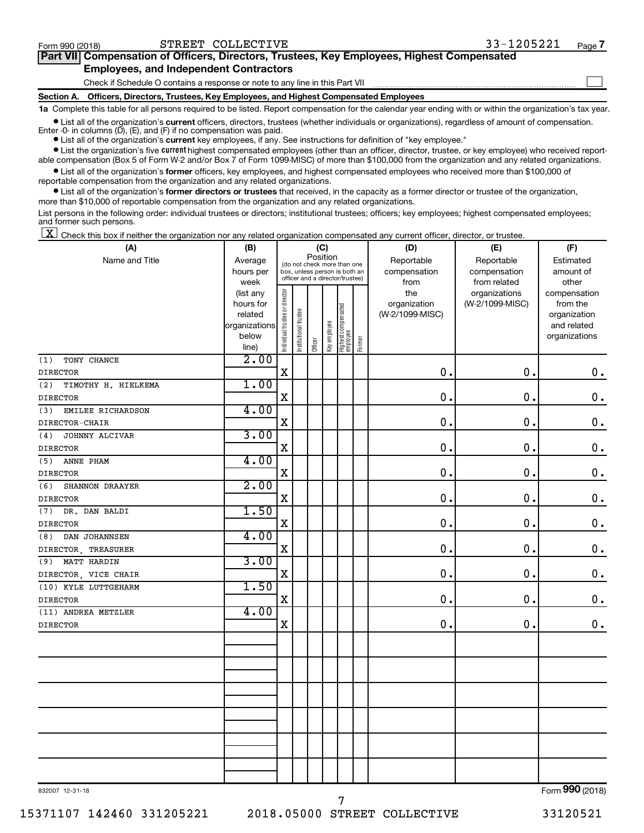$\Box$ 

| Part VII Compensation of Officers, Directors, Trustees, Key Employees, Highest Compensated |  |
|--------------------------------------------------------------------------------------------|--|
| <b>Employees, and Independent Contractors</b>                                              |  |

Check if Schedule O contains a response or note to any line in this Part VII

**Section A. Officers, Directors, Trustees, Key Employees, and Highest Compensated Employees**

**1a**  Complete this table for all persons required to be listed. Report compensation for the calendar year ending with or within the organization's tax year.

**•** List all of the organization's current officers, directors, trustees (whether individuals or organizations), regardless of amount of compensation. Enter -0- in columns  $(D)$ ,  $(E)$ , and  $(F)$  if no compensation was paid.

**•** List all of the organization's **current** key employees, if any. See instructions for definition of "key employee."

**•** List the organization's five current highest compensated employees (other than an officer, director, trustee, or key employee) who received reportable compensation (Box 5 of Form W-2 and/or Box 7 of Form 1099-MISC) of more than \$100,000 from the organization and any related organizations.

**•** List all of the organization's former officers, key employees, and highest compensated employees who received more than \$100,000 of reportable compensation from the organization and any related organizations.

**•** List all of the organization's former directors or trustees that received, in the capacity as a former director or trustee of the organization, more than \$10,000 of reportable compensation from the organization and any related organizations.

List persons in the following order: individual trustees or directors; institutional trustees; officers; key employees; highest compensated employees; and former such persons.

 $\boxed{\textbf{X}}$  Check this box if neither the organization nor any related organization compensated any current officer, director, or trustee.

| (A)                        | (B)                                                                  |                                |                      |          | (C)          |                                                                                                 |        | (D)                                    | (E)                                        | (F)                                                                      |
|----------------------------|----------------------------------------------------------------------|--------------------------------|----------------------|----------|--------------|-------------------------------------------------------------------------------------------------|--------|----------------------------------------|--------------------------------------------|--------------------------------------------------------------------------|
| Name and Title             | Average<br>hours per<br>week                                         |                                |                      | Position |              | (do not check more than one<br>box, unless person is both an<br>officer and a director/trustee) |        | Reportable<br>compensation<br>from     | Reportable<br>compensation<br>from related | Estimated<br>amount of<br>other                                          |
|                            | (list any<br>hours for<br>related<br>organizations<br>below<br>line) | Individual trustee or director | nstitutional trustee | Officer  | Key employee | Highest compensated<br>employee                                                                 | Former | the<br>organization<br>(W-2/1099-MISC) | organizations<br>(W-2/1099-MISC)           | compensation<br>from the<br>organization<br>and related<br>organizations |
| TONY CHANCE<br>(1)         | 2.00                                                                 |                                |                      |          |              |                                                                                                 |        |                                        |                                            |                                                                          |
| <b>DIRECTOR</b>            |                                                                      | $\mathbf X$                    |                      |          |              |                                                                                                 |        | 0.                                     | $\mathbf 0$ .                              | $\mathbf 0$ .                                                            |
| (2)<br>TIMOTHY H. HIELKEMA | 1.00                                                                 |                                |                      |          |              |                                                                                                 |        |                                        |                                            |                                                                          |
| <b>DIRECTOR</b>            |                                                                      | X                              |                      |          |              |                                                                                                 |        | 0.                                     | $\mathbf 0$ .                              | $\mathbf 0$ .                                                            |
| EMILEE RICHARDSON<br>(3)   | 4.00                                                                 |                                |                      |          |              |                                                                                                 |        |                                        |                                            |                                                                          |
| DIRECTOR-CHAIR             |                                                                      | $\mathbf X$                    |                      |          |              |                                                                                                 |        | $\mathbf 0$ .                          | $\mathbf 0$ .                              | $\mathbf 0$ .                                                            |
| (4)<br>JOHNNY ALCIVAR      | 3.00                                                                 |                                |                      |          |              |                                                                                                 |        |                                        |                                            |                                                                          |
| <b>DIRECTOR</b>            |                                                                      | $\mathbf X$                    |                      |          |              |                                                                                                 |        | $\mathbf 0$ .                          | $\mathbf 0$ .                              | $\boldsymbol{0}$ .                                                       |
| (5)<br>ANNE PHAM           | 4.00                                                                 |                                |                      |          |              |                                                                                                 |        |                                        |                                            |                                                                          |
| <b>DIRECTOR</b>            |                                                                      | X                              |                      |          |              |                                                                                                 |        | 0                                      | $\mathbf 0$ .                              | $0$ .                                                                    |
| (6)<br>SHANNON DRAAYER     | 2.00                                                                 |                                |                      |          |              |                                                                                                 |        |                                        |                                            |                                                                          |
| <b>DIRECTOR</b>            |                                                                      | X                              |                      |          |              |                                                                                                 |        | $\mathbf 0$                            | $\mathbf 0$ .                              | $\mathbf 0$ .                                                            |
| DR. DAN BALDI<br>(7)       | 1.50                                                                 |                                |                      |          |              |                                                                                                 |        |                                        |                                            |                                                                          |
| <b>DIRECTOR</b>            |                                                                      | X                              |                      |          |              |                                                                                                 |        | 0.                                     | $\mathbf 0$ .                              | $\mathbf 0$ .                                                            |
| DAN JOHANNSEN<br>(8)       | 4.00                                                                 |                                |                      |          |              |                                                                                                 |        |                                        |                                            |                                                                          |
| DIRECTOR TREASURER         |                                                                      | X                              |                      |          |              |                                                                                                 |        | $\mathbf 0$ .                          | $\mathbf 0$ .                              | 0.                                                                       |
| <b>MATT HARDIN</b><br>(9)  | 3.00                                                                 |                                |                      |          |              |                                                                                                 |        |                                        |                                            |                                                                          |
| DIRECTOR, VICE CHAIR       |                                                                      | $\mathbf X$                    |                      |          |              |                                                                                                 |        | 0.                                     | $\mathbf 0$ .                              | $\mathbf 0$ .                                                            |
| (10) KYLE LUTTGEHARM       | 1.50                                                                 |                                |                      |          |              |                                                                                                 |        |                                        |                                            |                                                                          |
| <b>DIRECTOR</b>            |                                                                      | X                              |                      |          |              |                                                                                                 |        | 0.                                     | $\mathbf 0$ .                              | $\mathbf 0$ .                                                            |
| (11) ANDREA METZLER        | 4.00                                                                 |                                |                      |          |              |                                                                                                 |        |                                        |                                            |                                                                          |
| <b>DIRECTOR</b>            |                                                                      | X                              |                      |          |              |                                                                                                 |        | 0.                                     | $\mathbf 0$ .                              | $\mathbf 0$ .                                                            |
|                            |                                                                      |                                |                      |          |              |                                                                                                 |        |                                        |                                            |                                                                          |
|                            |                                                                      |                                |                      |          |              |                                                                                                 |        |                                        |                                            |                                                                          |
|                            |                                                                      |                                |                      |          |              |                                                                                                 |        |                                        |                                            |                                                                          |
|                            |                                                                      |                                |                      |          |              |                                                                                                 |        |                                        |                                            |                                                                          |
|                            |                                                                      |                                |                      |          |              |                                                                                                 |        |                                        |                                            |                                                                          |
|                            |                                                                      |                                |                      |          |              |                                                                                                 |        |                                        |                                            |                                                                          |
|                            |                                                                      |                                |                      |          |              |                                                                                                 |        |                                        |                                            |                                                                          |
|                            |                                                                      |                                |                      |          |              |                                                                                                 |        |                                        |                                            |                                                                          |
|                            |                                                                      |                                |                      |          |              |                                                                                                 |        |                                        |                                            |                                                                          |
|                            |                                                                      |                                |                      |          |              |                                                                                                 |        |                                        |                                            |                                                                          |
|                            |                                                                      |                                |                      |          |              |                                                                                                 |        |                                        |                                            |                                                                          |
|                            |                                                                      |                                |                      |          |              |                                                                                                 |        |                                        |                                            |                                                                          |
| 832007 12-31-18            |                                                                      |                                |                      |          |              |                                                                                                 |        |                                        |                                            | Form 990 (2018)                                                          |

7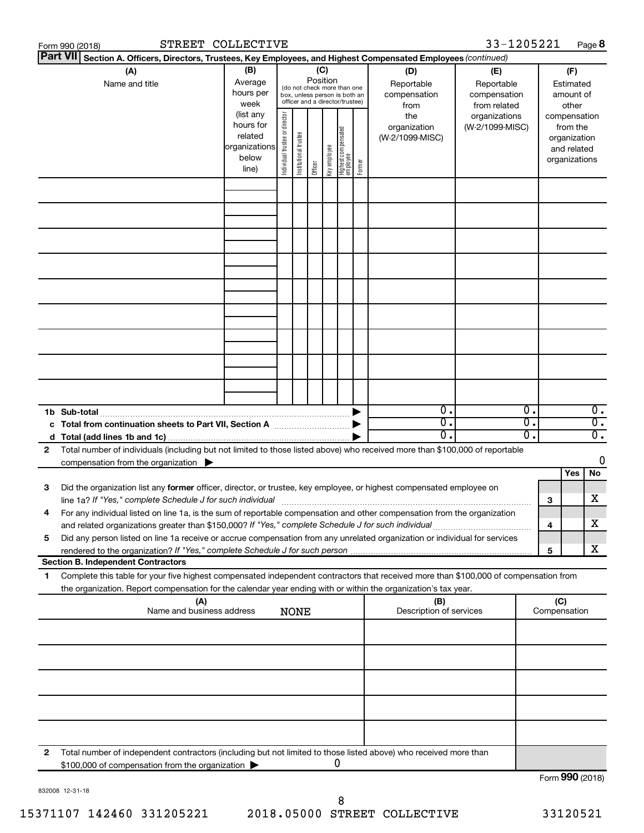|                 | STREET COLLECTIVE<br>Form 990 (2018)                                                                                                                                                     |                                                         |                               |                            |          |              |                                                                                                 |        |                                                  | 33-1205221                                                         |          |                         |                                                          | Page 8                                          |
|-----------------|------------------------------------------------------------------------------------------------------------------------------------------------------------------------------------------|---------------------------------------------------------|-------------------------------|----------------------------|----------|--------------|-------------------------------------------------------------------------------------------------|--------|--------------------------------------------------|--------------------------------------------------------------------|----------|-------------------------|----------------------------------------------------------|-------------------------------------------------|
| <b>Part VII</b> | Section A. Officers, Directors, Trustees, Key Employees, and Highest Compensated Employees (continued)                                                                                   |                                                         |                               |                            |          |              |                                                                                                 |        |                                                  |                                                                    |          |                         |                                                          |                                                 |
|                 | (A)<br>Name and title                                                                                                                                                                    | (B)<br>Average<br>hours per<br>week<br>(list any        |                               |                            | Position | (C)          | (do not check more than one<br>box, unless person is both an<br>officer and a director/trustee) |        | (D)<br>Reportable<br>compensation<br>from<br>the | (E)<br>Reportable<br>compensation<br>from related<br>organizations |          |                         | (F)<br>Estimated<br>amount of<br>other<br>compensation   |                                                 |
|                 |                                                                                                                                                                                          | hours for<br>related<br>organizations<br>below<br>line) | ndividual trustee or director | trustee<br>Institutional t | Officer  | Key employee | Highest compensated<br>  employee                                                               | Former | organization<br>(W-2/1099-MISC)                  | (W-2/1099-MISC)                                                    |          |                         | from the<br>organization<br>and related<br>organizations |                                                 |
|                 |                                                                                                                                                                                          |                                                         |                               |                            |          |              |                                                                                                 |        |                                                  |                                                                    |          |                         |                                                          |                                                 |
|                 |                                                                                                                                                                                          |                                                         |                               |                            |          |              |                                                                                                 |        |                                                  |                                                                    |          |                         |                                                          |                                                 |
|                 |                                                                                                                                                                                          |                                                         |                               |                            |          |              |                                                                                                 |        |                                                  |                                                                    |          |                         |                                                          |                                                 |
|                 |                                                                                                                                                                                          |                                                         |                               |                            |          |              |                                                                                                 |        |                                                  |                                                                    |          |                         |                                                          |                                                 |
|                 |                                                                                                                                                                                          |                                                         |                               |                            |          |              |                                                                                                 |        |                                                  |                                                                    |          |                         |                                                          |                                                 |
|                 |                                                                                                                                                                                          |                                                         |                               |                            |          |              |                                                                                                 |        |                                                  |                                                                    |          |                         |                                                          |                                                 |
|                 |                                                                                                                                                                                          |                                                         |                               |                            |          |              |                                                                                                 |        |                                                  |                                                                    |          |                         |                                                          |                                                 |
|                 |                                                                                                                                                                                          |                                                         |                               |                            |          |              |                                                                                                 |        |                                                  |                                                                    |          |                         |                                                          |                                                 |
|                 |                                                                                                                                                                                          |                                                         |                               |                            |          |              |                                                                                                 |        | 0.                                               |                                                                    | о.       |                         |                                                          | $0$ .                                           |
|                 |                                                                                                                                                                                          |                                                         |                               |                            |          |              |                                                                                                 |        | $\overline{0}$ .<br>0.                           |                                                                    | 0.<br>О. |                         |                                                          | $\overline{0}$ .<br>$\overline{\mathfrak{o}}$ . |
| 2               | Total number of individuals (including but not limited to those listed above) who received more than \$100,000 of reportable<br>compensation from the organization $\blacktriangleright$ |                                                         |                               |                            |          |              |                                                                                                 |        |                                                  |                                                                    |          |                         |                                                          | 0                                               |
|                 |                                                                                                                                                                                          |                                                         |                               |                            |          |              |                                                                                                 |        |                                                  |                                                                    |          |                         | Yes                                                      | No                                              |
| з               | Did the organization list any former officer, director, or trustee, key employee, or highest compensated employee on<br>line 1a? If "Yes," complete Schedule J for such individual       |                                                         |                               |                            |          |              |                                                                                                 |        |                                                  |                                                                    |          | 3                       |                                                          | х                                               |
| 4               | For any individual listed on line 1a, is the sum of reportable compensation and other compensation from the organization                                                                 |                                                         |                               |                            |          |              |                                                                                                 |        |                                                  |                                                                    |          | $\overline{\mathbf{4}}$ |                                                          | х                                               |
| 5               | Did any person listed on line 1a receive or accrue compensation from any unrelated organization or individual for services<br><b>Section B. Independent Contractors</b>                  |                                                         |                               |                            |          |              |                                                                                                 |        |                                                  |                                                                    |          | 5                       |                                                          | X                                               |
| 1               | Complete this table for your five highest compensated independent contractors that received more than \$100,000 of compensation from                                                     |                                                         |                               |                            |          |              |                                                                                                 |        |                                                  |                                                                    |          |                         |                                                          |                                                 |
|                 | the organization. Report compensation for the calendar year ending with or within the organization's tax year.<br>(A)                                                                    |                                                         |                               |                            |          |              |                                                                                                 |        | (B)                                              |                                                                    |          | (C)                     |                                                          |                                                 |
|                 | Name and business address                                                                                                                                                                |                                                         |                               | <b>NONE</b>                |          |              |                                                                                                 |        | Description of services                          |                                                                    |          |                         | Compensation                                             |                                                 |
|                 |                                                                                                                                                                                          |                                                         |                               |                            |          |              |                                                                                                 |        |                                                  |                                                                    |          |                         |                                                          |                                                 |
|                 |                                                                                                                                                                                          |                                                         |                               |                            |          |              |                                                                                                 |        |                                                  |                                                                    |          |                         |                                                          |                                                 |
|                 |                                                                                                                                                                                          |                                                         |                               |                            |          |              |                                                                                                 |        |                                                  |                                                                    |          |                         |                                                          |                                                 |
|                 |                                                                                                                                                                                          |                                                         |                               |                            |          |              |                                                                                                 |        |                                                  |                                                                    |          |                         |                                                          |                                                 |
| 2               | Total number of independent contractors (including but not limited to those listed above) who received more than                                                                         |                                                         |                               |                            |          |              |                                                                                                 |        |                                                  |                                                                    |          |                         |                                                          |                                                 |
|                 | \$100,000 of compensation from the organization                                                                                                                                          |                                                         |                               |                            |          |              | U                                                                                               |        |                                                  |                                                                    |          |                         | $F_{\alpha r}$ QQ $\Omega$ (2018)                        |                                                 |

832008 12-31-18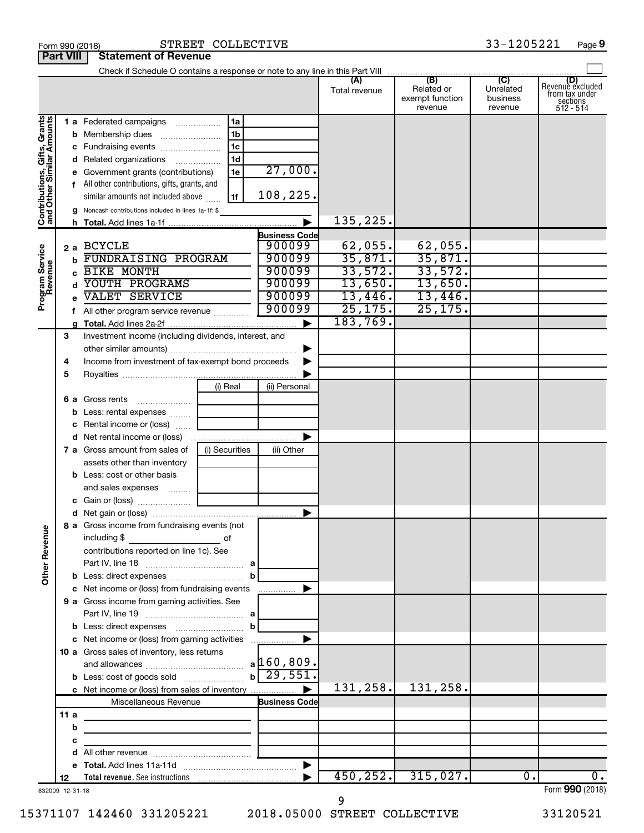|                                                           |                 |                                                                                |                |                       | (A)<br>Total revenue | (B)<br>Related or<br>exempt function<br>revenue | (C)<br>Unrelated<br>business<br>revenue | (D)<br>Revenue excluded<br>from tax under<br>sections<br>512 - 514 |
|-----------------------------------------------------------|-----------------|--------------------------------------------------------------------------------|----------------|-----------------------|----------------------|-------------------------------------------------|-----------------------------------------|--------------------------------------------------------------------|
| Contributions, Gifts, Grants<br>and Other Similar Amounts |                 | 1 a Federated campaigns                                                        | 1a             |                       |                      |                                                 |                                         |                                                                    |
|                                                           |                 |                                                                                | 1 <sub>b</sub> |                       |                      |                                                 |                                         |                                                                    |
|                                                           |                 | c Fundraising events                                                           | 1 <sub>c</sub> |                       |                      |                                                 |                                         |                                                                    |
|                                                           | d               | Related organizations                                                          | 1d             |                       |                      |                                                 |                                         |                                                                    |
|                                                           | е               | Government grants (contributions)                                              | 1e             | 27,000.               |                      |                                                 |                                         |                                                                    |
|                                                           |                 | f All other contributions, gifts, grants, and                                  |                |                       |                      |                                                 |                                         |                                                                    |
|                                                           |                 | similar amounts not included above                                             | 1f             | 108,225.              |                      |                                                 |                                         |                                                                    |
|                                                           | g               | Noncash contributions included in lines 1a-1f: \$                              |                |                       |                      |                                                 |                                         |                                                                    |
|                                                           |                 |                                                                                |                |                       | 135,225.             |                                                 |                                         |                                                                    |
|                                                           |                 |                                                                                |                | <b>Business Code</b>  |                      |                                                 |                                         |                                                                    |
|                                                           |                 | 2 a BCYCLE                                                                     |                | 900099                | 62,055.<br>35,871.   | 62,055.                                         |                                         |                                                                    |
| Program Service<br>Revenue                                | $\mathbf b$     | FUNDRAISING PROGRAM                                                            |                | 900099<br>900099      | 33,572.              | 35,871.<br>33,572.                              |                                         |                                                                    |
|                                                           | C.              | <b>BIKE MONTH</b>                                                              |                | 900099                |                      |                                                 |                                         |                                                                    |
|                                                           | d               | YOUTH PROGRAMS                                                                 |                | 900099                | 13,650.              | 13,650.                                         |                                         |                                                                    |
|                                                           |                 | VALET SERVICE                                                                  |                | 900099                | 13,446.<br>25, 175.  | 13,446.<br>25, 175.                             |                                         |                                                                    |
|                                                           |                 | f All other program service revenue                                            |                |                       | 183,769.             |                                                 |                                         |                                                                    |
|                                                           | a               |                                                                                |                | ▶                     |                      |                                                 |                                         |                                                                    |
|                                                           | З               | Investment income (including dividends, interest, and                          |                |                       |                      |                                                 |                                         |                                                                    |
|                                                           |                 |                                                                                |                |                       |                      |                                                 |                                         |                                                                    |
|                                                           | 4               | Income from investment of tax-exempt bond proceeds                             |                |                       |                      |                                                 |                                         |                                                                    |
|                                                           | 5               |                                                                                |                |                       |                      |                                                 |                                         |                                                                    |
|                                                           |                 |                                                                                | (i) Real       | (ii) Personal         |                      |                                                 |                                         |                                                                    |
|                                                           |                 | <b>6 a</b> Gross rents                                                         |                |                       |                      |                                                 |                                         |                                                                    |
|                                                           | b               | Less: rental expenses                                                          |                |                       |                      |                                                 |                                         |                                                                    |
|                                                           | с               | Rental income or (loss)                                                        |                |                       |                      |                                                 |                                         |                                                                    |
|                                                           |                 | 7 a Gross amount from sales of                                                 | (i) Securities |                       |                      |                                                 |                                         |                                                                    |
|                                                           |                 | assets other than inventory                                                    |                | (ii) Other            |                      |                                                 |                                         |                                                                    |
|                                                           |                 | <b>b</b> Less: cost or other basis                                             |                |                       |                      |                                                 |                                         |                                                                    |
|                                                           |                 | and sales expenses                                                             |                |                       |                      |                                                 |                                         |                                                                    |
|                                                           |                 |                                                                                |                |                       |                      |                                                 |                                         |                                                                    |
|                                                           |                 |                                                                                |                |                       |                      |                                                 |                                         |                                                                    |
|                                                           |                 | 8 a Gross income from fundraising events (not                                  |                |                       |                      |                                                 |                                         |                                                                    |
| ٩U                                                        |                 |                                                                                |                |                       |                      |                                                 |                                         |                                                                    |
| Other Rever                                               |                 | contributions reported on line 1c). See                                        |                |                       |                      |                                                 |                                         |                                                                    |
|                                                           |                 |                                                                                |                |                       |                      |                                                 |                                         |                                                                    |
|                                                           |                 |                                                                                |                | b                     |                      |                                                 |                                         |                                                                    |
|                                                           |                 | c Net income or (loss) from fundraising events                                 |                |                       |                      |                                                 |                                         |                                                                    |
|                                                           |                 | 9 a Gross income from gaming activities. See                                   |                |                       |                      |                                                 |                                         |                                                                    |
|                                                           |                 |                                                                                |                |                       |                      |                                                 |                                         |                                                                    |
|                                                           |                 |                                                                                |                | $\mathbf b$           |                      |                                                 |                                         |                                                                    |
|                                                           |                 |                                                                                |                |                       |                      |                                                 |                                         |                                                                    |
|                                                           |                 | 10 a Gross sales of inventory, less returns                                    |                |                       |                      |                                                 |                                         |                                                                    |
|                                                           |                 |                                                                                |                |                       |                      |                                                 |                                         |                                                                    |
|                                                           |                 | <b>b</b> Less: cost of goods sold $\begin{bmatrix} b & 29 & 551 \end{bmatrix}$ |                |                       |                      |                                                 |                                         |                                                                    |
|                                                           |                 | c Net income or (loss) from sales of inventory                                 |                | $\blacktriangleright$ | 131,258.             | 131,258.                                        |                                         |                                                                    |
|                                                           |                 | Miscellaneous Revenue                                                          |                | <b>Business Code</b>  |                      |                                                 |                                         |                                                                    |
|                                                           | 11 a            |                                                                                |                |                       |                      |                                                 |                                         |                                                                    |
|                                                           | b               |                                                                                |                |                       |                      |                                                 |                                         |                                                                    |
|                                                           | с               | the control of the control of the control of the control of                    |                |                       |                      |                                                 |                                         |                                                                    |
|                                                           | d               |                                                                                |                |                       |                      |                                                 |                                         |                                                                    |
|                                                           |                 |                                                                                |                |                       |                      |                                                 |                                         |                                                                    |
|                                                           | 12              |                                                                                |                |                       | 450, 252.            | 315,027.                                        | 0.                                      | $\overline{0}$ .                                                   |
|                                                           | 832009 12-31-18 |                                                                                |                |                       |                      |                                                 |                                         | Form 990 (2018)                                                    |

832009 12-31-18

9

Form 990 (2018) STREET COLLECTIVE 33-1205221 Page

**Part VIII Statement of Revenue**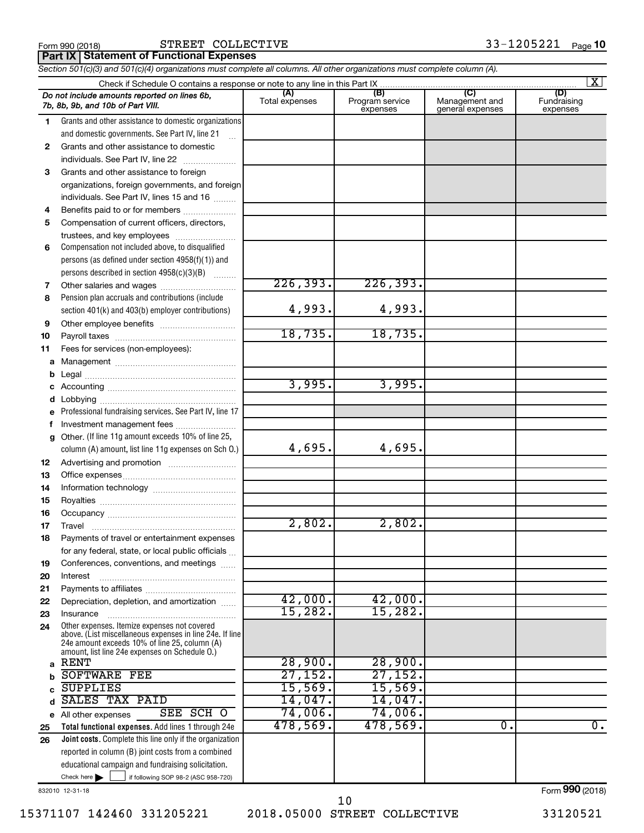**Part IX Statement of Functional Expenses**

*Section 501(c)(3) and 501(c)(4) organizations must complete all columns. All other organizations must complete column (A).*

|              |                                                                                                           |                       |                                    |                                                             | $\mathbf{X}$                   |
|--------------|-----------------------------------------------------------------------------------------------------------|-----------------------|------------------------------------|-------------------------------------------------------------|--------------------------------|
|              | Do not include amounts reported on lines 6b,<br>7b, 8b, 9b, and 10b of Part VIII.                         | (A)<br>Total expenses | (B)<br>Program service<br>expenses | $\overline{\text{C}}$<br>Management and<br>general expenses | (D)<br>Fundraising<br>expenses |
| 1            | Grants and other assistance to domestic organizations                                                     |                       |                                    |                                                             |                                |
|              | and domestic governments. See Part IV, line 21                                                            |                       |                                    |                                                             |                                |
| $\mathbf{2}$ | Grants and other assistance to domestic                                                                   |                       |                                    |                                                             |                                |
|              | individuals. See Part IV, line 22                                                                         |                       |                                    |                                                             |                                |
| 3            | Grants and other assistance to foreign                                                                    |                       |                                    |                                                             |                                |
|              | organizations, foreign governments, and foreign                                                           |                       |                                    |                                                             |                                |
|              | individuals. See Part IV, lines 15 and 16                                                                 |                       |                                    |                                                             |                                |
| 4            | Benefits paid to or for members                                                                           |                       |                                    |                                                             |                                |
| 5            | Compensation of current officers, directors,                                                              |                       |                                    |                                                             |                                |
|              | trustees, and key employees                                                                               |                       |                                    |                                                             |                                |
| 6            | Compensation not included above, to disqualified                                                          |                       |                                    |                                                             |                                |
|              | persons (as defined under section $4958(f)(1)$ ) and                                                      |                       |                                    |                                                             |                                |
|              | persons described in section 4958(c)(3)(B)                                                                | 226, 393.             | 226, 393.                          |                                                             |                                |
| 7            |                                                                                                           |                       |                                    |                                                             |                                |
| 8            | Pension plan accruals and contributions (include<br>section 401(k) and 403(b) employer contributions)     | 4,993.                | 4,993.                             |                                                             |                                |
| 9            |                                                                                                           |                       |                                    |                                                             |                                |
| 10           |                                                                                                           | 18,735.               | 18,735.                            |                                                             |                                |
| 11           | Fees for services (non-employees):                                                                        |                       |                                    |                                                             |                                |
| а            |                                                                                                           |                       |                                    |                                                             |                                |
| b            |                                                                                                           |                       |                                    |                                                             |                                |
| с            |                                                                                                           | 3,995.                | 3,995.                             |                                                             |                                |
| d            |                                                                                                           |                       |                                    |                                                             |                                |
| е            | Professional fundraising services. See Part IV, line 17                                                   |                       |                                    |                                                             |                                |
| f            | Investment management fees                                                                                |                       |                                    |                                                             |                                |
| g            | Other. (If line 11g amount exceeds 10% of line 25,                                                        |                       |                                    |                                                             |                                |
|              | column (A) amount, list line 11g expenses on Sch O.)                                                      | 4,695.                | 4,695.                             |                                                             |                                |
| 12           |                                                                                                           |                       |                                    |                                                             |                                |
| 13           |                                                                                                           |                       |                                    |                                                             |                                |
| 14           |                                                                                                           |                       |                                    |                                                             |                                |
| 15           |                                                                                                           |                       |                                    |                                                             |                                |
| 16           |                                                                                                           |                       |                                    |                                                             |                                |
| 17           | Travel                                                                                                    | 2,802.                | 2,802.                             |                                                             |                                |
| 18           | Payments of travel or entertainment expenses                                                              |                       |                                    |                                                             |                                |
|              | for any federal, state, or local public officials                                                         |                       |                                    |                                                             |                                |
| 19           | Conferences, conventions, and meetings                                                                    |                       |                                    |                                                             |                                |
| 20           | Interest                                                                                                  |                       |                                    |                                                             |                                |
| 21<br>22     | Depreciation, depletion, and amortization                                                                 | 42,000.               | 42,000.                            |                                                             |                                |
| 23           | Insurance                                                                                                 | 15,282.               | 15,282.                            |                                                             |                                |
| 24           | Other expenses. Itemize expenses not covered                                                              |                       |                                    |                                                             |                                |
|              | above. (List miscellaneous expenses in line 24e. If line<br>24e amount exceeds 10% of line 25, column (A) |                       |                                    |                                                             |                                |
|              | amount, list line 24e expenses on Schedule O.)                                                            |                       |                                    |                                                             |                                |
| a            | RENT                                                                                                      | 28,900.               | 28,900.                            |                                                             |                                |
| b            | <b>SOFTWARE FEE</b>                                                                                       | 27,152.               | 27,152.                            |                                                             |                                |
| C            | <b>SUPPLIES</b>                                                                                           | 15,569.               | 15,569.                            |                                                             |                                |
| d            | <b>SALES TAX PAID</b>                                                                                     | 14,047.               | 14,047.                            |                                                             |                                |
|              | SEE SCH O<br>e All other expenses                                                                         | 74,006.               | 74,006.                            |                                                             |                                |
| 25           | Total functional expenses. Add lines 1 through 24e                                                        | 478,569.              | 478,569.                           | Ο.                                                          | $\overline{0}$ .               |
| 26           | Joint costs. Complete this line only if the organization                                                  |                       |                                    |                                                             |                                |
|              | reported in column (B) joint costs from a combined                                                        |                       |                                    |                                                             |                                |
|              | educational campaign and fundraising solicitation.                                                        |                       |                                    |                                                             |                                |
|              | Check here $\blacktriangleright$<br>if following SOP 98-2 (ASC 958-720)                                   |                       |                                    |                                                             |                                |
|              | 832010 12-31-18                                                                                           |                       |                                    |                                                             | Form 990 (2018)                |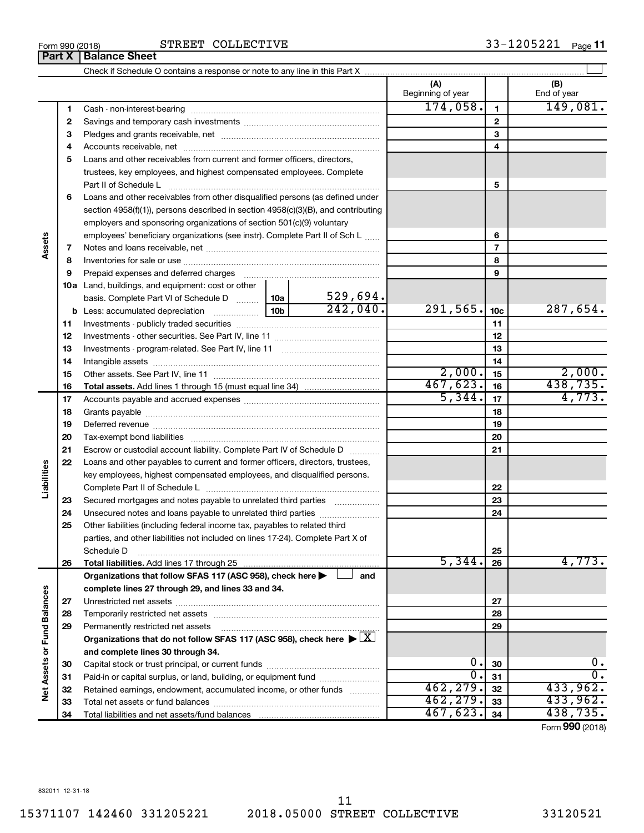|                      |    |                                                                                                 |                             | (A)<br>Beginning of year |                 | (B)<br>End of year |
|----------------------|----|-------------------------------------------------------------------------------------------------|-----------------------------|--------------------------|-----------------|--------------------|
|                      | 1  |                                                                                                 |                             | 174,058.                 | $\mathbf{1}$    | 149,081.           |
|                      | 2  |                                                                                                 |                             |                          | $\mathbf{2}$    |                    |
|                      | з  |                                                                                                 |                             |                          | 3               |                    |
|                      | 4  |                                                                                                 |                             |                          | 4               |                    |
|                      | 5  | Loans and other receivables from current and former officers, directors,                        |                             |                          |                 |                    |
|                      |    | trustees, key employees, and highest compensated employees. Complete                            |                             |                          |                 |                    |
|                      |    |                                                                                                 |                             |                          | 5               |                    |
|                      | 6  | Loans and other receivables from other disqualified persons (as defined under                   |                             |                          |                 |                    |
|                      |    | section 4958(f)(1)), persons described in section 4958(c)(3)(B), and contributing               |                             |                          |                 |                    |
|                      |    | employers and sponsoring organizations of section 501(c)(9) voluntary                           |                             |                          |                 |                    |
|                      |    | employees' beneficiary organizations (see instr). Complete Part II of Sch L                     |                             |                          | 6               |                    |
| Assets               | 7  |                                                                                                 |                             |                          | $\overline{7}$  |                    |
|                      | 8  |                                                                                                 |                             |                          | 8               |                    |
|                      | 9  | Prepaid expenses and deferred charges                                                           |                             |                          | 9               |                    |
|                      |    | <b>10a</b> Land, buildings, and equipment: cost or other                                        |                             |                          |                 |                    |
|                      |    | basis. Complete Part VI of Schedule D  10a                                                      | 529,694.                    |                          |                 |                    |
|                      |    | <b>b</b> Less: accumulated depreciation                                                         | 242,040.<br>10 <sub>b</sub> | 291,565.                 | 10 <sub>c</sub> | 287,654.           |
|                      | 11 |                                                                                                 |                             | 11                       |                 |                    |
|                      | 12 |                                                                                                 |                             | 12                       |                 |                    |
|                      | 13 |                                                                                                 |                             | 13                       |                 |                    |
|                      | 14 |                                                                                                 |                             |                          | 14              |                    |
|                      | 15 |                                                                                                 |                             | 2,000.                   | 15              | 2,000.             |
|                      | 16 |                                                                                                 |                             | 467,623.                 | 16              | 438,735.           |
|                      | 17 |                                                                                                 |                             | 5,344.                   | 17              | 4,773.             |
|                      | 18 |                                                                                                 |                             | 18                       |                 |                    |
|                      | 19 |                                                                                                 |                             |                          | 19              |                    |
|                      | 20 |                                                                                                 |                             |                          | 20              |                    |
|                      | 21 | Escrow or custodial account liability. Complete Part IV of Schedule D                           |                             |                          | 21              |                    |
|                      | 22 | Loans and other payables to current and former officers, directors, trustees,                   |                             |                          |                 |                    |
| Liabilities          |    | key employees, highest compensated employees, and disqualified persons.                         |                             |                          |                 |                    |
|                      |    |                                                                                                 |                             |                          | 22              |                    |
|                      | 23 | Secured mortgages and notes payable to unrelated third parties                                  |                             |                          | 23              |                    |
|                      | 24 | Unsecured notes and loans payable to unrelated third parties                                    |                             |                          | 24              |                    |
|                      | 25 | Other liabilities (including federal income tax, payables to related third                      |                             |                          |                 |                    |
|                      |    | parties, and other liabilities not included on lines 17-24). Complete Part X of                 |                             |                          |                 |                    |
|                      |    | Schedule D                                                                                      |                             |                          | 25              |                    |
|                      | 26 |                                                                                                 |                             | 5,344.                   | 26              | 4,773.             |
|                      |    | Organizations that follow SFAS 117 (ASC 958), check here >                                      | and                         |                          |                 |                    |
|                      |    | complete lines 27 through 29, and lines 33 and 34.                                              |                             |                          |                 |                    |
|                      | 27 |                                                                                                 |                             |                          | 27              |                    |
| <b>Fund Balances</b> | 28 |                                                                                                 |                             |                          | 28              |                    |
|                      | 29 | Permanently restricted net assets                                                               |                             |                          | 29              |                    |
|                      |    | Organizations that do not follow SFAS 117 (ASC 958), check here $\blacktriangleright \boxed{X}$ |                             |                          |                 |                    |
|                      |    | and complete lines 30 through 34.                                                               |                             |                          |                 |                    |
|                      | 30 |                                                                                                 |                             | 0.                       | 30              | $0 \cdot$          |
| Net Assets or        | 31 | Paid-in or capital surplus, or land, building, or equipment fund                                |                             | σ.                       | 31              | σ.                 |
|                      | 32 | Retained earnings, endowment, accumulated income, or other funds                                |                             | 462, 279.                | 32              | 433,962.           |
|                      | 33 |                                                                                                 |                             | 462,279.                 | 33              | 433,962.           |
|                      | 34 |                                                                                                 |                             | 467,623.                 | 34              | 438,735.           |

Form (2018) **990**

**Part X Balance Sheet**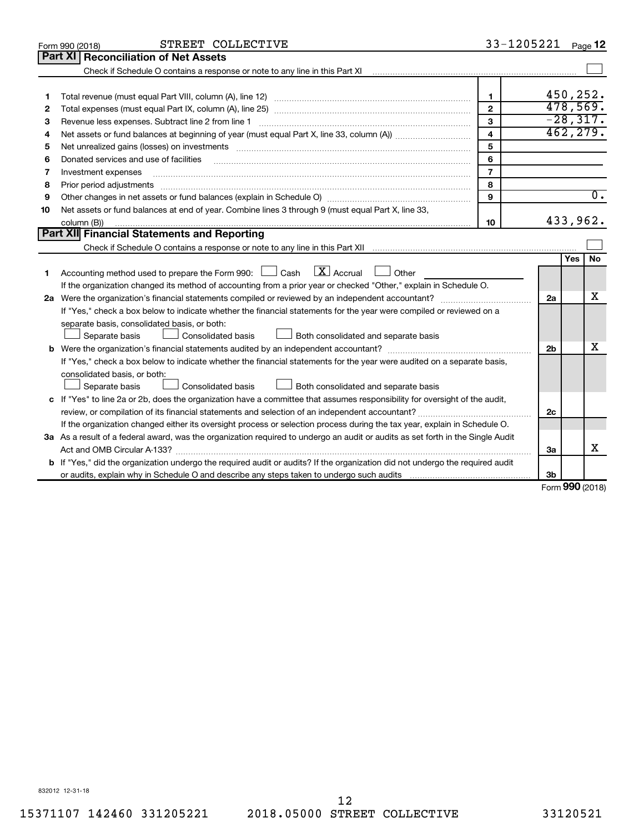|    | STREET COLLECTIVE<br>Form 990 (2018)                                                                                                                              | 33-1205221     |    |                   | Page 12          |
|----|-------------------------------------------------------------------------------------------------------------------------------------------------------------------|----------------|----|-------------------|------------------|
|    | Part XI<br><b>Reconciliation of Net Assets</b>                                                                                                                    |                |    |                   |                  |
|    | Check if Schedule O contains a response or note to any line in this Part XI [11] [12] Check if Schedule O contains a response or note to any line in this Part XI |                |    |                   |                  |
|    |                                                                                                                                                                   |                |    |                   |                  |
| 1  |                                                                                                                                                                   | 1              |    |                   | 450,252.         |
| 2  |                                                                                                                                                                   | $\overline{2}$ |    |                   | 478,569.         |
| 3  | Revenue less expenses. Subtract line 2 from line 1                                                                                                                | 3              |    |                   | $-28, 317.$      |
| 4  |                                                                                                                                                                   | 4              |    |                   | 462, 279.        |
| 5  |                                                                                                                                                                   | 5              |    |                   |                  |
| 6  | Donated services and use of facilities                                                                                                                            | 6              |    |                   |                  |
| 7  | Investment expenses                                                                                                                                               | $\overline{7}$ |    |                   |                  |
| 8  | Prior period adjustments                                                                                                                                          | 8              |    |                   |                  |
| 9  |                                                                                                                                                                   | 9              |    |                   | $\overline{0}$ . |
| 10 | Net assets or fund balances at end of year. Combine lines 3 through 9 (must equal Part X, line 33,                                                                |                |    |                   |                  |
|    | column (B))                                                                                                                                                       | 10             |    |                   | 433,962.         |
|    | Part XII Financial Statements and Reporting                                                                                                                       |                |    |                   |                  |
|    |                                                                                                                                                                   |                |    |                   |                  |
| 1  | $\lfloor x \rfloor$ Accrual<br>Accounting method used to prepare the Form 990: $\Box$ Cash<br>Other                                                               |                |    | Yes               | No               |
|    | If the organization changed its method of accounting from a prior year or checked "Other," explain in Schedule O.                                                 |                |    |                   |                  |
|    |                                                                                                                                                                   |                | 2a |                   | x                |
|    | If "Yes," check a box below to indicate whether the financial statements for the year were compiled or reviewed on a                                              |                |    |                   |                  |
|    | separate basis, consolidated basis, or both:                                                                                                                      |                |    |                   |                  |
|    | Separate basis<br>Consolidated basis<br>Both consolidated and separate basis                                                                                      |                |    |                   |                  |
|    |                                                                                                                                                                   |                | 2b |                   | x                |
|    | If "Yes," check a box below to indicate whether the financial statements for the year were audited on a separate basis,                                           |                |    |                   |                  |
|    | consolidated basis, or both:                                                                                                                                      |                |    |                   |                  |
|    | Separate basis<br>Consolidated basis<br>Both consolidated and separate basis                                                                                      |                |    |                   |                  |
|    | c If "Yes" to line 2a or 2b, does the organization have a committee that assumes responsibility for oversight of the audit,                                       |                |    |                   |                  |
|    | review, or compilation of its financial statements and selection of an independent accountant?                                                                    |                | 2c |                   |                  |
|    | If the organization changed either its oversight process or selection process during the tax year, explain in Schedule O.                                         |                |    |                   |                  |
|    | 3a As a result of a federal award, was the organization required to undergo an audit or audits as set forth in the Single Audit                                   |                |    |                   |                  |
|    |                                                                                                                                                                   |                | 3a |                   | x                |
|    | <b>b</b> If "Yes," did the organization undergo the required audit or audits? If the organization did not undergo the required audit                              |                |    |                   |                  |
|    |                                                                                                                                                                   |                | Зb |                   |                  |
|    |                                                                                                                                                                   |                |    | $000 \, \text{m}$ |                  |

Form (2018) **990**

832012 12-31-18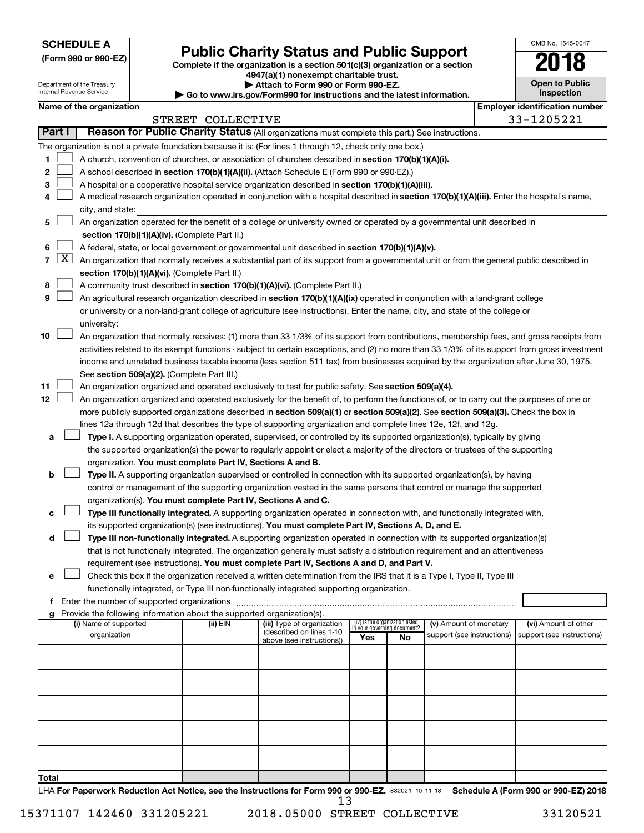**SCHEDULE A**

# **Public Charity Status and Public Support**

**(Form 990 or 990-EZ) Complete if the organization is a section 501(c)(3) organization or a section**

**4947(a)(1) nonexempt charitable trust.**

| <b>Open to Public</b><br>Inspection |
|-------------------------------------|
| r identification numbe              |

OMB No. 1545-0047

|                |                     | Department of the Treasury<br>Internal Revenue Service | Attach to Form 990 or Form 990-EZ.                                     | <b>Open to Public</b><br><b>Inspection</b>                                                                                                                                                                                      |                                 |                             |                            |  |                                       |
|----------------|---------------------|--------------------------------------------------------|------------------------------------------------------------------------|---------------------------------------------------------------------------------------------------------------------------------------------------------------------------------------------------------------------------------|---------------------------------|-----------------------------|----------------------------|--|---------------------------------------|
|                |                     | Name of the organization                               |                                                                        | Go to www.irs.gov/Form990 for instructions and the latest information.                                                                                                                                                          |                                 |                             |                            |  | <b>Employer identification number</b> |
|                |                     |                                                        | STREET COLLECTIVE                                                      |                                                                                                                                                                                                                                 |                                 |                             |                            |  | 33-1205221                            |
|                | Part I              |                                                        |                                                                        | Reason for Public Charity Status (All organizations must complete this part.) See instructions.                                                                                                                                 |                                 |                             |                            |  |                                       |
|                |                     |                                                        |                                                                        | The organization is not a private foundation because it is: (For lines 1 through 12, check only one box.)                                                                                                                       |                                 |                             |                            |  |                                       |
| 1              |                     |                                                        |                                                                        | A church, convention of churches, or association of churches described in section 170(b)(1)(A)(i).                                                                                                                              |                                 |                             |                            |  |                                       |
| 2              |                     |                                                        |                                                                        | A school described in section 170(b)(1)(A)(ii). (Attach Schedule E (Form 990 or 990-EZ).)                                                                                                                                       |                                 |                             |                            |  |                                       |
| 3              |                     |                                                        |                                                                        | A hospital or a cooperative hospital service organization described in section 170(b)(1)(A)(iii).                                                                                                                               |                                 |                             |                            |  |                                       |
| 4              |                     |                                                        |                                                                        | A medical research organization operated in conjunction with a hospital described in section 170(b)(1)(A)(iii). Enter the hospital's name,                                                                                      |                                 |                             |                            |  |                                       |
|                |                     | city, and state:                                       |                                                                        |                                                                                                                                                                                                                                 |                                 |                             |                            |  |                                       |
| 5              |                     |                                                        |                                                                        | An organization operated for the benefit of a college or university owned or operated by a governmental unit described in                                                                                                       |                                 |                             |                            |  |                                       |
|                |                     |                                                        | section 170(b)(1)(A)(iv). (Complete Part II.)                          |                                                                                                                                                                                                                                 |                                 |                             |                            |  |                                       |
| 6              |                     |                                                        |                                                                        | A federal, state, or local government or governmental unit described in section 170(b)(1)(A)(v).                                                                                                                                |                                 |                             |                            |  |                                       |
| $\overline{7}$ | $\lfloor x \rfloor$ |                                                        |                                                                        | An organization that normally receives a substantial part of its support from a governmental unit or from the general public described in                                                                                       |                                 |                             |                            |  |                                       |
|                |                     |                                                        | section 170(b)(1)(A)(vi). (Complete Part II.)                          |                                                                                                                                                                                                                                 |                                 |                             |                            |  |                                       |
| 8              |                     |                                                        |                                                                        | A community trust described in section 170(b)(1)(A)(vi). (Complete Part II.)                                                                                                                                                    |                                 |                             |                            |  |                                       |
| 9              |                     |                                                        |                                                                        | An agricultural research organization described in section 170(b)(1)(A)(ix) operated in conjunction with a land-grant college                                                                                                   |                                 |                             |                            |  |                                       |
|                |                     |                                                        |                                                                        | or university or a non-land-grant college of agriculture (see instructions). Enter the name, city, and state of the college or                                                                                                  |                                 |                             |                            |  |                                       |
|                |                     | university:                                            |                                                                        |                                                                                                                                                                                                                                 |                                 |                             |                            |  |                                       |
| 10             |                     |                                                        |                                                                        | An organization that normally receives: (1) more than 33 1/3% of its support from contributions, membership fees, and gross receipts from                                                                                       |                                 |                             |                            |  |                                       |
|                |                     |                                                        |                                                                        | activities related to its exempt functions - subject to certain exceptions, and (2) no more than 33 1/3% of its support from gross investment                                                                                   |                                 |                             |                            |  |                                       |
|                |                     |                                                        |                                                                        | income and unrelated business taxable income (less section 511 tax) from businesses acquired by the organization after June 30, 1975.                                                                                           |                                 |                             |                            |  |                                       |
|                |                     |                                                        | See section 509(a)(2). (Complete Part III.)                            |                                                                                                                                                                                                                                 |                                 |                             |                            |  |                                       |
| 11             |                     |                                                        |                                                                        | An organization organized and operated exclusively to test for public safety. See section 509(a)(4).                                                                                                                            |                                 |                             |                            |  |                                       |
| 12             |                     |                                                        |                                                                        | An organization organized and operated exclusively for the benefit of, to perform the functions of, or to carry out the purposes of one or                                                                                      |                                 |                             |                            |  |                                       |
|                |                     |                                                        |                                                                        | more publicly supported organizations described in section 509(a)(1) or section 509(a)(2). See section 509(a)(3). Check the box in                                                                                              |                                 |                             |                            |  |                                       |
|                |                     |                                                        |                                                                        | lines 12a through 12d that describes the type of supporting organization and complete lines 12e, 12f, and 12g.                                                                                                                  |                                 |                             |                            |  |                                       |
| а              |                     |                                                        |                                                                        | Type I. A supporting organization operated, supervised, or controlled by its supported organization(s), typically by giving                                                                                                     |                                 |                             |                            |  |                                       |
|                |                     |                                                        |                                                                        | the supported organization(s) the power to regularly appoint or elect a majority of the directors or trustees of the supporting                                                                                                 |                                 |                             |                            |  |                                       |
|                |                     |                                                        | organization. You must complete Part IV, Sections A and B.             |                                                                                                                                                                                                                                 |                                 |                             |                            |  |                                       |
| b              |                     |                                                        |                                                                        | Type II. A supporting organization supervised or controlled in connection with its supported organization(s), by having                                                                                                         |                                 |                             |                            |  |                                       |
|                |                     |                                                        |                                                                        | control or management of the supporting organization vested in the same persons that control or manage the supported                                                                                                            |                                 |                             |                            |  |                                       |
|                |                     |                                                        | organization(s). You must complete Part IV, Sections A and C.          |                                                                                                                                                                                                                                 |                                 |                             |                            |  |                                       |
| с              |                     |                                                        |                                                                        | Type III functionally integrated. A supporting organization operated in connection with, and functionally integrated with,                                                                                                      |                                 |                             |                            |  |                                       |
| d              |                     |                                                        |                                                                        | its supported organization(s) (see instructions). You must complete Part IV, Sections A, D, and E.<br>Type III non-functionally integrated. A supporting organization operated in connection with its supported organization(s) |                                 |                             |                            |  |                                       |
|                |                     |                                                        |                                                                        | that is not functionally integrated. The organization generally must satisfy a distribution requirement and an attentiveness                                                                                                    |                                 |                             |                            |  |                                       |
|                |                     |                                                        |                                                                        | requirement (see instructions). You must complete Part IV, Sections A and D, and Part V.                                                                                                                                        |                                 |                             |                            |  |                                       |
| е              |                     |                                                        |                                                                        | Check this box if the organization received a written determination from the IRS that it is a Type I, Type II, Type III                                                                                                         |                                 |                             |                            |  |                                       |
|                |                     |                                                        |                                                                        | functionally integrated, or Type III non-functionally integrated supporting organization.                                                                                                                                       |                                 |                             |                            |  |                                       |
|                |                     |                                                        |                                                                        |                                                                                                                                                                                                                                 |                                 |                             |                            |  |                                       |
|                |                     |                                                        | Provide the following information about the supported organization(s). |                                                                                                                                                                                                                                 |                                 |                             |                            |  |                                       |
|                |                     | (i) Name of supported                                  | (ii) EIN                                                               | (iii) Type of organization                                                                                                                                                                                                      | (iv) Is the organization listed | in your governing document? | (v) Amount of monetary     |  | (vi) Amount of other                  |
|                |                     | organization                                           |                                                                        | (described on lines 1-10<br>above (see instructions))                                                                                                                                                                           | Yes                             | No                          | support (see instructions) |  | support (see instructions)            |
|                |                     |                                                        |                                                                        |                                                                                                                                                                                                                                 |                                 |                             |                            |  |                                       |
|                |                     |                                                        |                                                                        |                                                                                                                                                                                                                                 |                                 |                             |                            |  |                                       |
|                |                     |                                                        |                                                                        |                                                                                                                                                                                                                                 |                                 |                             |                            |  |                                       |
|                |                     |                                                        |                                                                        |                                                                                                                                                                                                                                 |                                 |                             |                            |  |                                       |
|                |                     |                                                        |                                                                        |                                                                                                                                                                                                                                 |                                 |                             |                            |  |                                       |
|                |                     |                                                        |                                                                        |                                                                                                                                                                                                                                 |                                 |                             |                            |  |                                       |
|                |                     |                                                        |                                                                        |                                                                                                                                                                                                                                 |                                 |                             |                            |  |                                       |
|                |                     |                                                        |                                                                        |                                                                                                                                                                                                                                 |                                 |                             |                            |  |                                       |
|                |                     |                                                        |                                                                        |                                                                                                                                                                                                                                 |                                 |                             |                            |  |                                       |
| Total          |                     |                                                        |                                                                        |                                                                                                                                                                                                                                 |                                 |                             |                            |  |                                       |

LHA For Paperwork Reduction Act Notice, see the Instructions for Form 990 or 990-EZ. 832021 10-11-18 Schedule A (Form 990 or 990-EZ) 2018 13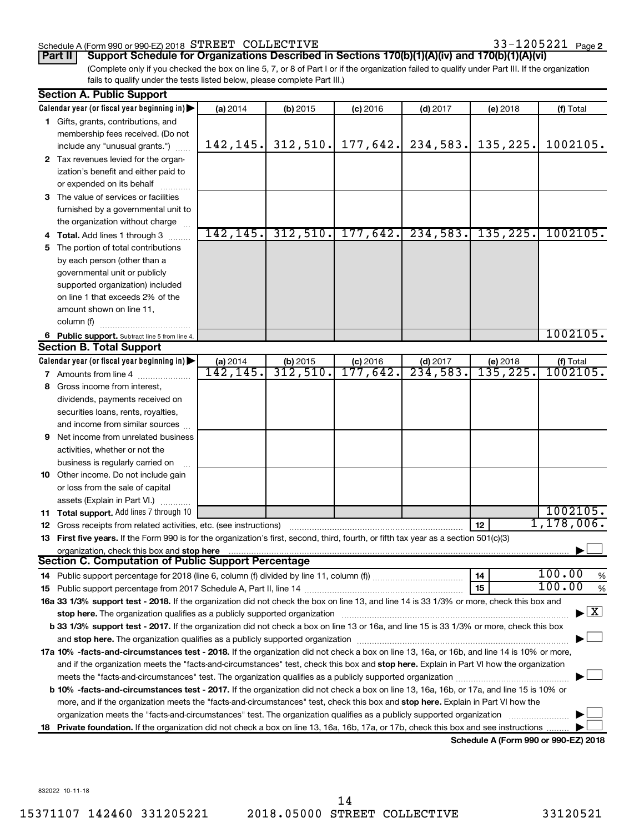#### Schedule A (Form 990 or 990-EZ) 2018  $\texttt{STREF\ }\texttt{COLLECTIVE}\ \textcolor{red}{\bullet} \textcolor{red}{\bullet} \textcolor{red}{\bullet} \textcolor{red}{\bullet} \textcolor{red}{\bullet} 33\,\textcolor{red}{\bullet}\,\textcolor{red}{\bullet} 221\ \textcolor{red}{\bullet} \textcolor{red}{\bullet} \textcolor{red}{\bullet}$

33-1205221 Page 2

(Complete only if you checked the box on line 5, 7, or 8 of Part I or if the organization failed to qualify under Part III. If the organization **Part II Support Schedule for Organizations Described in Sections 170(b)(1)(A)(iv) and 170(b)(1)(A)(vi)**

fails to qualify under the tests listed below, please complete Part III.)

|     | <b>Section A. Public Support</b>                                                                                                                                                                                                                           |           |            |            |                                                   |                                      |                                    |  |  |  |
|-----|------------------------------------------------------------------------------------------------------------------------------------------------------------------------------------------------------------------------------------------------------------|-----------|------------|------------|---------------------------------------------------|--------------------------------------|------------------------------------|--|--|--|
|     | Calendar year (or fiscal year beginning in)                                                                                                                                                                                                                | (a) 2014  | $(b)$ 2015 | $(c)$ 2016 | $(d)$ 2017                                        | (e) 2018                             | (f) Total                          |  |  |  |
|     | 1 Gifts, grants, contributions, and                                                                                                                                                                                                                        |           |            |            |                                                   |                                      |                                    |  |  |  |
|     | membership fees received. (Do not                                                                                                                                                                                                                          |           |            |            |                                                   |                                      |                                    |  |  |  |
|     | include any "unusual grants.")                                                                                                                                                                                                                             | 142, 145. | 312,510.   | 177,642.   | 234,583.                                          | 135,225.                             | 1002105.                           |  |  |  |
|     | 2 Tax revenues levied for the organ-                                                                                                                                                                                                                       |           |            |            |                                                   |                                      |                                    |  |  |  |
|     | ization's benefit and either paid to                                                                                                                                                                                                                       |           |            |            |                                                   |                                      |                                    |  |  |  |
|     | or expended on its behalf                                                                                                                                                                                                                                  |           |            |            |                                                   |                                      |                                    |  |  |  |
|     | 3 The value of services or facilities                                                                                                                                                                                                                      |           |            |            |                                                   |                                      |                                    |  |  |  |
|     | furnished by a governmental unit to                                                                                                                                                                                                                        |           |            |            |                                                   |                                      |                                    |  |  |  |
|     | the organization without charge                                                                                                                                                                                                                            |           |            |            |                                                   |                                      |                                    |  |  |  |
|     | <b>Total.</b> Add lines 1 through 3                                                                                                                                                                                                                        |           |            |            | 142, 145, 312, 510, 177, 642, 234, 583, 135, 225. |                                      | 1002105.                           |  |  |  |
|     | 5 The portion of total contributions                                                                                                                                                                                                                       |           |            |            |                                                   |                                      |                                    |  |  |  |
|     | by each person (other than a                                                                                                                                                                                                                               |           |            |            |                                                   |                                      |                                    |  |  |  |
|     | governmental unit or publicly                                                                                                                                                                                                                              |           |            |            |                                                   |                                      |                                    |  |  |  |
|     | supported organization) included                                                                                                                                                                                                                           |           |            |            |                                                   |                                      |                                    |  |  |  |
|     | on line 1 that exceeds 2% of the                                                                                                                                                                                                                           |           |            |            |                                                   |                                      |                                    |  |  |  |
|     | amount shown on line 11,                                                                                                                                                                                                                                   |           |            |            |                                                   |                                      |                                    |  |  |  |
|     | column (f)                                                                                                                                                                                                                                                 |           |            |            |                                                   |                                      |                                    |  |  |  |
|     | 6 Public support. Subtract line 5 from line 4.                                                                                                                                                                                                             |           |            |            |                                                   |                                      | 1002105.                           |  |  |  |
|     | <b>Section B. Total Support</b>                                                                                                                                                                                                                            |           |            |            |                                                   |                                      |                                    |  |  |  |
|     | Calendar year (or fiscal year beginning in)                                                                                                                                                                                                                | (a) 2014  | $(b)$ 2015 | $(c)$ 2016 | $(d)$ 2017                                        | (e) 2018                             | (f) Total                          |  |  |  |
|     | <b>7</b> Amounts from line 4                                                                                                                                                                                                                               | 142,145.  | 312,510.   | 177,642.   | 234,583.                                          | 135, 225.                            | 1002105.                           |  |  |  |
|     | 8 Gross income from interest,                                                                                                                                                                                                                              |           |            |            |                                                   |                                      |                                    |  |  |  |
|     | dividends, payments received on                                                                                                                                                                                                                            |           |            |            |                                                   |                                      |                                    |  |  |  |
|     | securities loans, rents, royalties,                                                                                                                                                                                                                        |           |            |            |                                                   |                                      |                                    |  |  |  |
|     | and income from similar sources                                                                                                                                                                                                                            |           |            |            |                                                   |                                      |                                    |  |  |  |
| 9   | Net income from unrelated business                                                                                                                                                                                                                         |           |            |            |                                                   |                                      |                                    |  |  |  |
|     | activities, whether or not the                                                                                                                                                                                                                             |           |            |            |                                                   |                                      |                                    |  |  |  |
|     | business is regularly carried on                                                                                                                                                                                                                           |           |            |            |                                                   |                                      |                                    |  |  |  |
|     | 10 Other income. Do not include gain                                                                                                                                                                                                                       |           |            |            |                                                   |                                      |                                    |  |  |  |
|     | or loss from the sale of capital                                                                                                                                                                                                                           |           |            |            |                                                   |                                      |                                    |  |  |  |
|     | assets (Explain in Part VI.)                                                                                                                                                                                                                               |           |            |            |                                                   |                                      |                                    |  |  |  |
|     | 11 Total support. Add lines 7 through 10                                                                                                                                                                                                                   |           |            |            |                                                   |                                      | 1002105.                           |  |  |  |
|     | <b>12</b> Gross receipts from related activities, etc. (see instructions)                                                                                                                                                                                  |           |            |            |                                                   | 12                                   | $\overline{1}$ , 178, 006.         |  |  |  |
|     | 13 First five years. If the Form 990 is for the organization's first, second, third, fourth, or fifth tax year as a section 501(c)(3)                                                                                                                      |           |            |            |                                                   |                                      |                                    |  |  |  |
|     | organization, check this box and stop here                                                                                                                                                                                                                 |           |            |            |                                                   |                                      |                                    |  |  |  |
|     | Section C. Computation of Public Support Percentage                                                                                                                                                                                                        |           |            |            |                                                   |                                      |                                    |  |  |  |
|     |                                                                                                                                                                                                                                                            |           |            |            |                                                   | 14                                   | 100.00<br>%                        |  |  |  |
|     |                                                                                                                                                                                                                                                            |           |            |            |                                                   | 15                                   | 100.00<br>%                        |  |  |  |
|     | 16a 33 1/3% support test - 2018. If the organization did not check the box on line 13, and line 14 is 33 1/3% or more, check this box and                                                                                                                  |           |            |            |                                                   |                                      |                                    |  |  |  |
|     | stop here. The organization qualifies as a publicly supported organization                                                                                                                                                                                 |           |            |            |                                                   |                                      | $\blacktriangleright$ $\mathbf{X}$ |  |  |  |
|     | b 33 1/3% support test - 2017. If the organization did not check a box on line 13 or 16a, and line 15 is 33 1/3% or more, check this box                                                                                                                   |           |            |            |                                                   |                                      |                                    |  |  |  |
|     |                                                                                                                                                                                                                                                            |           |            |            |                                                   |                                      |                                    |  |  |  |
|     | 17a 10% -facts-and-circumstances test - 2018. If the organization did not check a box on line 13, 16a, or 16b, and line 14 is 10% or more,                                                                                                                 |           |            |            |                                                   |                                      |                                    |  |  |  |
|     | and if the organization meets the "facts-and-circumstances" test, check this box and stop here. Explain in Part VI how the organization                                                                                                                    |           |            |            |                                                   |                                      |                                    |  |  |  |
|     |                                                                                                                                                                                                                                                            |           |            |            |                                                   |                                      |                                    |  |  |  |
|     | b 10% -facts-and-circumstances test - 2017. If the organization did not check a box on line 13, 16a, 16b, or 17a, and line 15 is 10% or                                                                                                                    |           |            |            |                                                   |                                      |                                    |  |  |  |
|     |                                                                                                                                                                                                                                                            |           |            |            |                                                   |                                      |                                    |  |  |  |
|     | more, and if the organization meets the "facts-and-circumstances" test, check this box and stop here. Explain in Part VI how the<br>organization meets the "facts-and-circumstances" test. The organization qualifies as a publicly supported organization |           |            |            |                                                   |                                      |                                    |  |  |  |
| 18. | Private foundation. If the organization did not check a box on line 13, 16a, 16b, 17a, or 17b, check this box and see instructions                                                                                                                         |           |            |            |                                                   |                                      |                                    |  |  |  |
|     |                                                                                                                                                                                                                                                            |           |            |            |                                                   | Schodule A (Form 000 or 000 F7) 2018 |                                    |  |  |  |

**Schedule A (Form 990 or 990-EZ) 2018**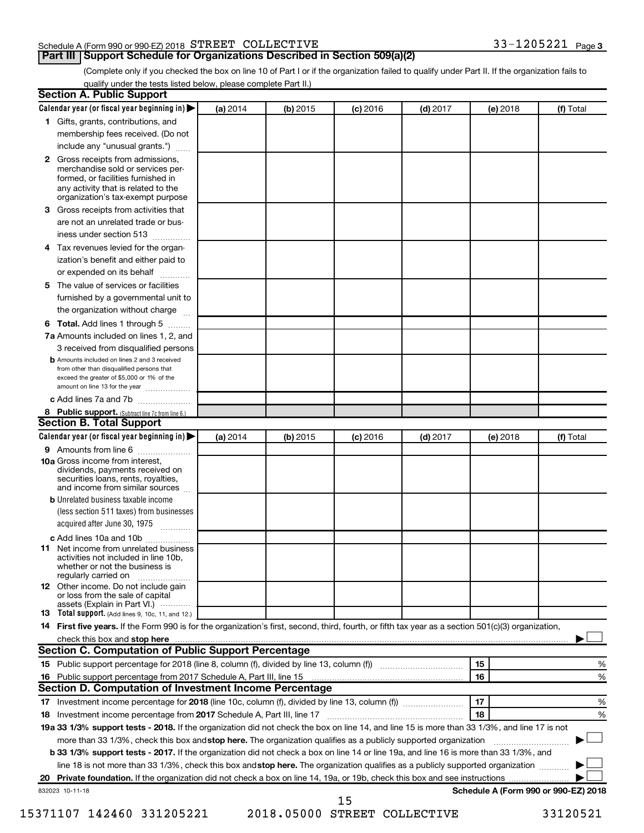#### Schedule A (Form 990 or 990-EZ) 2018  $\texttt{STREF\ }\texttt{COLLECTIVE}\ \textcolor{red}{\bullet} \textcolor{red}{\bullet} \textcolor{red}{\bullet} \textcolor{red}{\bullet} \textcolor{red}{\bullet} 33\,\textcolor{red}{\bullet}\,\textcolor{red}{\bullet} 221\ \textcolor{red}{\bullet} \textcolor{red}{\bullet} \textcolor{red}{\bullet}$

(Complete only if you checked the box on line 10 of Part I or if the organization failed to qualify under Part II. If the organization fails to qualify under the tests listed below, please complete Part II.)

| <b>Section A. Public Support</b>                                                                                                                                                         |          |          |            |            |          |                                      |
|------------------------------------------------------------------------------------------------------------------------------------------------------------------------------------------|----------|----------|------------|------------|----------|--------------------------------------|
| Calendar year (or fiscal year beginning in)                                                                                                                                              | (a) 2014 | (b) 2015 | $(c)$ 2016 | $(d)$ 2017 | (e) 2018 | (f) Total                            |
| 1 Gifts, grants, contributions, and                                                                                                                                                      |          |          |            |            |          |                                      |
| membership fees received. (Do not                                                                                                                                                        |          |          |            |            |          |                                      |
| include any "unusual grants.")                                                                                                                                                           |          |          |            |            |          |                                      |
| 2 Gross receipts from admissions,<br>merchandise sold or services per-<br>formed, or facilities furnished in<br>any activity that is related to the<br>organization's tax-exempt purpose |          |          |            |            |          |                                      |
| 3 Gross receipts from activities that                                                                                                                                                    |          |          |            |            |          |                                      |
| are not an unrelated trade or bus-<br>iness under section 513                                                                                                                            |          |          |            |            |          |                                      |
| 4 Tax revenues levied for the organ-                                                                                                                                                     |          |          |            |            |          |                                      |
| ization's benefit and either paid to<br>or expended on its behalf                                                                                                                        |          |          |            |            |          |                                      |
| 5 The value of services or facilities                                                                                                                                                    |          |          |            |            |          |                                      |
| furnished by a governmental unit to<br>the organization without charge                                                                                                                   |          |          |            |            |          |                                      |
| <b>6 Total.</b> Add lines 1 through 5                                                                                                                                                    |          |          |            |            |          |                                      |
| 7a Amounts included on lines 1, 2, and                                                                                                                                                   |          |          |            |            |          |                                      |
| 3 received from disqualified persons                                                                                                                                                     |          |          |            |            |          |                                      |
| <b>b</b> Amounts included on lines 2 and 3 received<br>from other than disqualified persons that<br>exceed the greater of \$5,000 or 1% of the<br>amount on line 13 for the year         |          |          |            |            |          |                                      |
| c Add lines 7a and 7b                                                                                                                                                                    |          |          |            |            |          |                                      |
| 8 Public support. (Subtract line 7c from line 6.)<br><b>Section B. Total Support</b>                                                                                                     |          |          |            |            |          |                                      |
| Calendar year (or fiscal year beginning in)                                                                                                                                              | (a) 2014 | (b) 2015 | (c) 2016   | $(d)$ 2017 | (e) 2018 | (f) Total                            |
| <b>9</b> Amounts from line 6                                                                                                                                                             |          |          |            |            |          |                                      |
| <b>10a</b> Gross income from interest,<br>dividends, payments received on<br>securities loans, rents, royalties,<br>and income from similar sources                                      |          |          |            |            |          |                                      |
| <b>b</b> Unrelated business taxable income<br>(less section 511 taxes) from businesses<br>acquired after June 30, 1975<br>$\frac{1}{2}$                                                  |          |          |            |            |          |                                      |
| c Add lines 10a and 10b                                                                                                                                                                  |          |          |            |            |          |                                      |
| 11 Net income from unrelated business<br>activities not included in line 10b.<br>whether or not the business is<br>regularly carried on                                                  |          |          |            |            |          |                                      |
| <b>12</b> Other income. Do not include gain<br>or loss from the sale of capital<br>assets (Explain in Part VI.)                                                                          |          |          |            |            |          |                                      |
| <b>13</b> Total support. (Add lines 9, 10c, 11, and 12.)                                                                                                                                 |          |          |            |            |          |                                      |
| 14 First five years. If the Form 990 is for the organization's first, second, third, fourth, or fifth tax year as a section 501(c)(3) organization,                                      |          |          |            |            |          |                                      |
|                                                                                                                                                                                          |          |          |            |            |          |                                      |
| Section C. Computation of Public Support Percentage                                                                                                                                      |          |          |            |            |          |                                      |
|                                                                                                                                                                                          |          |          |            |            | 15       | %                                    |
| 16 Public support percentage from 2017 Schedule A, Part III, line 15                                                                                                                     |          |          |            |            | 16       | %                                    |
| Section D. Computation of Investment Income Percentage                                                                                                                                   |          |          |            |            |          |                                      |
| 18 Investment income percentage from 2017 Schedule A, Part III, line 17                                                                                                                  |          |          |            |            | 17<br>18 | %<br>%                               |
| 19a 33 1/3% support tests - 2018. If the organization did not check the box on line 14, and line 15 is more than 33 1/3%, and line 17 is not                                             |          |          |            |            |          |                                      |
| more than 33 1/3%, check this box and stop here. The organization qualifies as a publicly supported organization                                                                         |          |          |            |            |          |                                      |
| b 33 1/3% support tests - 2017. If the organization did not check a box on line 14 or line 19a, and line 16 is more than 33 1/3%, and                                                    |          |          |            |            |          |                                      |
| line 18 is not more than 33 1/3%, check this box and stop here. The organization qualifies as a publicly supported organization                                                          |          |          |            |            |          |                                      |
|                                                                                                                                                                                          |          |          |            |            |          |                                      |
| 832023 10-11-18                                                                                                                                                                          |          |          |            |            |          | Schedule A (Form 990 or 990-EZ) 2018 |
|                                                                                                                                                                                          |          |          | 15         |            |          |                                      |

15371107 142460 331205221 2018.05000 STREET COLLECTIVE 33120521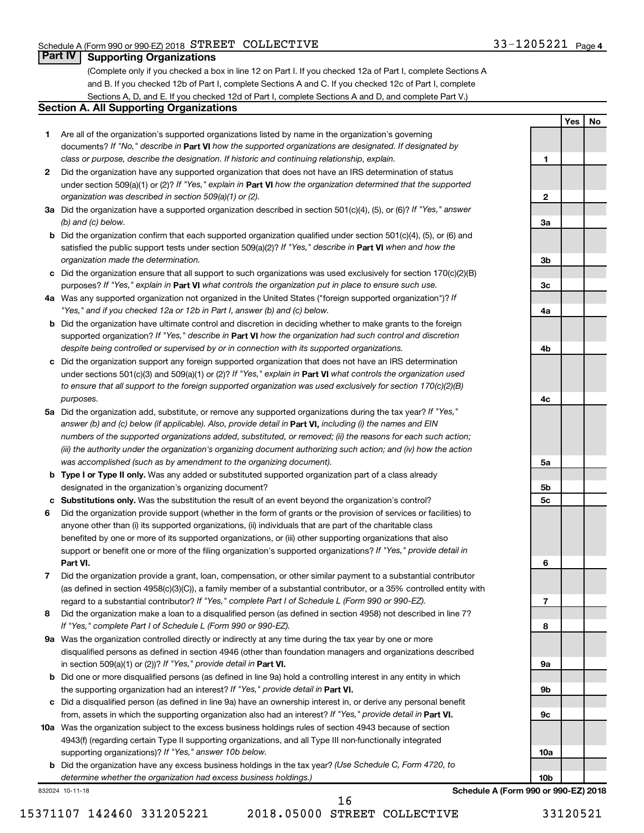**1**

**2**

**3a**

**3b**

**3c**

**4a**

**4b**

**4c**

**5a**

**5b 5c**

**6**

**7**

**8**

**9a**

**9b**

**9c**

**10a**

**10b**

**Yes No**

### **Part IV Supporting Organizations**

(Complete only if you checked a box in line 12 on Part I. If you checked 12a of Part I, complete Sections A and B. If you checked 12b of Part I, complete Sections A and C. If you checked 12c of Part I, complete Sections A, D, and E. If you checked 12d of Part I, complete Sections A and D, and complete Part V.)

#### **Section A. All Supporting Organizations**

- **1** Are all of the organization's supported organizations listed by name in the organization's governing documents? If "No," describe in Part VI how the supported organizations are designated. If designated by *class or purpose, describe the designation. If historic and continuing relationship, explain.*
- **2** Did the organization have any supported organization that does not have an IRS determination of status under section 509(a)(1) or (2)? If "Yes," explain in Part **VI** how the organization determined that the supported *organization was described in section 509(a)(1) or (2).*
- **3a** Did the organization have a supported organization described in section 501(c)(4), (5), or (6)? If "Yes," answer *(b) and (c) below.*
- **b** Did the organization confirm that each supported organization qualified under section 501(c)(4), (5), or (6) and satisfied the public support tests under section 509(a)(2)? If "Yes," describe in Part VI when and how the *organization made the determination.*
- **c** Did the organization ensure that all support to such organizations was used exclusively for section 170(c)(2)(B) purposes? If "Yes," explain in Part VI what controls the organization put in place to ensure such use.
- **4 a** *If* Was any supported organization not organized in the United States ("foreign supported organization")? *"Yes," and if you checked 12a or 12b in Part I, answer (b) and (c) below.*
- **b** Did the organization have ultimate control and discretion in deciding whether to make grants to the foreign supported organization? If "Yes," describe in Part VI how the organization had such control and discretion *despite being controlled or supervised by or in connection with its supported organizations.*
- **c** Did the organization support any foreign supported organization that does not have an IRS determination under sections 501(c)(3) and 509(a)(1) or (2)? If "Yes," explain in Part VI what controls the organization used *to ensure that all support to the foreign supported organization was used exclusively for section 170(c)(2)(B) purposes.*
- **5a** Did the organization add, substitute, or remove any supported organizations during the tax year? If "Yes," answer (b) and (c) below (if applicable). Also, provide detail in **Part VI,** including (i) the names and EIN *numbers of the supported organizations added, substituted, or removed; (ii) the reasons for each such action; (iii) the authority under the organization's organizing document authorizing such action; and (iv) how the action was accomplished (such as by amendment to the organizing document).*
- **b Type I or Type II only.** Was any added or substituted supported organization part of a class already designated in the organization's organizing document?
- **c Substitutions only.**  Was the substitution the result of an event beyond the organization's control?
- **6** Did the organization provide support (whether in the form of grants or the provision of services or facilities) to **Part VI.** support or benefit one or more of the filing organization's supported organizations? If "Yes," provide detail in anyone other than (i) its supported organizations, (ii) individuals that are part of the charitable class benefited by one or more of its supported organizations, or (iii) other supporting organizations that also
- **7** Did the organization provide a grant, loan, compensation, or other similar payment to a substantial contributor regard to a substantial contributor? If "Yes," complete Part I of Schedule L (Form 990 or 990-EZ). (as defined in section 4958(c)(3)(C)), a family member of a substantial contributor, or a 35% controlled entity with
- **8** Did the organization make a loan to a disqualified person (as defined in section 4958) not described in line 7? *If "Yes," complete Part I of Schedule L (Form 990 or 990-EZ).*
- **9 a** Was the organization controlled directly or indirectly at any time during the tax year by one or more in section 509(a)(1) or (2))? If "Yes," provide detail in **Part VI.** disqualified persons as defined in section 4946 (other than foundation managers and organizations described
- **b** Did one or more disqualified persons (as defined in line 9a) hold a controlling interest in any entity in which the supporting organization had an interest? If "Yes," provide detail in Part VI.
- **c** Did a disqualified person (as defined in line 9a) have an ownership interest in, or derive any personal benefit from, assets in which the supporting organization also had an interest? If "Yes," provide detail in Part VI.
- **10 a** Was the organization subject to the excess business holdings rules of section 4943 because of section supporting organizations)? If "Yes," answer 10b below. 4943(f) (regarding certain Type II supporting organizations, and all Type III non-functionally integrated
	- **b** Did the organization have any excess business holdings in the tax year? (Use Schedule C, Form 4720, to *determine whether the organization had excess business holdings.)*

832024 10-11-18

**Schedule A (Form 990 or 990-EZ) 2018**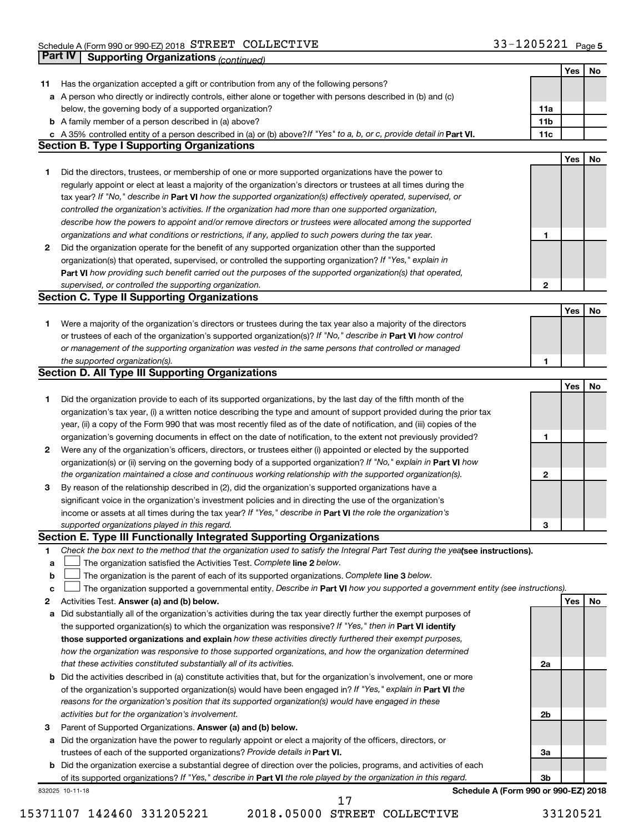|             | Part IV<br><b>Supporting Organizations (continued)</b>                                                                                                    |                 |     |    |
|-------------|-----------------------------------------------------------------------------------------------------------------------------------------------------------|-----------------|-----|----|
|             |                                                                                                                                                           |                 | Yes | No |
| 11          | Has the organization accepted a gift or contribution from any of the following persons?                                                                   |                 |     |    |
|             | a A person who directly or indirectly controls, either alone or together with persons described in (b) and (c)                                            |                 |     |    |
|             | below, the governing body of a supported organization?                                                                                                    | 11a             |     |    |
|             | <b>b</b> A family member of a person described in (a) above?                                                                                              | 11 <sub>b</sub> |     |    |
|             | c A 35% controlled entity of a person described in (a) or (b) above? If "Yes" to a, b, or c, provide detail in Part VI.                                   | 11c             |     |    |
|             | <b>Section B. Type I Supporting Organizations</b>                                                                                                         |                 |     |    |
|             |                                                                                                                                                           |                 | Yes | No |
| 1           | Did the directors, trustees, or membership of one or more supported organizations have the power to                                                       |                 |     |    |
|             | regularly appoint or elect at least a majority of the organization's directors or trustees at all times during the                                        |                 |     |    |
|             | tax year? If "No," describe in Part VI how the supported organization(s) effectively operated, supervised, or                                             |                 |     |    |
|             | controlled the organization's activities. If the organization had more than one supported organization,                                                   |                 |     |    |
|             | describe how the powers to appoint and/or remove directors or trustees were allocated among the supported                                                 |                 |     |    |
|             | organizations and what conditions or restrictions, if any, applied to such powers during the tax year.                                                    | 1               |     |    |
| 2           | Did the organization operate for the benefit of any supported organization other than the supported                                                       |                 |     |    |
|             | organization(s) that operated, supervised, or controlled the supporting organization? If "Yes," explain in                                                |                 |     |    |
|             | Part VI how providing such benefit carried out the purposes of the supported organization(s) that operated,                                               |                 |     |    |
|             | supervised, or controlled the supporting organization.                                                                                                    | $\mathbf{2}$    |     |    |
|             | <b>Section C. Type II Supporting Organizations</b>                                                                                                        |                 |     |    |
|             |                                                                                                                                                           |                 | Yes | No |
| 1           | Were a majority of the organization's directors or trustees during the tax year also a majority of the directors                                          |                 |     |    |
|             | or trustees of each of the organization's supported organization(s)? If "No," describe in Part VI how control                                             |                 |     |    |
|             | or management of the supporting organization was vested in the same persons that controlled or managed                                                    |                 |     |    |
|             | the supported organization(s).                                                                                                                            | 1               |     |    |
|             | <b>Section D. All Type III Supporting Organizations</b>                                                                                                   |                 |     |    |
|             |                                                                                                                                                           |                 | Yes | No |
| 1           | Did the organization provide to each of its supported organizations, by the last day of the fifth month of the                                            |                 |     |    |
|             | organization's tax year, (i) a written notice describing the type and amount of support provided during the prior tax                                     |                 |     |    |
|             | year, (ii) a copy of the Form 990 that was most recently filed as of the date of notification, and (iii) copies of the                                    |                 |     |    |
|             | organization's governing documents in effect on the date of notification, to the extent not previously provided?                                          | 1               |     |    |
| 2           | Were any of the organization's officers, directors, or trustees either (i) appointed or elected by the supported                                          |                 |     |    |
|             | organization(s) or (ii) serving on the governing body of a supported organization? If "No," explain in Part VI how                                        |                 |     |    |
|             | the organization maintained a close and continuous working relationship with the supported organization(s).                                               | 2               |     |    |
| 3           | By reason of the relationship described in (2), did the organization's supported organizations have a                                                     |                 |     |    |
|             | significant voice in the organization's investment policies and in directing the use of the organization's                                                |                 |     |    |
|             | income or assets at all times during the tax year? If "Yes," describe in Part VI the role the organization's                                              |                 |     |    |
|             | supported organizations played in this regard.                                                                                                            | з               |     |    |
|             | Section E. Type III Functionally Integrated Supporting Organizations                                                                                      |                 |     |    |
| 1           | Check the box next to the method that the organization used to satisfy the Integral Part Test during the yealsee instructions).                           |                 |     |    |
| a           | The organization satisfied the Activities Test. Complete line 2 below.                                                                                    |                 |     |    |
| $\mathbf b$ | The organization is the parent of each of its supported organizations. Complete line 3 below.                                                             |                 |     |    |
| c           | The organization supported a governmental entity. Describe in Part VI how you supported a government entity (see instructions).                           |                 |     |    |
| 2           | Activities Test. Answer (a) and (b) below.                                                                                                                |                 | Yes | No |
| а           | Did substantially all of the organization's activities during the tax year directly further the exempt purposes of                                        |                 |     |    |
|             | the supported organization(s) to which the organization was responsive? If "Yes," then in Part VI identify                                                |                 |     |    |
|             | those supported organizations and explain how these activities directly furthered their exempt purposes,                                                  |                 |     |    |
|             | how the organization was responsive to those supported organizations, and how the organization determined                                                 |                 |     |    |
|             | that these activities constituted substantially all of its activities.                                                                                    | 2a              |     |    |
|             | b Did the activities described in (a) constitute activities that, but for the organization's involvement, one or more                                     |                 |     |    |
|             | of the organization's supported organization(s) would have been engaged in? If "Yes," explain in Part VI the                                              |                 |     |    |
|             | reasons for the organization's position that its supported organization(s) would have engaged in these                                                    |                 |     |    |
|             | activities but for the organization's involvement.                                                                                                        | 2b              |     |    |
| З           | Parent of Supported Organizations. Answer (a) and (b) below.                                                                                              |                 |     |    |
|             | a Did the organization have the power to regularly appoint or elect a majority of the officers, directors, or                                             |                 |     |    |
|             | trustees of each of the supported organizations? Provide details in Part VI.                                                                              | За              |     |    |
|             | <b>b</b> Did the organization exercise a substantial degree of direction over the policies, programs, and activities of each                              |                 |     |    |
|             | of its supported organizations? If "Yes," describe in Part VI the role played by the organization in this regard.<br>Schedule A (Form 990 or 990-EZ) 2018 | 3b              |     |    |
|             | 832025 10-11-18<br>17                                                                                                                                     |                 |     |    |

15371107 142460 331205221 2018.05000 STREET COLLECTIVE 33120521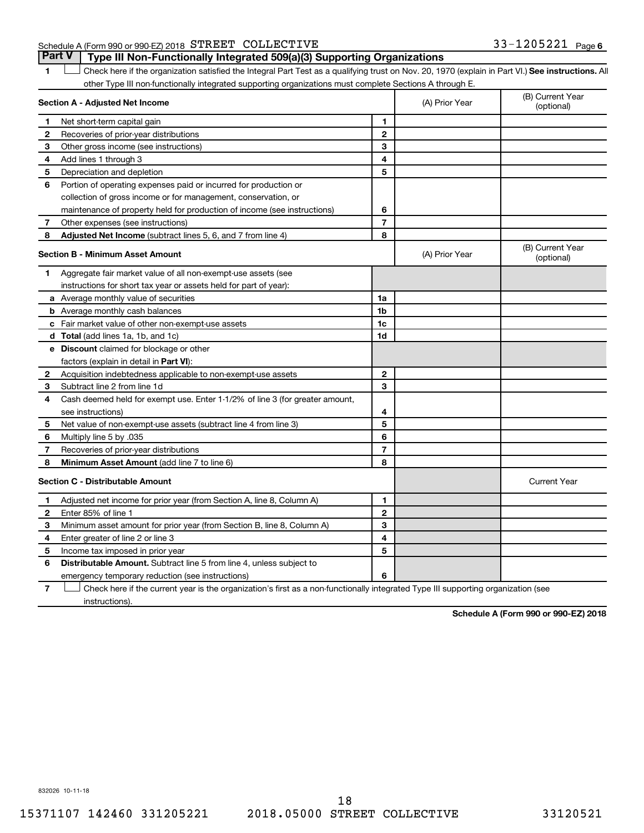#### Schedule A (Form 990 or 990-EZ) 2018  $\texttt{STREF\ }\texttt{COLLECTIVE}\ \textcolor{red}{\bullet} \textcolor{red}{\bullet} \textcolor{red}{\bullet} \textcolor{red}{\bullet} \textcolor{red}{\bullet} 33\,\textcolor{red}{\bullet}\,\textcolor{red}{\bullet} 221\ \textcolor{red}{\bullet} \textcolor{red}{\bullet} \textcolor{red}{\bullet}$

1 **Letter See instructions.** All Check here if the organization satisfied the Integral Part Test as a qualifying trust on Nov. 20, 1970 (explain in Part VI.) See instructions. All **Part V Type III Non-Functionally Integrated 509(a)(3) Supporting Organizations** 

other Type III non-functionally integrated supporting organizations must complete Sections A through E.

| Section A - Adjusted Net Income |                                                                                                                                   | (A) Prior Year | (B) Current Year<br>(optional) |                                |
|---------------------------------|-----------------------------------------------------------------------------------------------------------------------------------|----------------|--------------------------------|--------------------------------|
| 1                               | Net short-term capital gain                                                                                                       | 1              |                                |                                |
| 2                               | Recoveries of prior-year distributions                                                                                            | $\mathbf{2}$   |                                |                                |
| З                               | Other gross income (see instructions)                                                                                             | 3              |                                |                                |
| 4                               | Add lines 1 through 3                                                                                                             | 4              |                                |                                |
| 5                               | Depreciation and depletion                                                                                                        | 5              |                                |                                |
| 6                               | Portion of operating expenses paid or incurred for production or                                                                  |                |                                |                                |
|                                 | collection of gross income or for management, conservation, or                                                                    |                |                                |                                |
|                                 | maintenance of property held for production of income (see instructions)                                                          | 6              |                                |                                |
| 7                               | Other expenses (see instructions)                                                                                                 | $\overline{7}$ |                                |                                |
| 8                               | Adjusted Net Income (subtract lines 5, 6, and 7 from line 4)                                                                      | 8              |                                |                                |
|                                 | <b>Section B - Minimum Asset Amount</b>                                                                                           |                | (A) Prior Year                 | (B) Current Year<br>(optional) |
| 1                               | Aggregate fair market value of all non-exempt-use assets (see                                                                     |                |                                |                                |
|                                 | instructions for short tax year or assets held for part of year):                                                                 |                |                                |                                |
|                                 | <b>a</b> Average monthly value of securities                                                                                      | 1a             |                                |                                |
|                                 | <b>b</b> Average monthly cash balances                                                                                            | 1 <sub>b</sub> |                                |                                |
|                                 | <b>c</b> Fair market value of other non-exempt-use assets                                                                         | 1c             |                                |                                |
|                                 | d Total (add lines 1a, 1b, and 1c)                                                                                                | 1d             |                                |                                |
|                                 | e Discount claimed for blockage or other                                                                                          |                |                                |                                |
|                                 | factors (explain in detail in <b>Part VI</b> ):                                                                                   |                |                                |                                |
| 2                               | Acquisition indebtedness applicable to non-exempt-use assets                                                                      | $\mathbf{2}$   |                                |                                |
| 3                               | Subtract line 2 from line 1d                                                                                                      | 3              |                                |                                |
| 4                               | Cash deemed held for exempt use. Enter 1-1/2% of line 3 (for greater amount,                                                      |                |                                |                                |
|                                 | see instructions)                                                                                                                 | 4              |                                |                                |
| 5                               | Net value of non-exempt-use assets (subtract line 4 from line 3)                                                                  | 5              |                                |                                |
| 6                               | Multiply line 5 by .035                                                                                                           | 6              |                                |                                |
| 7                               | Recoveries of prior-year distributions                                                                                            | $\overline{7}$ |                                |                                |
| 8                               | <b>Minimum Asset Amount (add line 7 to line 6)</b>                                                                                | 8              |                                |                                |
|                                 | <b>Section C - Distributable Amount</b>                                                                                           |                |                                | <b>Current Year</b>            |
| 1                               | Adjusted net income for prior year (from Section A, line 8, Column A)                                                             | 1              |                                |                                |
| 2                               | Enter 85% of line 1                                                                                                               | $\mathbf{2}$   |                                |                                |
| З                               | Minimum asset amount for prior year (from Section B, line 8, Column A)                                                            | 3              |                                |                                |
| 4                               | Enter greater of line 2 or line 3                                                                                                 | 4              |                                |                                |
| 5                               | Income tax imposed in prior year                                                                                                  | 5              |                                |                                |
| 6                               | <b>Distributable Amount.</b> Subtract line 5 from line 4, unless subject to                                                       |                |                                |                                |
|                                 | emergency temporary reduction (see instructions)                                                                                  | 6              |                                |                                |
| 7                               | Check here if the current year is the organization's first as a non-functionally integrated Type III supporting organization (see |                |                                |                                |

instructions).

**Schedule A (Form 990 or 990-EZ) 2018**

832026 10-11-18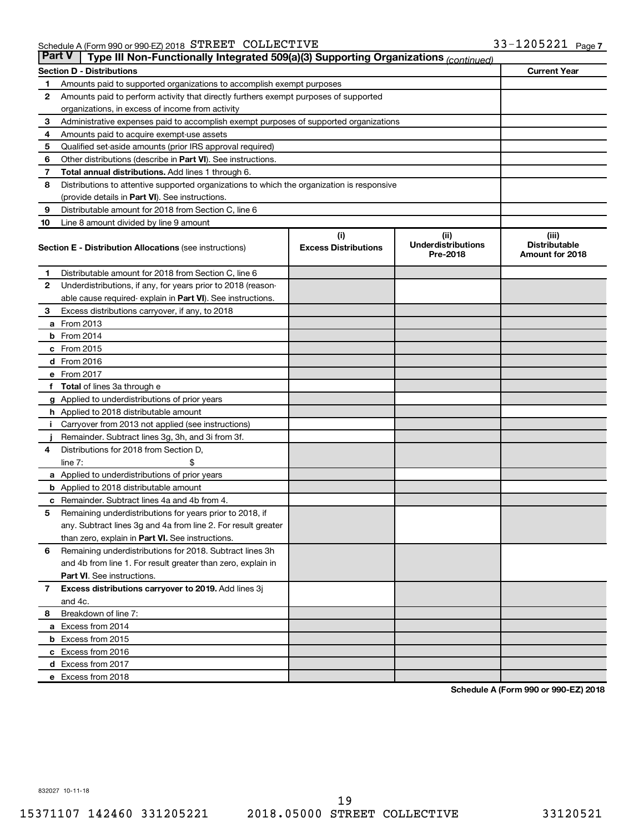| <b>Part V</b><br>Type III Non-Functionally Integrated 509(a)(3) Supporting Organizations (continued) |                                                                                            |                             |                                       |                                         |  |  |  |
|------------------------------------------------------------------------------------------------------|--------------------------------------------------------------------------------------------|-----------------------------|---------------------------------------|-----------------------------------------|--|--|--|
|                                                                                                      | <b>Current Year</b><br><b>Section D - Distributions</b>                                    |                             |                                       |                                         |  |  |  |
| 1                                                                                                    | Amounts paid to supported organizations to accomplish exempt purposes                      |                             |                                       |                                         |  |  |  |
| 2                                                                                                    | Amounts paid to perform activity that directly furthers exempt purposes of supported       |                             |                                       |                                         |  |  |  |
|                                                                                                      | organizations, in excess of income from activity                                           |                             |                                       |                                         |  |  |  |
| 3                                                                                                    | Administrative expenses paid to accomplish exempt purposes of supported organizations      |                             |                                       |                                         |  |  |  |
| 4                                                                                                    | Amounts paid to acquire exempt-use assets                                                  |                             |                                       |                                         |  |  |  |
| 5                                                                                                    | Qualified set-aside amounts (prior IRS approval required)                                  |                             |                                       |                                         |  |  |  |
| 6                                                                                                    | Other distributions (describe in Part VI). See instructions.                               |                             |                                       |                                         |  |  |  |
| 7                                                                                                    | Total annual distributions. Add lines 1 through 6.                                         |                             |                                       |                                         |  |  |  |
| 8                                                                                                    | Distributions to attentive supported organizations to which the organization is responsive |                             |                                       |                                         |  |  |  |
|                                                                                                      | (provide details in Part VI). See instructions.                                            |                             |                                       |                                         |  |  |  |
| 9                                                                                                    | Distributable amount for 2018 from Section C, line 6                                       |                             |                                       |                                         |  |  |  |
| 10                                                                                                   | Line 8 amount divided by line 9 amount                                                     |                             |                                       |                                         |  |  |  |
|                                                                                                      |                                                                                            | (i)                         | (ii)                                  | (iii)                                   |  |  |  |
|                                                                                                      | <b>Section E - Distribution Allocations (see instructions)</b>                             | <b>Excess Distributions</b> | <b>Underdistributions</b><br>Pre-2018 | <b>Distributable</b><br>Amount for 2018 |  |  |  |
| 1.                                                                                                   | Distributable amount for 2018 from Section C, line 6                                       |                             |                                       |                                         |  |  |  |
| $\mathbf{2}$                                                                                         | Underdistributions, if any, for years prior to 2018 (reason-                               |                             |                                       |                                         |  |  |  |
|                                                                                                      | able cause required- explain in Part VI). See instructions.                                |                             |                                       |                                         |  |  |  |
| 3                                                                                                    | Excess distributions carryover, if any, to 2018                                            |                             |                                       |                                         |  |  |  |
|                                                                                                      | a From 2013                                                                                |                             |                                       |                                         |  |  |  |
|                                                                                                      | <b>b</b> From 2014                                                                         |                             |                                       |                                         |  |  |  |
|                                                                                                      | c From 2015                                                                                |                             |                                       |                                         |  |  |  |
|                                                                                                      | d From 2016                                                                                |                             |                                       |                                         |  |  |  |
|                                                                                                      | e From 2017                                                                                |                             |                                       |                                         |  |  |  |
|                                                                                                      | f Total of lines 3a through e                                                              |                             |                                       |                                         |  |  |  |
|                                                                                                      | <b>g</b> Applied to underdistributions of prior years                                      |                             |                                       |                                         |  |  |  |
|                                                                                                      | <b>h</b> Applied to 2018 distributable amount                                              |                             |                                       |                                         |  |  |  |
|                                                                                                      | Carryover from 2013 not applied (see instructions)                                         |                             |                                       |                                         |  |  |  |
|                                                                                                      | Remainder. Subtract lines 3g, 3h, and 3i from 3f.                                          |                             |                                       |                                         |  |  |  |
| 4                                                                                                    | Distributions for 2018 from Section D,                                                     |                             |                                       |                                         |  |  |  |
|                                                                                                      | $line 7$ :                                                                                 |                             |                                       |                                         |  |  |  |
|                                                                                                      | a Applied to underdistributions of prior years                                             |                             |                                       |                                         |  |  |  |
|                                                                                                      | <b>b</b> Applied to 2018 distributable amount                                              |                             |                                       |                                         |  |  |  |
| с                                                                                                    | Remainder. Subtract lines 4a and 4b from 4.                                                |                             |                                       |                                         |  |  |  |
| 5                                                                                                    | Remaining underdistributions for years prior to 2018, if                                   |                             |                                       |                                         |  |  |  |
|                                                                                                      | any. Subtract lines 3g and 4a from line 2. For result greater                              |                             |                                       |                                         |  |  |  |
|                                                                                                      | than zero, explain in Part VI. See instructions.                                           |                             |                                       |                                         |  |  |  |
| 6                                                                                                    | Remaining underdistributions for 2018. Subtract lines 3h                                   |                             |                                       |                                         |  |  |  |
|                                                                                                      | and 4b from line 1. For result greater than zero, explain in                               |                             |                                       |                                         |  |  |  |
|                                                                                                      | <b>Part VI.</b> See instructions.                                                          |                             |                                       |                                         |  |  |  |
| $\mathbf{7}$                                                                                         | Excess distributions carryover to 2019. Add lines 3j                                       |                             |                                       |                                         |  |  |  |
|                                                                                                      | and 4c.                                                                                    |                             |                                       |                                         |  |  |  |
| 8                                                                                                    | Breakdown of line 7:                                                                       |                             |                                       |                                         |  |  |  |
|                                                                                                      | a Excess from 2014                                                                         |                             |                                       |                                         |  |  |  |
|                                                                                                      | <b>b</b> Excess from 2015                                                                  |                             |                                       |                                         |  |  |  |
|                                                                                                      | c Excess from 2016                                                                         |                             |                                       |                                         |  |  |  |
|                                                                                                      | d Excess from 2017                                                                         |                             |                                       |                                         |  |  |  |
|                                                                                                      | e Excess from 2018                                                                         |                             |                                       |                                         |  |  |  |

**Schedule A (Form 990 or 990-EZ) 2018**

832027 10-11-18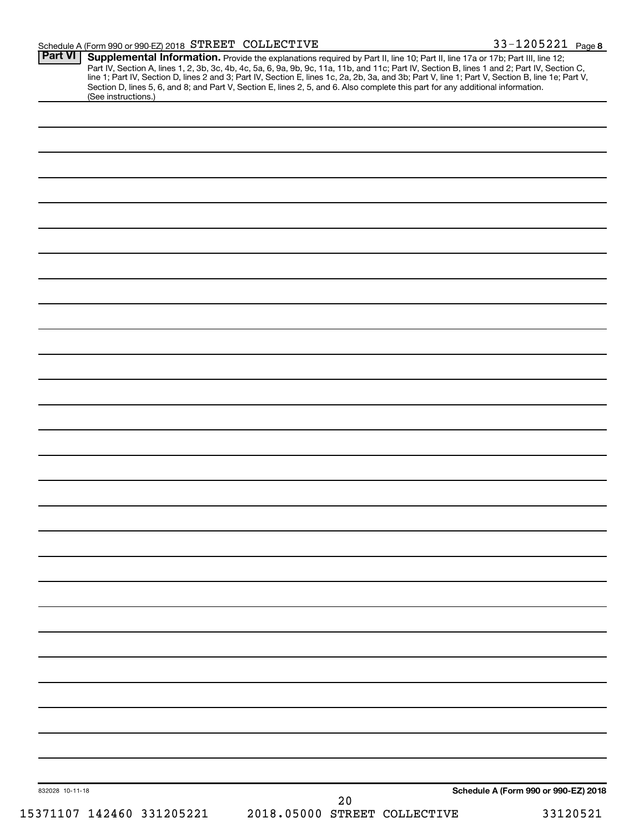|  |  |  | Schedule A (Form 990 or 990-EZ) 2018 $\,$ STREET $\,$ COLLECTIVE | $33 - 1205221$ Page 8 |  |
|--|--|--|------------------------------------------------------------------|-----------------------|--|
|--|--|--|------------------------------------------------------------------|-----------------------|--|

| Part VI<br>(See instructions.) | Supplemental Information. Provide the explanations required by Part II, line 10; Part II, line 17a or 17b; Part III, line 12;<br>Part IV, Section A, lines 1, 2, 3b, 3c, 4b, 4c, 5a, 6, 9a, 9b, 9c, 11a, 11b, and 11c; Part IV, Section B, lines 1 and 2; Part IV, Section C,<br>line 1; Part IV, Section D, lines 2 and 3; Part IV, Section E, lines 1c, 2a, 2b, 3a, and 3b; Part V, line 1; Part V, Section B, line 1e; Part V,<br>Section D, lines 5, 6, and 8; and Part V, Section E, lines 2, 5, and 6. Also complete this part for any additional information. |
|--------------------------------|----------------------------------------------------------------------------------------------------------------------------------------------------------------------------------------------------------------------------------------------------------------------------------------------------------------------------------------------------------------------------------------------------------------------------------------------------------------------------------------------------------------------------------------------------------------------|
|                                |                                                                                                                                                                                                                                                                                                                                                                                                                                                                                                                                                                      |
|                                |                                                                                                                                                                                                                                                                                                                                                                                                                                                                                                                                                                      |
|                                |                                                                                                                                                                                                                                                                                                                                                                                                                                                                                                                                                                      |
|                                |                                                                                                                                                                                                                                                                                                                                                                                                                                                                                                                                                                      |
|                                |                                                                                                                                                                                                                                                                                                                                                                                                                                                                                                                                                                      |
|                                |                                                                                                                                                                                                                                                                                                                                                                                                                                                                                                                                                                      |
|                                |                                                                                                                                                                                                                                                                                                                                                                                                                                                                                                                                                                      |
|                                |                                                                                                                                                                                                                                                                                                                                                                                                                                                                                                                                                                      |
|                                |                                                                                                                                                                                                                                                                                                                                                                                                                                                                                                                                                                      |
|                                |                                                                                                                                                                                                                                                                                                                                                                                                                                                                                                                                                                      |
|                                |                                                                                                                                                                                                                                                                                                                                                                                                                                                                                                                                                                      |
|                                |                                                                                                                                                                                                                                                                                                                                                                                                                                                                                                                                                                      |
|                                |                                                                                                                                                                                                                                                                                                                                                                                                                                                                                                                                                                      |
|                                |                                                                                                                                                                                                                                                                                                                                                                                                                                                                                                                                                                      |
|                                |                                                                                                                                                                                                                                                                                                                                                                                                                                                                                                                                                                      |
|                                |                                                                                                                                                                                                                                                                                                                                                                                                                                                                                                                                                                      |
|                                |                                                                                                                                                                                                                                                                                                                                                                                                                                                                                                                                                                      |
|                                |                                                                                                                                                                                                                                                                                                                                                                                                                                                                                                                                                                      |
|                                |                                                                                                                                                                                                                                                                                                                                                                                                                                                                                                                                                                      |
|                                |                                                                                                                                                                                                                                                                                                                                                                                                                                                                                                                                                                      |
|                                |                                                                                                                                                                                                                                                                                                                                                                                                                                                                                                                                                                      |
|                                |                                                                                                                                                                                                                                                                                                                                                                                                                                                                                                                                                                      |
|                                |                                                                                                                                                                                                                                                                                                                                                                                                                                                                                                                                                                      |
|                                |                                                                                                                                                                                                                                                                                                                                                                                                                                                                                                                                                                      |
|                                |                                                                                                                                                                                                                                                                                                                                                                                                                                                                                                                                                                      |
|                                |                                                                                                                                                                                                                                                                                                                                                                                                                                                                                                                                                                      |
|                                |                                                                                                                                                                                                                                                                                                                                                                                                                                                                                                                                                                      |
|                                |                                                                                                                                                                                                                                                                                                                                                                                                                                                                                                                                                                      |
|                                |                                                                                                                                                                                                                                                                                                                                                                                                                                                                                                                                                                      |
|                                |                                                                                                                                                                                                                                                                                                                                                                                                                                                                                                                                                                      |
|                                |                                                                                                                                                                                                                                                                                                                                                                                                                                                                                                                                                                      |
|                                |                                                                                                                                                                                                                                                                                                                                                                                                                                                                                                                                                                      |
|                                |                                                                                                                                                                                                                                                                                                                                                                                                                                                                                                                                                                      |
|                                |                                                                                                                                                                                                                                                                                                                                                                                                                                                                                                                                                                      |
|                                |                                                                                                                                                                                                                                                                                                                                                                                                                                                                                                                                                                      |
|                                |                                                                                                                                                                                                                                                                                                                                                                                                                                                                                                                                                                      |
|                                |                                                                                                                                                                                                                                                                                                                                                                                                                                                                                                                                                                      |
|                                |                                                                                                                                                                                                                                                                                                                                                                                                                                                                                                                                                                      |
|                                |                                                                                                                                                                                                                                                                                                                                                                                                                                                                                                                                                                      |
|                                |                                                                                                                                                                                                                                                                                                                                                                                                                                                                                                                                                                      |
|                                |                                                                                                                                                                                                                                                                                                                                                                                                                                                                                                                                                                      |
|                                |                                                                                                                                                                                                                                                                                                                                                                                                                                                                                                                                                                      |
|                                |                                                                                                                                                                                                                                                                                                                                                                                                                                                                                                                                                                      |
| 832028 10-11-18                | Schedule A (Form 990 or 990-EZ) 2018                                                                                                                                                                                                                                                                                                                                                                                                                                                                                                                                 |
| 15371107 142460 331205221      | 20<br>2018.05000 STREET COLLECTIVE<br>33120521                                                                                                                                                                                                                                                                                                                                                                                                                                                                                                                       |
|                                |                                                                                                                                                                                                                                                                                                                                                                                                                                                                                                                                                                      |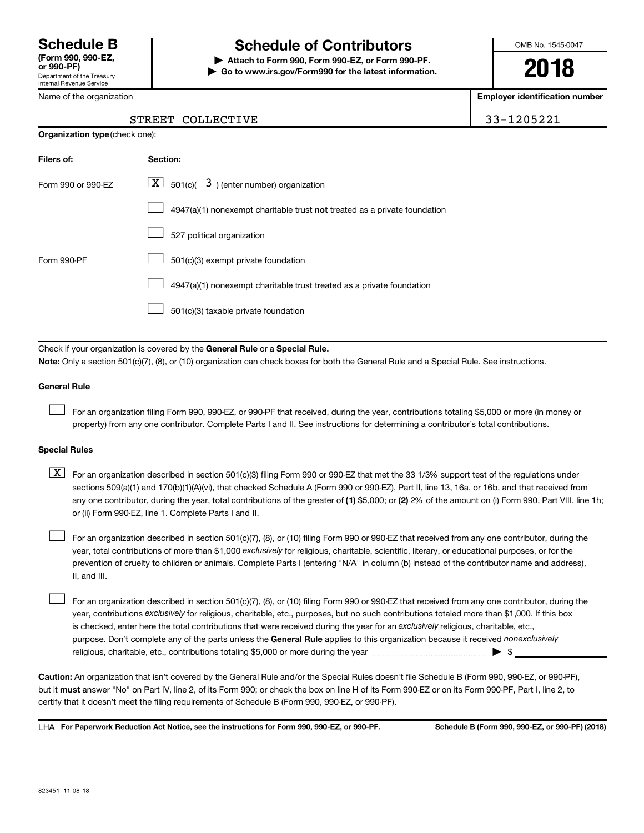Department of the Treasury Internal Revenue Service

# **Schedule B Schedule of Contributors**

**or 990-PF) | Attach to Form 990, Form 990-EZ, or Form 990-PF. | Go to www.irs.gov/Form990 for the latest information.** OMB No. 1545-0047

**2018**

**Employer identification number**

|  | Name of the organization |
|--|--------------------------|
|  |                          |

**Organization type** (check one):

#### STREET COLLECTIVE 33-1205221

| Filers of:         | Section:                                                                           |
|--------------------|------------------------------------------------------------------------------------|
| Form 990 or 990-EZ | $\boxed{\textbf{X}}$ 501(c)( 3) (enter number) organization                        |
|                    | $4947(a)(1)$ nonexempt charitable trust <b>not</b> treated as a private foundation |
|                    | 527 political organization                                                         |
| Form 990-PF        | 501(c)(3) exempt private foundation                                                |
|                    | 4947(a)(1) nonexempt charitable trust treated as a private foundation              |
|                    | 501(c)(3) taxable private foundation                                               |

Check if your organization is covered by the General Rule or a Special Rule.

**Note:**  Only a section 501(c)(7), (8), or (10) organization can check boxes for both the General Rule and a Special Rule. See instructions.

#### **General Rule**

 $\Box$ 

For an organization filing Form 990, 990-EZ, or 990-PF that received, during the year, contributions totaling \$5,000 or more (in money or property) from any one contributor. Complete Parts I and II. See instructions for determining a contributor's total contributions.

#### **Special Rules**

any one contributor, during the year, total contributions of the greater of (1) \$5,000; or (2) 2% of the amount on (i) Form 990, Part VIII, line 1h;  $\boxed{\text{X}}$  For an organization described in section 501(c)(3) filing Form 990 or 990-EZ that met the 33 1/3% support test of the regulations under sections 509(a)(1) and 170(b)(1)(A)(vi), that checked Schedule A (Form 990 or 990-EZ), Part II, line 13, 16a, or 16b, and that received from or (ii) Form 990-EZ, line 1. Complete Parts I and II.

year, total contributions of more than \$1,000 *exclusively* for religious, charitable, scientific, literary, or educational purposes, or for the For an organization described in section 501(c)(7), (8), or (10) filing Form 990 or 990-EZ that received from any one contributor, during the prevention of cruelty to children or animals. Complete Parts I (entering "N/A" in column (b) instead of the contributor name and address), II, and III.  $\Box$ 

purpose. Don't complete any of the parts unless the General Rule applies to this organization because it received nonexclusively year, contributions exclusively for religious, charitable, etc., purposes, but no such contributions totaled more than \$1,000. If this box is checked, enter here the total contributions that were received during the year for an exclusively religious, charitable, etc., For an organization described in section 501(c)(7), (8), or (10) filing Form 990 or 990-EZ that received from any one contributor, during the religious, charitable, etc., contributions totaling \$5,000 or more during the year  $~\ldots\ldots\ldots\ldots\ldots\ldots\ldots\ldots\blacktriangleright~$ \$  $\Box$ 

**Caution:**  An organization that isn't covered by the General Rule and/or the Special Rules doesn't file Schedule B (Form 990, 990-EZ, or 990-PF),  **must** but it answer "No" on Part IV, line 2, of its Form 990; or check the box on line H of its Form 990-EZ or on its Form 990-PF, Part I, line 2, to certify that it doesn't meet the filing requirements of Schedule B (Form 990, 990-EZ, or 990-PF).

**For Paperwork Reduction Act Notice, see the instructions for Form 990, 990-EZ, or 990-PF. Schedule B (Form 990, 990-EZ, or 990-PF) (2018)** LHA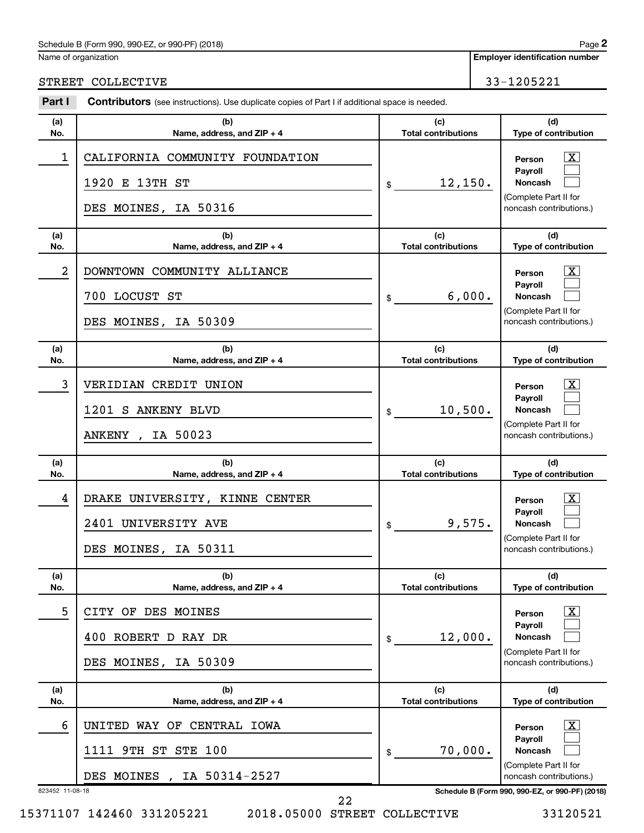#### Schedule B (Form 990, 990-EZ, or 990-PF) (2018)

Name of organization

**Employer identification number**

STREET COLLECTIVE 33-1205221

| Part I          | <b>Contributors</b> (see instructions). Use duplicate copies of Part I if additional space is needed. |                                   |                                                                                                             |
|-----------------|-------------------------------------------------------------------------------------------------------|-----------------------------------|-------------------------------------------------------------------------------------------------------------|
| (a)<br>No.      | (b)<br>Name, address, and ZIP + 4                                                                     | (c)<br><b>Total contributions</b> | (d)<br>Type of contribution                                                                                 |
| 1               | CALIFORNIA COMMUNITY FOUNDATION<br>1920 E 13TH ST<br>DES MOINES, IA 50316                             | 12,150.<br>\$                     | $\overline{\mathbf{X}}$<br>Person<br>Payroll<br>Noncash<br>(Complete Part II for<br>noncash contributions.) |
| (a)<br>No.      | (b)<br>Name, address, and ZIP + 4                                                                     | (c)<br><b>Total contributions</b> | (d)<br>Type of contribution                                                                                 |
| 2               | DOWNTOWN COMMUNITY ALLIANCE<br>700 LOCUST ST<br>DES MOINES, IA 50309                                  | 6,000.<br>\$                      | $\mathbf{X}$<br>Person<br>Payroll<br><b>Noncash</b><br>(Complete Part II for<br>noncash contributions.)     |
| (a)<br>No.      | (b)<br>Name, address, and ZIP + 4                                                                     | (c)<br><b>Total contributions</b> | (d)<br>Type of contribution                                                                                 |
| 3               | VERIDIAN CREDIT UNION<br>1201 S ANKENY BLVD<br><b>ANKENY</b> , IA 50023                               | 10,500.<br>\$                     | $\mathbf{X}$<br>Person<br>Payroll<br><b>Noncash</b><br>(Complete Part II for<br>noncash contributions.)     |
| (a)<br>No.      | (b)<br>Name, address, and ZIP + 4                                                                     | (c)<br><b>Total contributions</b> | (d)<br>Type of contribution                                                                                 |
| 4               | DRAKE UNIVERSITY, KINNE CENTER<br>2401 UNIVERSITY AVE<br>DES MOINES, IA 50311                         | 9,575.<br>\$                      | $\mathbf{X}$<br>Person<br>Payroll<br><b>Noncash</b><br>(Complete Part II for<br>noncash contributions.)     |
| (a)<br>No.      | (b)<br>Name, address, and ZIP + 4                                                                     | (c)<br><b>Total contributions</b> | (d)<br>Type of contribution                                                                                 |
| 5               | CITY OF DES MOINES<br>400 ROBERT D RAY DR<br>DES MOINES, IA 50309                                     | 12,000.<br>\$                     | $\mathbf{X}$<br>Person<br>Payroll<br>Noncash<br>(Complete Part II for<br>noncash contributions.)            |
| (a)<br>No.      | (b)<br>Name, address, and ZIP + 4                                                                     | (c)<br><b>Total contributions</b> | (d)<br>Type of contribution                                                                                 |
| 6               | UNITED<br>WAY OF<br>CENTRAL IOWA<br>9TH ST STE 100<br>1111<br>DES MOINES, IA 50314-2527               | 70,000.<br>\$                     | $\mathbf{X}$<br>Person<br>Payroll<br><b>Noncash</b><br>(Complete Part II for<br>noncash contributions.)     |
| 823452 11-08-18 |                                                                                                       |                                   | Schedule B (Form 990, 990-EZ, or 990-PF) (2018)                                                             |

15371107 142460 331205221 2018.05000 STREET COLLECTIVE 33120521

22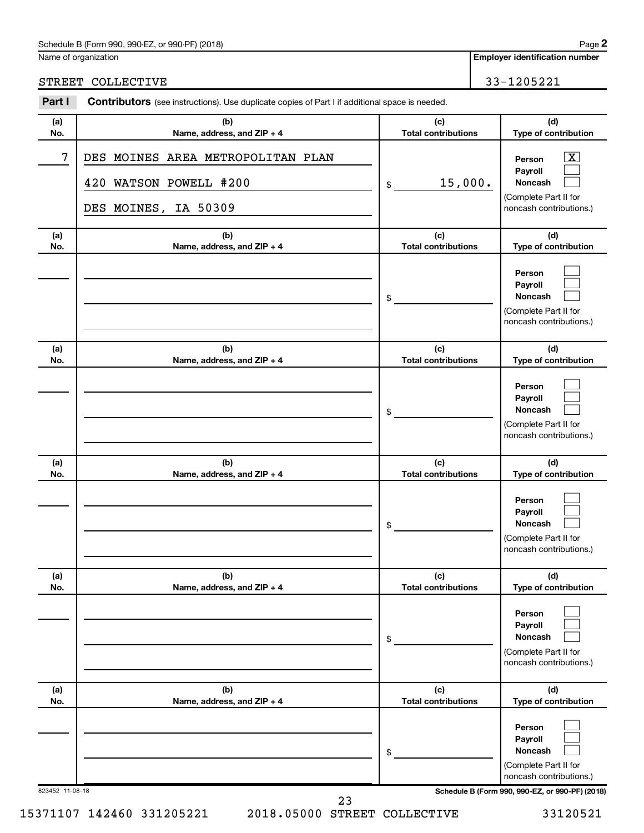#### Schedule B (Form 990, 990-EZ, or 990-PF) (2018)

Name of organization

STREET COLLECTIVE 33-1205221

| Part I          | <b>Contributors</b> (see instructions). Use duplicate copies of Part I if additional space is needed. |                                   |                                                                                                          |
|-----------------|-------------------------------------------------------------------------------------------------------|-----------------------------------|----------------------------------------------------------------------------------------------------------|
| (a)<br>No.      | (b)<br>Name, address, and ZIP + 4                                                                     | (c)<br><b>Total contributions</b> | (d)<br>Type of contribution                                                                              |
| 7               | DES MOINES AREA METROPOLITAN PLAN<br>420 WATSON POWELL #200<br>IA 50309<br>DES MOINES,                | 15,000.<br>\$                     | $\boxed{\textbf{X}}$<br>Person<br>Payroll<br>Noncash<br>(Complete Part II for<br>noncash contributions.) |
| (a)<br>No.      | (b)<br>Name, address, and ZIP + 4                                                                     | (c)<br><b>Total contributions</b> | (d)<br>Type of contribution                                                                              |
|                 |                                                                                                       | \$                                | Person<br>Payroll<br>Noncash<br>(Complete Part II for<br>noncash contributions.)                         |
| (a)<br>No.      | (b)<br>Name, address, and ZIP + 4                                                                     | (c)<br><b>Total contributions</b> | (d)<br>Type of contribution                                                                              |
|                 |                                                                                                       | \$                                | Person<br>Payroll<br>Noncash<br>(Complete Part II for<br>noncash contributions.)                         |
| (a)<br>No.      | (b)<br>Name, address, and ZIP + 4                                                                     | (c)<br><b>Total contributions</b> | (d)<br>Type of contribution                                                                              |
|                 |                                                                                                       | \$                                | Person<br>Payroll<br>Noncash<br>(Complete Part II for<br>noncash contributions.)                         |
| (a)<br>No.      | (b)<br>Name, address, and ZIP + 4                                                                     | (c)<br><b>Total contributions</b> | (d)<br>Type of contribution                                                                              |
|                 |                                                                                                       | \$                                | Person<br>Payroll<br><b>Noncash</b><br>(Complete Part II for<br>noncash contributions.)                  |
| (a)<br>No.      | (b)<br>Name, address, and ZIP + 4                                                                     | (c)<br><b>Total contributions</b> | (d)<br>Type of contribution                                                                              |
|                 |                                                                                                       | \$                                | Person<br>Payroll<br><b>Noncash</b><br>(Complete Part II for<br>noncash contributions.)                  |
| 823452 11-08-18 | 23                                                                                                    |                                   | Schedule B (Form 990, 990-EZ, or 990-PF) (2018)                                                          |

15371107 142460 331205221 2018.05000 STREET COLLECTIVE 33120521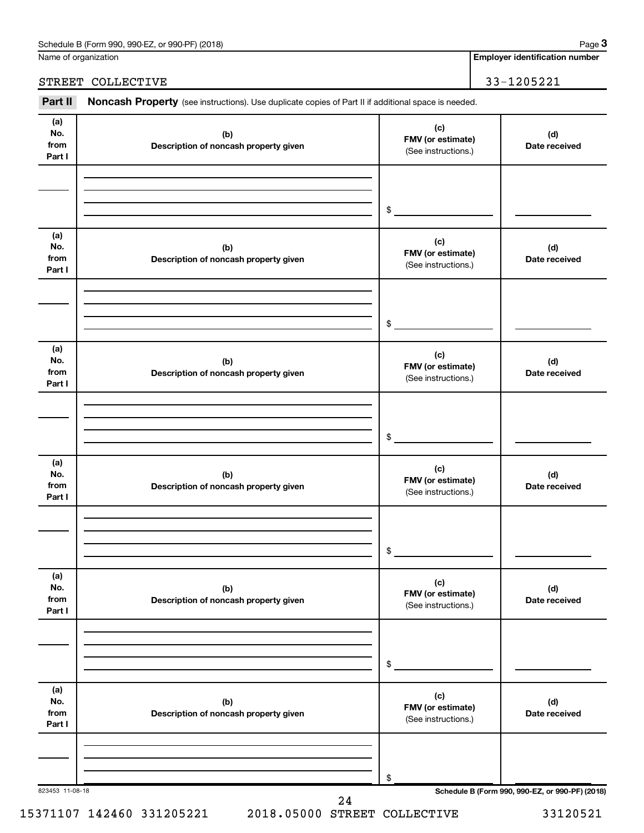| Schedule B (Form 990, 990-EZ, or 990-PF) (2018) | Paɑe |
|-------------------------------------------------|------|
|-------------------------------------------------|------|

Name of organization

## STREET COLLECTIVE 33-1205221

Part II Noncash Property (see instructions). Use duplicate copies of Part II if additional space is needed.

| (a)<br>No.<br>from<br>Part I | (b)<br>Description of noncash property given | (c)<br>FMV (or estimate)<br>(See instructions.) | (d)<br>Date received |
|------------------------------|----------------------------------------------|-------------------------------------------------|----------------------|
|                              |                                              | \$                                              |                      |
| (a)<br>No.<br>from<br>Part I | (b)<br>Description of noncash property given | (c)<br>FMV (or estimate)<br>(See instructions.) | (d)<br>Date received |
|                              |                                              | \$                                              |                      |
| (a)<br>No.<br>from<br>Part I | (b)<br>Description of noncash property given | (c)<br>FMV (or estimate)<br>(See instructions.) | (d)<br>Date received |
|                              |                                              | \$                                              |                      |
| (a)<br>No.<br>from<br>Part I | (b)<br>Description of noncash property given | (c)<br>FMV (or estimate)<br>(See instructions.) | (d)<br>Date received |
|                              |                                              | $\$$                                            |                      |
| (a)<br>No.<br>from<br>Part I | (b)<br>Description of noncash property given | (c)<br>FMV (or estimate)<br>(See instructions.) | (d)<br>Date received |
|                              |                                              | \$                                              |                      |
| (a)<br>No.<br>from<br>Part I | (b)<br>Description of noncash property given | (c)<br>FMV (or estimate)<br>(See instructions.) | (d)<br>Date received |
|                              |                                              | \$                                              |                      |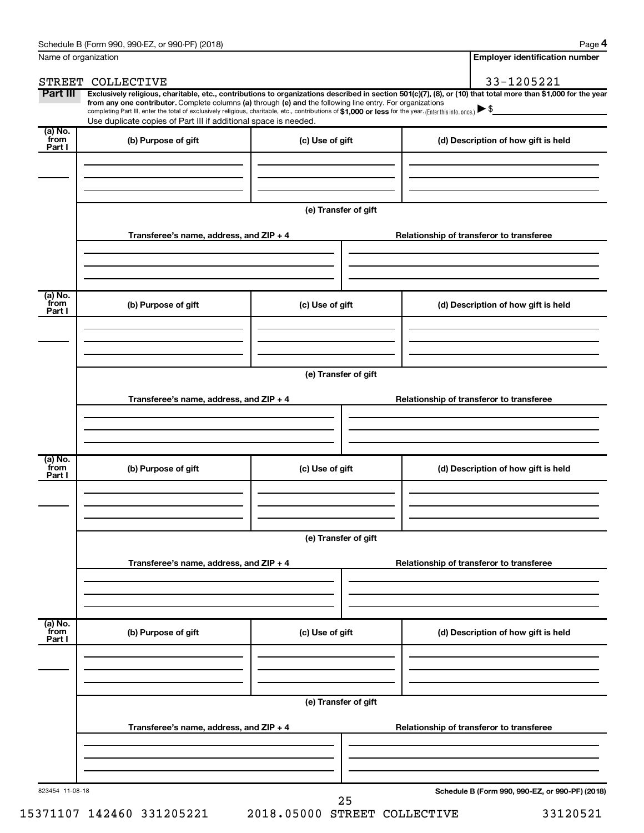| Name of organization        |                                                                                                                                                                                                                                                                                                                                                                    |                      | <b>Employer identification number</b>                                                                                                                          |  |  |
|-----------------------------|--------------------------------------------------------------------------------------------------------------------------------------------------------------------------------------------------------------------------------------------------------------------------------------------------------------------------------------------------------------------|----------------------|----------------------------------------------------------------------------------------------------------------------------------------------------------------|--|--|
|                             | STREET COLLECTIVE                                                                                                                                                                                                                                                                                                                                                  |                      | 33-1205221                                                                                                                                                     |  |  |
| Part III                    | from any one contributor. Complete columns (a) through (e) and the following line entry. For organizations<br>completing Part III, enter the total of exclusively religious, charitable, etc., contributions of \$1,000 or less for the year. (Enter this info. once.) $\blacktriangleright$ \$<br>Use duplicate copies of Part III if additional space is needed. |                      | Exclusively religious, charitable, etc., contributions to organizations described in section 501(c)(7), (8), or (10) that total more than \$1,000 for the year |  |  |
| $(a)$ No.<br>from<br>Part I | (b) Purpose of gift                                                                                                                                                                                                                                                                                                                                                | (c) Use of gift      | (d) Description of how gift is held                                                                                                                            |  |  |
|                             |                                                                                                                                                                                                                                                                                                                                                                    |                      |                                                                                                                                                                |  |  |
|                             |                                                                                                                                                                                                                                                                                                                                                                    | (e) Transfer of gift |                                                                                                                                                                |  |  |
|                             | Transferee's name, address, and ZIP + 4                                                                                                                                                                                                                                                                                                                            |                      | Relationship of transferor to transferee                                                                                                                       |  |  |
|                             |                                                                                                                                                                                                                                                                                                                                                                    |                      |                                                                                                                                                                |  |  |
| (a) No.<br>from<br>Part I   | (b) Purpose of gift                                                                                                                                                                                                                                                                                                                                                | (c) Use of gift      | (d) Description of how gift is held                                                                                                                            |  |  |
|                             |                                                                                                                                                                                                                                                                                                                                                                    |                      |                                                                                                                                                                |  |  |
|                             | (e) Transfer of gift                                                                                                                                                                                                                                                                                                                                               |                      |                                                                                                                                                                |  |  |
|                             | Transferee's name, address, and ZIP + 4                                                                                                                                                                                                                                                                                                                            |                      | Relationship of transferor to transferee                                                                                                                       |  |  |
|                             |                                                                                                                                                                                                                                                                                                                                                                    |                      |                                                                                                                                                                |  |  |
| (a) No.<br>from<br>Part I   | (b) Purpose of gift                                                                                                                                                                                                                                                                                                                                                | (c) Use of gift      | (d) Description of how gift is held                                                                                                                            |  |  |
|                             |                                                                                                                                                                                                                                                                                                                                                                    |                      |                                                                                                                                                                |  |  |
|                             | (e) Transfer of gift                                                                                                                                                                                                                                                                                                                                               |                      |                                                                                                                                                                |  |  |
|                             | Transferee's name, address, and ZIP + 4                                                                                                                                                                                                                                                                                                                            |                      | Relationship of transferor to transferee                                                                                                                       |  |  |
|                             |                                                                                                                                                                                                                                                                                                                                                                    |                      |                                                                                                                                                                |  |  |
| (a) No.<br>from<br>Part I   | (b) Purpose of gift                                                                                                                                                                                                                                                                                                                                                | (c) Use of gift      | (d) Description of how gift is held                                                                                                                            |  |  |
|                             |                                                                                                                                                                                                                                                                                                                                                                    |                      |                                                                                                                                                                |  |  |
|                             | (e) Transfer of gift                                                                                                                                                                                                                                                                                                                                               |                      |                                                                                                                                                                |  |  |
|                             | Transferee's name, address, and ZIP + 4                                                                                                                                                                                                                                                                                                                            |                      | Relationship of transferor to transferee                                                                                                                       |  |  |
|                             |                                                                                                                                                                                                                                                                                                                                                                    |                      |                                                                                                                                                                |  |  |
| 823454 11-08-18             |                                                                                                                                                                                                                                                                                                                                                                    | 25                   | Schedule B (Form 990, 990-EZ, or 990-PF) (2018)                                                                                                                |  |  |

15371107 142460 331205221 2018.05000 STREET COLLECTIVE 33120521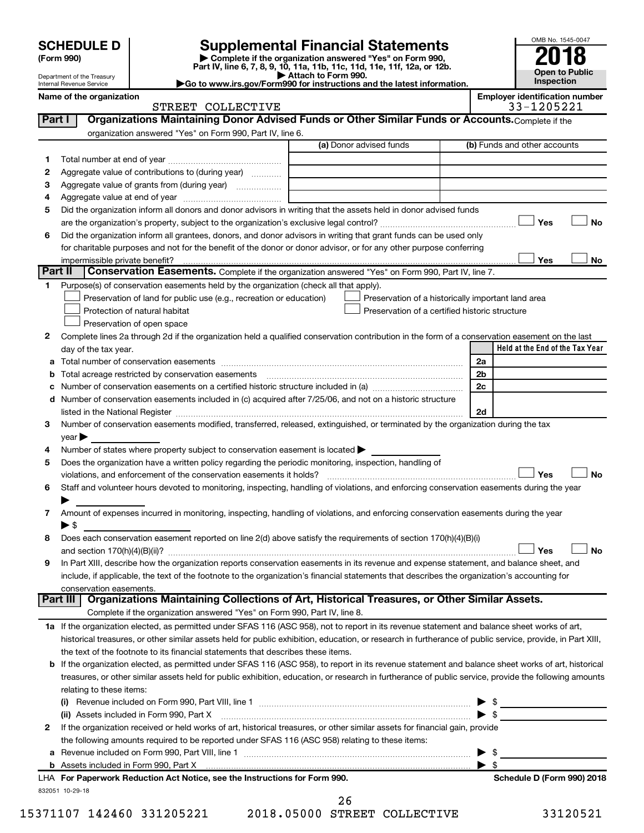# **SCHEDULE D Supplemental Financial Statements**<br> **Form 990 2018**<br> **Part IV** line 6.7.8.9.10, 11a, 11b, 11d, 11d, 11d, 11d, 11d, 12a, 0r, 12b

**(Form 990) | Complete if the organization answered "Yes" on Form 990, Part IV, line 6, 7, 8, 9, 10, 11a, 11b, 11c, 11d, 11e, 11f, 12a, or 12b.**

**| Attach to Form 990. |Go to www.irs.gov/Form990 for instructions and the latest information.**



Department of the Treasury Internal Revenue Service

|                | Name of the organization<br>STREET COLLECTIVE                                                                                                                                                                                 |                         |                                                | <b>Employer identification number</b><br>33-1205221 |
|----------------|-------------------------------------------------------------------------------------------------------------------------------------------------------------------------------------------------------------------------------|-------------------------|------------------------------------------------|-----------------------------------------------------|
| Part I         | Organizations Maintaining Donor Advised Funds or Other Similar Funds or Accounts. Complete if the                                                                                                                             |                         |                                                |                                                     |
|                | organization answered "Yes" on Form 990, Part IV, line 6.                                                                                                                                                                     |                         |                                                |                                                     |
|                |                                                                                                                                                                                                                               | (a) Donor advised funds |                                                | (b) Funds and other accounts                        |
| 1.             |                                                                                                                                                                                                                               |                         |                                                |                                                     |
| 2              | Aggregate value of contributions to (during year)                                                                                                                                                                             |                         |                                                |                                                     |
| з              | Aggregate value of grants from (during year)                                                                                                                                                                                  |                         |                                                |                                                     |
| 4              |                                                                                                                                                                                                                               |                         |                                                |                                                     |
| 5              | Did the organization inform all donors and donor advisors in writing that the assets held in donor advised funds                                                                                                              |                         |                                                |                                                     |
|                |                                                                                                                                                                                                                               |                         |                                                | Yes<br>No                                           |
| 6              | Did the organization inform all grantees, donors, and donor advisors in writing that grant funds can be used only                                                                                                             |                         |                                                |                                                     |
|                | for charitable purposes and not for the benefit of the donor or donor advisor, or for any other purpose conferring                                                                                                            |                         |                                                |                                                     |
|                |                                                                                                                                                                                                                               |                         |                                                | Yes<br>No                                           |
| <b>Part II</b> | Conservation Easements. Complete if the organization answered "Yes" on Form 990, Part IV, line 7.                                                                                                                             |                         |                                                |                                                     |
| 1              | Purpose(s) of conservation easements held by the organization (check all that apply).                                                                                                                                         |                         |                                                |                                                     |
|                | Preservation of land for public use (e.g., recreation or education)                                                                                                                                                           |                         |                                                | Preservation of a historically important land area  |
|                | Protection of natural habitat                                                                                                                                                                                                 |                         | Preservation of a certified historic structure |                                                     |
|                | Preservation of open space                                                                                                                                                                                                    |                         |                                                |                                                     |
| 2              | Complete lines 2a through 2d if the organization held a qualified conservation contribution in the form of a conservation easement on the last                                                                                |                         |                                                |                                                     |
|                | day of the tax year.                                                                                                                                                                                                          |                         |                                                | Held at the End of the Tax Year                     |
| а              |                                                                                                                                                                                                                               |                         |                                                | 2a                                                  |
| b              | Total acreage restricted by conservation easements [11] [12] matter and acreage restricted by conservation easements                                                                                                          |                         |                                                | 2b                                                  |
| с              |                                                                                                                                                                                                                               |                         |                                                | 2c                                                  |
| d              | Number of conservation easements included in (c) acquired after 7/25/06, and not on a historic structure                                                                                                                      |                         |                                                |                                                     |
|                | listed in the National Register [11] matter of the National Register [11] matter of the National Register [11] matter of the National Register [11] matter of the National Register [11] matter of the National Register [11] |                         |                                                | 2d                                                  |
| 3              | Number of conservation easements modified, transferred, released, extinguished, or terminated by the organization during the tax                                                                                              |                         |                                                |                                                     |
|                | year                                                                                                                                                                                                                          |                         |                                                |                                                     |
| 4              | Number of states where property subject to conservation easement is located >                                                                                                                                                 |                         |                                                |                                                     |
| 5              | Does the organization have a written policy regarding the periodic monitoring, inspection, handling of                                                                                                                        |                         |                                                |                                                     |
|                |                                                                                                                                                                                                                               |                         |                                                | Yes<br><b>No</b>                                    |
| 6              | Staff and volunteer hours devoted to monitoring, inspecting, handling of violations, and enforcing conservation easements during the year                                                                                     |                         |                                                |                                                     |
|                |                                                                                                                                                                                                                               |                         |                                                |                                                     |
| 7              | Amount of expenses incurred in monitoring, inspecting, handling of violations, and enforcing conservation easements during the year                                                                                           |                         |                                                |                                                     |
|                | $\blacktriangleright$ \$                                                                                                                                                                                                      |                         |                                                |                                                     |
| 8              | Does each conservation easement reported on line $2(d)$ above satisfy the requirements of section $170(h)(4)(B)(i)$                                                                                                           |                         |                                                |                                                     |
|                |                                                                                                                                                                                                                               |                         |                                                | Yes<br>No                                           |
|                | In Part XIII, describe how the organization reports conservation easements in its revenue and expense statement, and balance sheet, and                                                                                       |                         |                                                |                                                     |
|                | include, if applicable, the text of the footnote to the organization's financial statements that describes the organization's accounting for                                                                                  |                         |                                                |                                                     |
|                | conservation easements.                                                                                                                                                                                                       |                         |                                                |                                                     |
|                | Organizations Maintaining Collections of Art, Historical Treasures, or Other Similar Assets.<br>Part III                                                                                                                      |                         |                                                |                                                     |
|                | Complete if the organization answered "Yes" on Form 990, Part IV, line 8.                                                                                                                                                     |                         |                                                |                                                     |
|                | 1a If the organization elected, as permitted under SFAS 116 (ASC 958), not to report in its revenue statement and balance sheet works of art,                                                                                 |                         |                                                |                                                     |
|                | historical treasures, or other similar assets held for public exhibition, education, or research in furtherance of public service, provide, in Part XIII,                                                                     |                         |                                                |                                                     |
|                | the text of the footnote to its financial statements that describes these items.                                                                                                                                              |                         |                                                |                                                     |
|                | b If the organization elected, as permitted under SFAS 116 (ASC 958), to report in its revenue statement and balance sheet works of art, historical                                                                           |                         |                                                |                                                     |
|                | treasures, or other similar assets held for public exhibition, education, or research in furtherance of public service, provide the following amounts                                                                         |                         |                                                |                                                     |
|                | relating to these items:                                                                                                                                                                                                      |                         |                                                |                                                     |
|                |                                                                                                                                                                                                                               |                         |                                                |                                                     |
|                | (ii) Assets included in Form 990, Part X                                                                                                                                                                                      |                         |                                                | $\frac{1}{2}$                                       |
| 2              | If the organization received or held works of art, historical treasures, or other similar assets for financial gain, provide                                                                                                  |                         |                                                |                                                     |
|                | the following amounts required to be reported under SFAS 116 (ASC 958) relating to these items:                                                                                                                               |                         |                                                |                                                     |
| а              |                                                                                                                                                                                                                               |                         |                                                | $\triangleright$ \$                                 |
|                |                                                                                                                                                                                                                               |                         |                                                |                                                     |

832051 10-29-18 **For Paperwork Reduction Act Notice, see the Instructions for Form 990. Schedule D (Form 990) 2018** LHA

26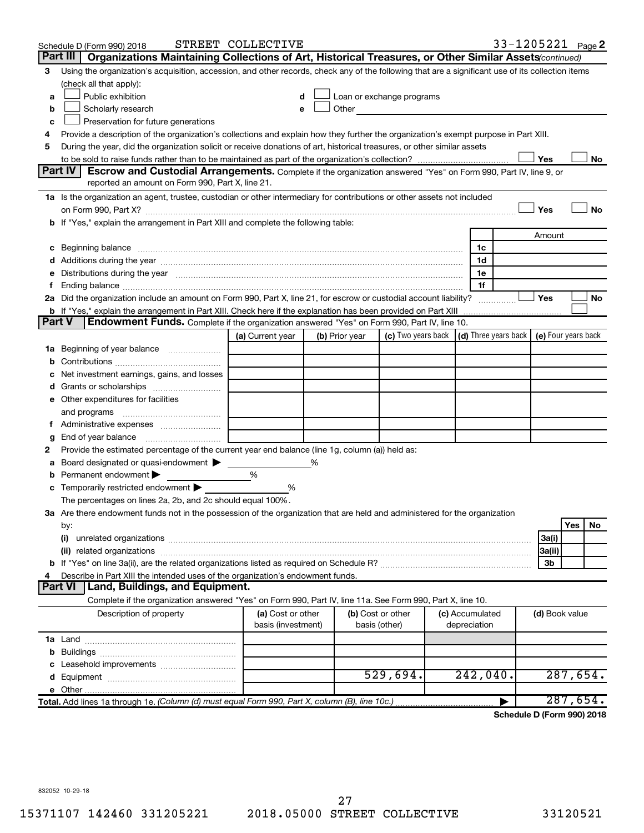| Part III   Organizations Maintaining Collections of Art, Historical Treasures, or Other Similar Assets (continued)<br>Using the organization's acquisition, accession, and other records, check any of the following that are a significant use of its collection items<br>3<br>(check all that apply):<br>Public exhibition<br>Loan or exchange programs<br>d<br>a<br>Other and the contract of the contract of the contract of the contract of the contract of the contract of the contract of the contract of the contract of the contract of the contract of the contract of the contract of the<br>Scholarly research<br>b<br>Preservation for future generations<br>c<br>Provide a description of the organization's collections and explain how they further the organization's exempt purpose in Part XIII.<br>4<br>During the year, did the organization solicit or receive donations of art, historical treasures, or other similar assets<br>5<br>Yes<br>No<br><b>Part IV</b><br>Escrow and Custodial Arrangements. Complete if the organization answered "Yes" on Form 990, Part IV, line 9, or<br>reported an amount on Form 990, Part X, line 21.<br>1a Is the organization an agent, trustee, custodian or other intermediary for contributions or other assets not included<br>Yes<br>No<br><b>b</b> If "Yes," explain the arrangement in Part XIII and complete the following table:<br>Amount<br>Beginning balance measurements and contain a series of the contract of the contract of the contract of the contract of the contract of the contract of the contract of the contract of the contract of the contract of the con<br>1c<br>c<br>1d<br>Distributions during the year manufactured and an account of the year manufactured and the year manufactured and the year manufactured and the year manufactured and the year manufactured and the year manufactured and the y<br>1e<br>1f<br>2a Did the organization include an amount on Form 990, Part X, line 21, for escrow or custodial account liability?<br>Yes<br>No<br>Endowment Funds. Complete if the organization answered "Yes" on Form 990, Part IV, line 10.<br><b>Part V</b><br>$\vert$ (d) Three years back $\vert$ (e) Four years back<br>(c) Two years back<br>(a) Current year<br>(b) Prior year<br>Beginning of year balance<br>٦а<br>Net investment earnings, gains, and losses<br>e Other expenditures for facilities<br>and programs<br>End of year balance<br>Provide the estimated percentage of the current year end balance (line 1g, column (a)) held as:<br>2<br>Board designated or quasi-endowment<br>%<br>Permanent endowment<br>%<br>Temporarily restricted endowment<br>%<br>с<br>The percentages on lines 2a, 2b, and 2c should equal 100%.<br>3a Are there endowment funds not in the possession of the organization that are held and administered for the organization<br>Yes<br>No<br>by:<br>(i)<br>3a(i)<br>(ii) related organizations<br>3a(ii)<br>3b<br>Describe in Part XIII the intended uses of the organization's endowment funds.<br>Land, Buildings, and Equipment.<br><b>Part VI</b><br>Complete if the organization answered "Yes" on Form 990, Part IV, line 11a. See Form 990, Part X, line 10.<br>Description of property<br>(a) Cost or other<br>(b) Cost or other<br>(c) Accumulated<br>(d) Book value<br>basis (investment)<br>depreciation<br>basis (other)<br>b<br>529,694.<br>242,040.<br>Total. Add lines 1a through 1e. (Column (d) must equal Form 990, Part X, column (B), line 10c.) | Schedule D (Form 990) 2018 | STREET COLLECTIVE |  |  | 33-1205221 Page 2 |  |  |
|------------------------------------------------------------------------------------------------------------------------------------------------------------------------------------------------------------------------------------------------------------------------------------------------------------------------------------------------------------------------------------------------------------------------------------------------------------------------------------------------------------------------------------------------------------------------------------------------------------------------------------------------------------------------------------------------------------------------------------------------------------------------------------------------------------------------------------------------------------------------------------------------------------------------------------------------------------------------------------------------------------------------------------------------------------------------------------------------------------------------------------------------------------------------------------------------------------------------------------------------------------------------------------------------------------------------------------------------------------------------------------------------------------------------------------------------------------------------------------------------------------------------------------------------------------------------------------------------------------------------------------------------------------------------------------------------------------------------------------------------------------------------------------------------------------------------------------------------------------------------------------------------------------------------------------------------------------------------------------------------------------------------------------------------------------------------------------------------------------------------------------------------------------------------------------------------------------------------------------------------------------------------------------------------------------------------------------------------------------------------------------------------------------------------------------------------------------------------------------------------------------------------------------------------------------------------------------------------------------------------------------------------------------------------------------------------------------------------------------------------------------------------------------------------------------------------------------------------------------------------------------------------------------------------------------------------------------------------------------------------------------------------------------------------------------------------------------------------------------------------------------------------------------------------------------------------------------------------------------------------------------------------------------------------------------------------------------------------------------------------------------------------------------------------------------------------------------------------------------------------------------------------------|----------------------------|-------------------|--|--|-------------------|--|--|
| 287,654.<br>287,654.                                                                                                                                                                                                                                                                                                                                                                                                                                                                                                                                                                                                                                                                                                                                                                                                                                                                                                                                                                                                                                                                                                                                                                                                                                                                                                                                                                                                                                                                                                                                                                                                                                                                                                                                                                                                                                                                                                                                                                                                                                                                                                                                                                                                                                                                                                                                                                                                                                                                                                                                                                                                                                                                                                                                                                                                                                                                                                                                                                                                                                                                                                                                                                                                                                                                                                                                                                                                                                                                                                         |                            |                   |  |  |                   |  |  |
|                                                                                                                                                                                                                                                                                                                                                                                                                                                                                                                                                                                                                                                                                                                                                                                                                                                                                                                                                                                                                                                                                                                                                                                                                                                                                                                                                                                                                                                                                                                                                                                                                                                                                                                                                                                                                                                                                                                                                                                                                                                                                                                                                                                                                                                                                                                                                                                                                                                                                                                                                                                                                                                                                                                                                                                                                                                                                                                                                                                                                                                                                                                                                                                                                                                                                                                                                                                                                                                                                                                              |                            |                   |  |  |                   |  |  |
|                                                                                                                                                                                                                                                                                                                                                                                                                                                                                                                                                                                                                                                                                                                                                                                                                                                                                                                                                                                                                                                                                                                                                                                                                                                                                                                                                                                                                                                                                                                                                                                                                                                                                                                                                                                                                                                                                                                                                                                                                                                                                                                                                                                                                                                                                                                                                                                                                                                                                                                                                                                                                                                                                                                                                                                                                                                                                                                                                                                                                                                                                                                                                                                                                                                                                                                                                                                                                                                                                                                              |                            |                   |  |  |                   |  |  |
|                                                                                                                                                                                                                                                                                                                                                                                                                                                                                                                                                                                                                                                                                                                                                                                                                                                                                                                                                                                                                                                                                                                                                                                                                                                                                                                                                                                                                                                                                                                                                                                                                                                                                                                                                                                                                                                                                                                                                                                                                                                                                                                                                                                                                                                                                                                                                                                                                                                                                                                                                                                                                                                                                                                                                                                                                                                                                                                                                                                                                                                                                                                                                                                                                                                                                                                                                                                                                                                                                                                              |                            |                   |  |  |                   |  |  |
|                                                                                                                                                                                                                                                                                                                                                                                                                                                                                                                                                                                                                                                                                                                                                                                                                                                                                                                                                                                                                                                                                                                                                                                                                                                                                                                                                                                                                                                                                                                                                                                                                                                                                                                                                                                                                                                                                                                                                                                                                                                                                                                                                                                                                                                                                                                                                                                                                                                                                                                                                                                                                                                                                                                                                                                                                                                                                                                                                                                                                                                                                                                                                                                                                                                                                                                                                                                                                                                                                                                              |                            |                   |  |  |                   |  |  |
|                                                                                                                                                                                                                                                                                                                                                                                                                                                                                                                                                                                                                                                                                                                                                                                                                                                                                                                                                                                                                                                                                                                                                                                                                                                                                                                                                                                                                                                                                                                                                                                                                                                                                                                                                                                                                                                                                                                                                                                                                                                                                                                                                                                                                                                                                                                                                                                                                                                                                                                                                                                                                                                                                                                                                                                                                                                                                                                                                                                                                                                                                                                                                                                                                                                                                                                                                                                                                                                                                                                              |                            |                   |  |  |                   |  |  |
|                                                                                                                                                                                                                                                                                                                                                                                                                                                                                                                                                                                                                                                                                                                                                                                                                                                                                                                                                                                                                                                                                                                                                                                                                                                                                                                                                                                                                                                                                                                                                                                                                                                                                                                                                                                                                                                                                                                                                                                                                                                                                                                                                                                                                                                                                                                                                                                                                                                                                                                                                                                                                                                                                                                                                                                                                                                                                                                                                                                                                                                                                                                                                                                                                                                                                                                                                                                                                                                                                                                              |                            |                   |  |  |                   |  |  |
|                                                                                                                                                                                                                                                                                                                                                                                                                                                                                                                                                                                                                                                                                                                                                                                                                                                                                                                                                                                                                                                                                                                                                                                                                                                                                                                                                                                                                                                                                                                                                                                                                                                                                                                                                                                                                                                                                                                                                                                                                                                                                                                                                                                                                                                                                                                                                                                                                                                                                                                                                                                                                                                                                                                                                                                                                                                                                                                                                                                                                                                                                                                                                                                                                                                                                                                                                                                                                                                                                                                              |                            |                   |  |  |                   |  |  |
|                                                                                                                                                                                                                                                                                                                                                                                                                                                                                                                                                                                                                                                                                                                                                                                                                                                                                                                                                                                                                                                                                                                                                                                                                                                                                                                                                                                                                                                                                                                                                                                                                                                                                                                                                                                                                                                                                                                                                                                                                                                                                                                                                                                                                                                                                                                                                                                                                                                                                                                                                                                                                                                                                                                                                                                                                                                                                                                                                                                                                                                                                                                                                                                                                                                                                                                                                                                                                                                                                                                              |                            |                   |  |  |                   |  |  |
|                                                                                                                                                                                                                                                                                                                                                                                                                                                                                                                                                                                                                                                                                                                                                                                                                                                                                                                                                                                                                                                                                                                                                                                                                                                                                                                                                                                                                                                                                                                                                                                                                                                                                                                                                                                                                                                                                                                                                                                                                                                                                                                                                                                                                                                                                                                                                                                                                                                                                                                                                                                                                                                                                                                                                                                                                                                                                                                                                                                                                                                                                                                                                                                                                                                                                                                                                                                                                                                                                                                              |                            |                   |  |  |                   |  |  |
|                                                                                                                                                                                                                                                                                                                                                                                                                                                                                                                                                                                                                                                                                                                                                                                                                                                                                                                                                                                                                                                                                                                                                                                                                                                                                                                                                                                                                                                                                                                                                                                                                                                                                                                                                                                                                                                                                                                                                                                                                                                                                                                                                                                                                                                                                                                                                                                                                                                                                                                                                                                                                                                                                                                                                                                                                                                                                                                                                                                                                                                                                                                                                                                                                                                                                                                                                                                                                                                                                                                              |                            |                   |  |  |                   |  |  |
|                                                                                                                                                                                                                                                                                                                                                                                                                                                                                                                                                                                                                                                                                                                                                                                                                                                                                                                                                                                                                                                                                                                                                                                                                                                                                                                                                                                                                                                                                                                                                                                                                                                                                                                                                                                                                                                                                                                                                                                                                                                                                                                                                                                                                                                                                                                                                                                                                                                                                                                                                                                                                                                                                                                                                                                                                                                                                                                                                                                                                                                                                                                                                                                                                                                                                                                                                                                                                                                                                                                              |                            |                   |  |  |                   |  |  |
|                                                                                                                                                                                                                                                                                                                                                                                                                                                                                                                                                                                                                                                                                                                                                                                                                                                                                                                                                                                                                                                                                                                                                                                                                                                                                                                                                                                                                                                                                                                                                                                                                                                                                                                                                                                                                                                                                                                                                                                                                                                                                                                                                                                                                                                                                                                                                                                                                                                                                                                                                                                                                                                                                                                                                                                                                                                                                                                                                                                                                                                                                                                                                                                                                                                                                                                                                                                                                                                                                                                              |                            |                   |  |  |                   |  |  |
|                                                                                                                                                                                                                                                                                                                                                                                                                                                                                                                                                                                                                                                                                                                                                                                                                                                                                                                                                                                                                                                                                                                                                                                                                                                                                                                                                                                                                                                                                                                                                                                                                                                                                                                                                                                                                                                                                                                                                                                                                                                                                                                                                                                                                                                                                                                                                                                                                                                                                                                                                                                                                                                                                                                                                                                                                                                                                                                                                                                                                                                                                                                                                                                                                                                                                                                                                                                                                                                                                                                              |                            |                   |  |  |                   |  |  |
|                                                                                                                                                                                                                                                                                                                                                                                                                                                                                                                                                                                                                                                                                                                                                                                                                                                                                                                                                                                                                                                                                                                                                                                                                                                                                                                                                                                                                                                                                                                                                                                                                                                                                                                                                                                                                                                                                                                                                                                                                                                                                                                                                                                                                                                                                                                                                                                                                                                                                                                                                                                                                                                                                                                                                                                                                                                                                                                                                                                                                                                                                                                                                                                                                                                                                                                                                                                                                                                                                                                              |                            |                   |  |  |                   |  |  |
|                                                                                                                                                                                                                                                                                                                                                                                                                                                                                                                                                                                                                                                                                                                                                                                                                                                                                                                                                                                                                                                                                                                                                                                                                                                                                                                                                                                                                                                                                                                                                                                                                                                                                                                                                                                                                                                                                                                                                                                                                                                                                                                                                                                                                                                                                                                                                                                                                                                                                                                                                                                                                                                                                                                                                                                                                                                                                                                                                                                                                                                                                                                                                                                                                                                                                                                                                                                                                                                                                                                              |                            |                   |  |  |                   |  |  |
|                                                                                                                                                                                                                                                                                                                                                                                                                                                                                                                                                                                                                                                                                                                                                                                                                                                                                                                                                                                                                                                                                                                                                                                                                                                                                                                                                                                                                                                                                                                                                                                                                                                                                                                                                                                                                                                                                                                                                                                                                                                                                                                                                                                                                                                                                                                                                                                                                                                                                                                                                                                                                                                                                                                                                                                                                                                                                                                                                                                                                                                                                                                                                                                                                                                                                                                                                                                                                                                                                                                              |                            |                   |  |  |                   |  |  |
|                                                                                                                                                                                                                                                                                                                                                                                                                                                                                                                                                                                                                                                                                                                                                                                                                                                                                                                                                                                                                                                                                                                                                                                                                                                                                                                                                                                                                                                                                                                                                                                                                                                                                                                                                                                                                                                                                                                                                                                                                                                                                                                                                                                                                                                                                                                                                                                                                                                                                                                                                                                                                                                                                                                                                                                                                                                                                                                                                                                                                                                                                                                                                                                                                                                                                                                                                                                                                                                                                                                              |                            |                   |  |  |                   |  |  |
|                                                                                                                                                                                                                                                                                                                                                                                                                                                                                                                                                                                                                                                                                                                                                                                                                                                                                                                                                                                                                                                                                                                                                                                                                                                                                                                                                                                                                                                                                                                                                                                                                                                                                                                                                                                                                                                                                                                                                                                                                                                                                                                                                                                                                                                                                                                                                                                                                                                                                                                                                                                                                                                                                                                                                                                                                                                                                                                                                                                                                                                                                                                                                                                                                                                                                                                                                                                                                                                                                                                              |                            |                   |  |  |                   |  |  |
|                                                                                                                                                                                                                                                                                                                                                                                                                                                                                                                                                                                                                                                                                                                                                                                                                                                                                                                                                                                                                                                                                                                                                                                                                                                                                                                                                                                                                                                                                                                                                                                                                                                                                                                                                                                                                                                                                                                                                                                                                                                                                                                                                                                                                                                                                                                                                                                                                                                                                                                                                                                                                                                                                                                                                                                                                                                                                                                                                                                                                                                                                                                                                                                                                                                                                                                                                                                                                                                                                                                              |                            |                   |  |  |                   |  |  |
|                                                                                                                                                                                                                                                                                                                                                                                                                                                                                                                                                                                                                                                                                                                                                                                                                                                                                                                                                                                                                                                                                                                                                                                                                                                                                                                                                                                                                                                                                                                                                                                                                                                                                                                                                                                                                                                                                                                                                                                                                                                                                                                                                                                                                                                                                                                                                                                                                                                                                                                                                                                                                                                                                                                                                                                                                                                                                                                                                                                                                                                                                                                                                                                                                                                                                                                                                                                                                                                                                                                              |                            |                   |  |  |                   |  |  |
|                                                                                                                                                                                                                                                                                                                                                                                                                                                                                                                                                                                                                                                                                                                                                                                                                                                                                                                                                                                                                                                                                                                                                                                                                                                                                                                                                                                                                                                                                                                                                                                                                                                                                                                                                                                                                                                                                                                                                                                                                                                                                                                                                                                                                                                                                                                                                                                                                                                                                                                                                                                                                                                                                                                                                                                                                                                                                                                                                                                                                                                                                                                                                                                                                                                                                                                                                                                                                                                                                                                              |                            |                   |  |  |                   |  |  |
|                                                                                                                                                                                                                                                                                                                                                                                                                                                                                                                                                                                                                                                                                                                                                                                                                                                                                                                                                                                                                                                                                                                                                                                                                                                                                                                                                                                                                                                                                                                                                                                                                                                                                                                                                                                                                                                                                                                                                                                                                                                                                                                                                                                                                                                                                                                                                                                                                                                                                                                                                                                                                                                                                                                                                                                                                                                                                                                                                                                                                                                                                                                                                                                                                                                                                                                                                                                                                                                                                                                              |                            |                   |  |  |                   |  |  |
|                                                                                                                                                                                                                                                                                                                                                                                                                                                                                                                                                                                                                                                                                                                                                                                                                                                                                                                                                                                                                                                                                                                                                                                                                                                                                                                                                                                                                                                                                                                                                                                                                                                                                                                                                                                                                                                                                                                                                                                                                                                                                                                                                                                                                                                                                                                                                                                                                                                                                                                                                                                                                                                                                                                                                                                                                                                                                                                                                                                                                                                                                                                                                                                                                                                                                                                                                                                                                                                                                                                              |                            |                   |  |  |                   |  |  |
|                                                                                                                                                                                                                                                                                                                                                                                                                                                                                                                                                                                                                                                                                                                                                                                                                                                                                                                                                                                                                                                                                                                                                                                                                                                                                                                                                                                                                                                                                                                                                                                                                                                                                                                                                                                                                                                                                                                                                                                                                                                                                                                                                                                                                                                                                                                                                                                                                                                                                                                                                                                                                                                                                                                                                                                                                                                                                                                                                                                                                                                                                                                                                                                                                                                                                                                                                                                                                                                                                                                              |                            |                   |  |  |                   |  |  |
|                                                                                                                                                                                                                                                                                                                                                                                                                                                                                                                                                                                                                                                                                                                                                                                                                                                                                                                                                                                                                                                                                                                                                                                                                                                                                                                                                                                                                                                                                                                                                                                                                                                                                                                                                                                                                                                                                                                                                                                                                                                                                                                                                                                                                                                                                                                                                                                                                                                                                                                                                                                                                                                                                                                                                                                                                                                                                                                                                                                                                                                                                                                                                                                                                                                                                                                                                                                                                                                                                                                              |                            |                   |  |  |                   |  |  |
|                                                                                                                                                                                                                                                                                                                                                                                                                                                                                                                                                                                                                                                                                                                                                                                                                                                                                                                                                                                                                                                                                                                                                                                                                                                                                                                                                                                                                                                                                                                                                                                                                                                                                                                                                                                                                                                                                                                                                                                                                                                                                                                                                                                                                                                                                                                                                                                                                                                                                                                                                                                                                                                                                                                                                                                                                                                                                                                                                                                                                                                                                                                                                                                                                                                                                                                                                                                                                                                                                                                              |                            |                   |  |  |                   |  |  |
|                                                                                                                                                                                                                                                                                                                                                                                                                                                                                                                                                                                                                                                                                                                                                                                                                                                                                                                                                                                                                                                                                                                                                                                                                                                                                                                                                                                                                                                                                                                                                                                                                                                                                                                                                                                                                                                                                                                                                                                                                                                                                                                                                                                                                                                                                                                                                                                                                                                                                                                                                                                                                                                                                                                                                                                                                                                                                                                                                                                                                                                                                                                                                                                                                                                                                                                                                                                                                                                                                                                              |                            |                   |  |  |                   |  |  |
|                                                                                                                                                                                                                                                                                                                                                                                                                                                                                                                                                                                                                                                                                                                                                                                                                                                                                                                                                                                                                                                                                                                                                                                                                                                                                                                                                                                                                                                                                                                                                                                                                                                                                                                                                                                                                                                                                                                                                                                                                                                                                                                                                                                                                                                                                                                                                                                                                                                                                                                                                                                                                                                                                                                                                                                                                                                                                                                                                                                                                                                                                                                                                                                                                                                                                                                                                                                                                                                                                                                              |                            |                   |  |  |                   |  |  |
|                                                                                                                                                                                                                                                                                                                                                                                                                                                                                                                                                                                                                                                                                                                                                                                                                                                                                                                                                                                                                                                                                                                                                                                                                                                                                                                                                                                                                                                                                                                                                                                                                                                                                                                                                                                                                                                                                                                                                                                                                                                                                                                                                                                                                                                                                                                                                                                                                                                                                                                                                                                                                                                                                                                                                                                                                                                                                                                                                                                                                                                                                                                                                                                                                                                                                                                                                                                                                                                                                                                              |                            |                   |  |  |                   |  |  |
|                                                                                                                                                                                                                                                                                                                                                                                                                                                                                                                                                                                                                                                                                                                                                                                                                                                                                                                                                                                                                                                                                                                                                                                                                                                                                                                                                                                                                                                                                                                                                                                                                                                                                                                                                                                                                                                                                                                                                                                                                                                                                                                                                                                                                                                                                                                                                                                                                                                                                                                                                                                                                                                                                                                                                                                                                                                                                                                                                                                                                                                                                                                                                                                                                                                                                                                                                                                                                                                                                                                              |                            |                   |  |  |                   |  |  |
|                                                                                                                                                                                                                                                                                                                                                                                                                                                                                                                                                                                                                                                                                                                                                                                                                                                                                                                                                                                                                                                                                                                                                                                                                                                                                                                                                                                                                                                                                                                                                                                                                                                                                                                                                                                                                                                                                                                                                                                                                                                                                                                                                                                                                                                                                                                                                                                                                                                                                                                                                                                                                                                                                                                                                                                                                                                                                                                                                                                                                                                                                                                                                                                                                                                                                                                                                                                                                                                                                                                              |                            |                   |  |  |                   |  |  |
|                                                                                                                                                                                                                                                                                                                                                                                                                                                                                                                                                                                                                                                                                                                                                                                                                                                                                                                                                                                                                                                                                                                                                                                                                                                                                                                                                                                                                                                                                                                                                                                                                                                                                                                                                                                                                                                                                                                                                                                                                                                                                                                                                                                                                                                                                                                                                                                                                                                                                                                                                                                                                                                                                                                                                                                                                                                                                                                                                                                                                                                                                                                                                                                                                                                                                                                                                                                                                                                                                                                              |                            |                   |  |  |                   |  |  |
|                                                                                                                                                                                                                                                                                                                                                                                                                                                                                                                                                                                                                                                                                                                                                                                                                                                                                                                                                                                                                                                                                                                                                                                                                                                                                                                                                                                                                                                                                                                                                                                                                                                                                                                                                                                                                                                                                                                                                                                                                                                                                                                                                                                                                                                                                                                                                                                                                                                                                                                                                                                                                                                                                                                                                                                                                                                                                                                                                                                                                                                                                                                                                                                                                                                                                                                                                                                                                                                                                                                              |                            |                   |  |  |                   |  |  |
|                                                                                                                                                                                                                                                                                                                                                                                                                                                                                                                                                                                                                                                                                                                                                                                                                                                                                                                                                                                                                                                                                                                                                                                                                                                                                                                                                                                                                                                                                                                                                                                                                                                                                                                                                                                                                                                                                                                                                                                                                                                                                                                                                                                                                                                                                                                                                                                                                                                                                                                                                                                                                                                                                                                                                                                                                                                                                                                                                                                                                                                                                                                                                                                                                                                                                                                                                                                                                                                                                                                              |                            |                   |  |  |                   |  |  |
|                                                                                                                                                                                                                                                                                                                                                                                                                                                                                                                                                                                                                                                                                                                                                                                                                                                                                                                                                                                                                                                                                                                                                                                                                                                                                                                                                                                                                                                                                                                                                                                                                                                                                                                                                                                                                                                                                                                                                                                                                                                                                                                                                                                                                                                                                                                                                                                                                                                                                                                                                                                                                                                                                                                                                                                                                                                                                                                                                                                                                                                                                                                                                                                                                                                                                                                                                                                                                                                                                                                              |                            |                   |  |  |                   |  |  |
|                                                                                                                                                                                                                                                                                                                                                                                                                                                                                                                                                                                                                                                                                                                                                                                                                                                                                                                                                                                                                                                                                                                                                                                                                                                                                                                                                                                                                                                                                                                                                                                                                                                                                                                                                                                                                                                                                                                                                                                                                                                                                                                                                                                                                                                                                                                                                                                                                                                                                                                                                                                                                                                                                                                                                                                                                                                                                                                                                                                                                                                                                                                                                                                                                                                                                                                                                                                                                                                                                                                              |                            |                   |  |  |                   |  |  |
|                                                                                                                                                                                                                                                                                                                                                                                                                                                                                                                                                                                                                                                                                                                                                                                                                                                                                                                                                                                                                                                                                                                                                                                                                                                                                                                                                                                                                                                                                                                                                                                                                                                                                                                                                                                                                                                                                                                                                                                                                                                                                                                                                                                                                                                                                                                                                                                                                                                                                                                                                                                                                                                                                                                                                                                                                                                                                                                                                                                                                                                                                                                                                                                                                                                                                                                                                                                                                                                                                                                              |                            |                   |  |  |                   |  |  |
|                                                                                                                                                                                                                                                                                                                                                                                                                                                                                                                                                                                                                                                                                                                                                                                                                                                                                                                                                                                                                                                                                                                                                                                                                                                                                                                                                                                                                                                                                                                                                                                                                                                                                                                                                                                                                                                                                                                                                                                                                                                                                                                                                                                                                                                                                                                                                                                                                                                                                                                                                                                                                                                                                                                                                                                                                                                                                                                                                                                                                                                                                                                                                                                                                                                                                                                                                                                                                                                                                                                              |                            |                   |  |  |                   |  |  |
|                                                                                                                                                                                                                                                                                                                                                                                                                                                                                                                                                                                                                                                                                                                                                                                                                                                                                                                                                                                                                                                                                                                                                                                                                                                                                                                                                                                                                                                                                                                                                                                                                                                                                                                                                                                                                                                                                                                                                                                                                                                                                                                                                                                                                                                                                                                                                                                                                                                                                                                                                                                                                                                                                                                                                                                                                                                                                                                                                                                                                                                                                                                                                                                                                                                                                                                                                                                                                                                                                                                              |                            |                   |  |  |                   |  |  |
|                                                                                                                                                                                                                                                                                                                                                                                                                                                                                                                                                                                                                                                                                                                                                                                                                                                                                                                                                                                                                                                                                                                                                                                                                                                                                                                                                                                                                                                                                                                                                                                                                                                                                                                                                                                                                                                                                                                                                                                                                                                                                                                                                                                                                                                                                                                                                                                                                                                                                                                                                                                                                                                                                                                                                                                                                                                                                                                                                                                                                                                                                                                                                                                                                                                                                                                                                                                                                                                                                                                              |                            |                   |  |  |                   |  |  |
|                                                                                                                                                                                                                                                                                                                                                                                                                                                                                                                                                                                                                                                                                                                                                                                                                                                                                                                                                                                                                                                                                                                                                                                                                                                                                                                                                                                                                                                                                                                                                                                                                                                                                                                                                                                                                                                                                                                                                                                                                                                                                                                                                                                                                                                                                                                                                                                                                                                                                                                                                                                                                                                                                                                                                                                                                                                                                                                                                                                                                                                                                                                                                                                                                                                                                                                                                                                                                                                                                                                              |                            |                   |  |  |                   |  |  |
|                                                                                                                                                                                                                                                                                                                                                                                                                                                                                                                                                                                                                                                                                                                                                                                                                                                                                                                                                                                                                                                                                                                                                                                                                                                                                                                                                                                                                                                                                                                                                                                                                                                                                                                                                                                                                                                                                                                                                                                                                                                                                                                                                                                                                                                                                                                                                                                                                                                                                                                                                                                                                                                                                                                                                                                                                                                                                                                                                                                                                                                                                                                                                                                                                                                                                                                                                                                                                                                                                                                              |                            |                   |  |  |                   |  |  |
|                                                                                                                                                                                                                                                                                                                                                                                                                                                                                                                                                                                                                                                                                                                                                                                                                                                                                                                                                                                                                                                                                                                                                                                                                                                                                                                                                                                                                                                                                                                                                                                                                                                                                                                                                                                                                                                                                                                                                                                                                                                                                                                                                                                                                                                                                                                                                                                                                                                                                                                                                                                                                                                                                                                                                                                                                                                                                                                                                                                                                                                                                                                                                                                                                                                                                                                                                                                                                                                                                                                              |                            |                   |  |  |                   |  |  |
|                                                                                                                                                                                                                                                                                                                                                                                                                                                                                                                                                                                                                                                                                                                                                                                                                                                                                                                                                                                                                                                                                                                                                                                                                                                                                                                                                                                                                                                                                                                                                                                                                                                                                                                                                                                                                                                                                                                                                                                                                                                                                                                                                                                                                                                                                                                                                                                                                                                                                                                                                                                                                                                                                                                                                                                                                                                                                                                                                                                                                                                                                                                                                                                                                                                                                                                                                                                                                                                                                                                              |                            |                   |  |  |                   |  |  |
|                                                                                                                                                                                                                                                                                                                                                                                                                                                                                                                                                                                                                                                                                                                                                                                                                                                                                                                                                                                                                                                                                                                                                                                                                                                                                                                                                                                                                                                                                                                                                                                                                                                                                                                                                                                                                                                                                                                                                                                                                                                                                                                                                                                                                                                                                                                                                                                                                                                                                                                                                                                                                                                                                                                                                                                                                                                                                                                                                                                                                                                                                                                                                                                                                                                                                                                                                                                                                                                                                                                              |                            |                   |  |  |                   |  |  |
|                                                                                                                                                                                                                                                                                                                                                                                                                                                                                                                                                                                                                                                                                                                                                                                                                                                                                                                                                                                                                                                                                                                                                                                                                                                                                                                                                                                                                                                                                                                                                                                                                                                                                                                                                                                                                                                                                                                                                                                                                                                                                                                                                                                                                                                                                                                                                                                                                                                                                                                                                                                                                                                                                                                                                                                                                                                                                                                                                                                                                                                                                                                                                                                                                                                                                                                                                                                                                                                                                                                              |                            |                   |  |  |                   |  |  |
|                                                                                                                                                                                                                                                                                                                                                                                                                                                                                                                                                                                                                                                                                                                                                                                                                                                                                                                                                                                                                                                                                                                                                                                                                                                                                                                                                                                                                                                                                                                                                                                                                                                                                                                                                                                                                                                                                                                                                                                                                                                                                                                                                                                                                                                                                                                                                                                                                                                                                                                                                                                                                                                                                                                                                                                                                                                                                                                                                                                                                                                                                                                                                                                                                                                                                                                                                                                                                                                                                                                              |                            |                   |  |  |                   |  |  |
|                                                                                                                                                                                                                                                                                                                                                                                                                                                                                                                                                                                                                                                                                                                                                                                                                                                                                                                                                                                                                                                                                                                                                                                                                                                                                                                                                                                                                                                                                                                                                                                                                                                                                                                                                                                                                                                                                                                                                                                                                                                                                                                                                                                                                                                                                                                                                                                                                                                                                                                                                                                                                                                                                                                                                                                                                                                                                                                                                                                                                                                                                                                                                                                                                                                                                                                                                                                                                                                                                                                              |                            |                   |  |  |                   |  |  |
|                                                                                                                                                                                                                                                                                                                                                                                                                                                                                                                                                                                                                                                                                                                                                                                                                                                                                                                                                                                                                                                                                                                                                                                                                                                                                                                                                                                                                                                                                                                                                                                                                                                                                                                                                                                                                                                                                                                                                                                                                                                                                                                                                                                                                                                                                                                                                                                                                                                                                                                                                                                                                                                                                                                                                                                                                                                                                                                                                                                                                                                                                                                                                                                                                                                                                                                                                                                                                                                                                                                              |                            |                   |  |  |                   |  |  |

**Schedule D (Form 990) 2018**

832052 10-29-18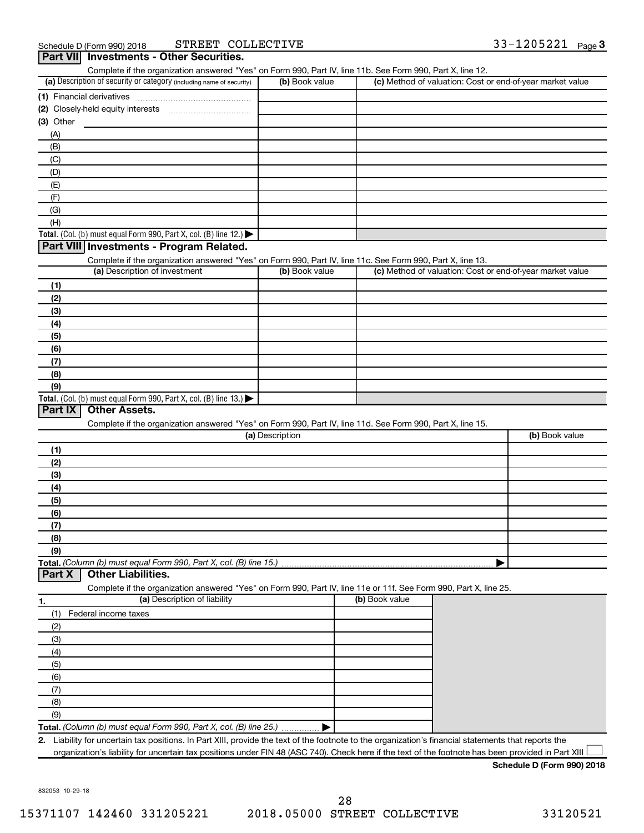| Complete if the organization answered "Yes" on Form 990, Part IV, line 11b. See Form 990, Part X, line 12.<br>(a) Description of security or category (including name of security)                | (b) Book value  |                | (c) Method of valuation: Cost or end-of-year market value |
|---------------------------------------------------------------------------------------------------------------------------------------------------------------------------------------------------|-----------------|----------------|-----------------------------------------------------------|
|                                                                                                                                                                                                   |                 |                |                                                           |
|                                                                                                                                                                                                   |                 |                |                                                           |
| $(3)$ Other                                                                                                                                                                                       |                 |                |                                                           |
| (A)                                                                                                                                                                                               |                 |                |                                                           |
|                                                                                                                                                                                                   |                 |                |                                                           |
| (B)                                                                                                                                                                                               |                 |                |                                                           |
| (C)                                                                                                                                                                                               |                 |                |                                                           |
| (D)                                                                                                                                                                                               |                 |                |                                                           |
| (E)                                                                                                                                                                                               |                 |                |                                                           |
| (F)                                                                                                                                                                                               |                 |                |                                                           |
| (G)                                                                                                                                                                                               |                 |                |                                                           |
| (H)                                                                                                                                                                                               |                 |                |                                                           |
| Total. (Col. (b) must equal Form 990, Part X, col. (B) line 12.) $\blacktriangleright$                                                                                                            |                 |                |                                                           |
| Part VIII Investments - Program Related.                                                                                                                                                          |                 |                |                                                           |
| Complete if the organization answered "Yes" on Form 990, Part IV, line 11c. See Form 990, Part X, line 13.                                                                                        |                 |                |                                                           |
| (a) Description of investment                                                                                                                                                                     | (b) Book value  |                | (c) Method of valuation: Cost or end-of-year market value |
| (1)                                                                                                                                                                                               |                 |                |                                                           |
| (2)                                                                                                                                                                                               |                 |                |                                                           |
|                                                                                                                                                                                                   |                 |                |                                                           |
| (3)                                                                                                                                                                                               |                 |                |                                                           |
| (4)                                                                                                                                                                                               |                 |                |                                                           |
| (5)                                                                                                                                                                                               |                 |                |                                                           |
| (6)                                                                                                                                                                                               |                 |                |                                                           |
| (7)                                                                                                                                                                                               |                 |                |                                                           |
| (8)                                                                                                                                                                                               |                 |                |                                                           |
|                                                                                                                                                                                                   |                 |                |                                                           |
| (9)                                                                                                                                                                                               |                 |                |                                                           |
| <b>Other Assets.</b>                                                                                                                                                                              |                 |                |                                                           |
| Complete if the organization answered "Yes" on Form 990, Part IV, line 11d. See Form 990, Part X, line 15.                                                                                        | (a) Description |                | (b) Book value                                            |
| (1)                                                                                                                                                                                               |                 |                |                                                           |
| (2)                                                                                                                                                                                               |                 |                |                                                           |
| (3)                                                                                                                                                                                               |                 |                |                                                           |
| Total. (Col. (b) must equal Form 990, Part X, col. (B) line 13.)<br>Part IX<br>(4)                                                                                                                |                 |                |                                                           |
| (5)                                                                                                                                                                                               |                 |                |                                                           |
| (6)                                                                                                                                                                                               |                 |                |                                                           |
| (7)                                                                                                                                                                                               |                 |                |                                                           |
|                                                                                                                                                                                                   |                 |                |                                                           |
| (8)                                                                                                                                                                                               |                 |                |                                                           |
| (9)                                                                                                                                                                                               |                 |                |                                                           |
| <b>Other Liabilities.</b>                                                                                                                                                                         |                 |                |                                                           |
| Total. (Column (b) must equal Form 990, Part X, col. (B) line 15.)<br>Part X<br>Complete if the organization answered "Yes" on Form 990, Part IV, line 11e or 11f. See Form 990, Part X, line 25. |                 |                |                                                           |
| (a) Description of liability<br>1.                                                                                                                                                                |                 | (b) Book value |                                                           |
|                                                                                                                                                                                                   |                 |                |                                                           |
| Federal income taxes<br>(1)                                                                                                                                                                       |                 |                |                                                           |
| (2)                                                                                                                                                                                               |                 |                |                                                           |
| (3)                                                                                                                                                                                               |                 |                |                                                           |
| (4)                                                                                                                                                                                               |                 |                |                                                           |
| (5)                                                                                                                                                                                               |                 |                |                                                           |
| (6)                                                                                                                                                                                               |                 |                |                                                           |
| (7)                                                                                                                                                                                               |                 |                |                                                           |
| (8)                                                                                                                                                                                               |                 |                |                                                           |
|                                                                                                                                                                                                   |                 |                |                                                           |
| (9)<br>Total. (Column (b) must equal Form 990, Part X, col. (B) line 25.)                                                                                                                         |                 |                |                                                           |

**Schedule D (Form 990) 2018**

832053 10-29-18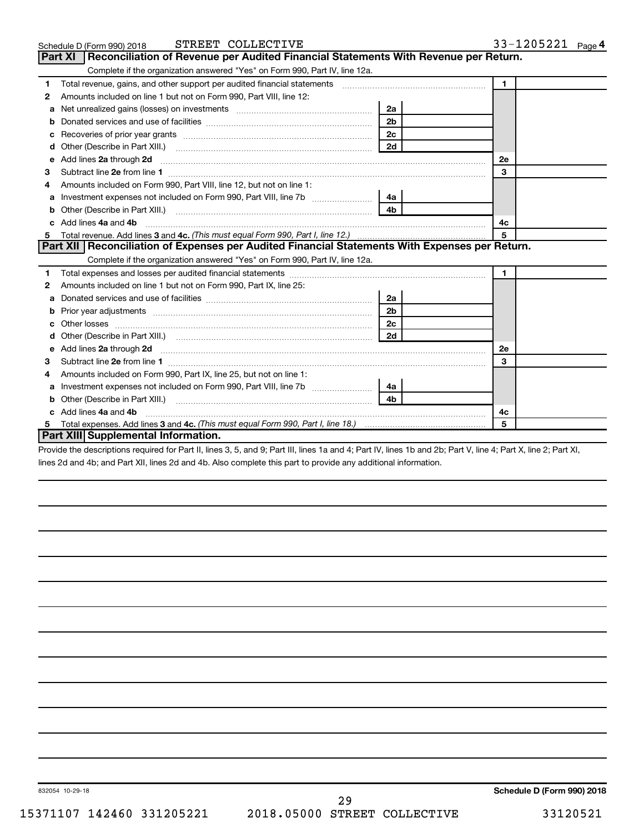|              | STREET COLLECTIVE<br>Schedule D (Form 990) 2018                                                                                                                                                                                      |                | 33-1205221 Page 4 |
|--------------|--------------------------------------------------------------------------------------------------------------------------------------------------------------------------------------------------------------------------------------|----------------|-------------------|
|              | Reconciliation of Revenue per Audited Financial Statements With Revenue per Return.<br><b>Part XI</b>                                                                                                                                |                |                   |
|              | Complete if the organization answered "Yes" on Form 990, Part IV, line 12a.                                                                                                                                                          |                |                   |
| 1            | Total revenue, gains, and other support per audited financial statements [11] [11] Total revenue, gains, and other support per audited financial statements                                                                          |                | $\mathbf{1}$      |
| 2            | Amounts included on line 1 but not on Form 990, Part VIII, line 12:                                                                                                                                                                  |                |                   |
| a            |                                                                                                                                                                                                                                      | 2a             |                   |
| b            |                                                                                                                                                                                                                                      | 2 <sub>b</sub> |                   |
| c            |                                                                                                                                                                                                                                      | 2 <sub>c</sub> |                   |
| d            | Other (Describe in Part XIII.) <b>2006</b> 2007 2010 2010 2010 2010 2011 2012 2013 2014 2015 2016 2017 2018 2019 2016 2016 2017 2018 2019 2016 2017 2018 2019 2016 2017 2018 2019 2018 2019 2016 2017 2018 2019 2018 2019 2018 2019  | 2d             |                   |
| $\mathbf{e}$ | Add lines 2a through 2d <b>Martin Martin Martin Martin Martin Martin Martin Martin Martin Martin Martin Martin Martin Martin Martin Martin Martin Martin Martin Martin Martin Martin Martin Martin Martin Martin Martin Martin M</b> |                | <b>2e</b>         |
| з            |                                                                                                                                                                                                                                      |                | 3                 |
|              | Amounts included on Form 990, Part VIII, line 12, but not on line 1:                                                                                                                                                                 |                |                   |
| a            | Investment expenses not included on Form 990, Part VIII, line 7b                                                                                                                                                                     | 4a             |                   |
| b            |                                                                                                                                                                                                                                      | 4 <sub>b</sub> |                   |
|              | c Add lines 4a and 4b                                                                                                                                                                                                                | 4c             |                   |
| 5            |                                                                                                                                                                                                                                      |                | 5                 |
|              | Part XII Reconciliation of Expenses per Audited Financial Statements With Expenses per Return.                                                                                                                                       |                |                   |
|              | Complete if the organization answered "Yes" on Form 990, Part IV, line 12a.                                                                                                                                                          |                |                   |
| 1            |                                                                                                                                                                                                                                      |                | $\mathbf{1}$      |
| 2            | Amounts included on line 1 but not on Form 990, Part IX, line 25:                                                                                                                                                                    |                |                   |
| a            |                                                                                                                                                                                                                                      | 2a             |                   |
| b            |                                                                                                                                                                                                                                      | 2 <sub>b</sub> |                   |
|              |                                                                                                                                                                                                                                      | 2c             |                   |
|              |                                                                                                                                                                                                                                      | 2d             |                   |
| e            | Add lines 2a through 2d <b>[10]</b> University material contracts and the set of the set of the set of the set of the set of the set of the set of the set of the set of the set of the set of the set of the set of the set of the  |                | <b>2e</b>         |
| 3            |                                                                                                                                                                                                                                      |                | 3                 |
| 4            | Amounts included on Form 990, Part IX, line 25, but not on line 1:                                                                                                                                                                   |                |                   |
| a            | Investment expenses not included on Form 990, Part VIII, line 7b [11, 11, 11, 11, 11]                                                                                                                                                | 4a             |                   |
| b            |                                                                                                                                                                                                                                      | 4h.            |                   |
|              | Add lines 4a and 4b                                                                                                                                                                                                                  |                | 4c                |
|              |                                                                                                                                                                                                                                      |                | 5                 |
|              | Part XIII Supplemental Information.                                                                                                                                                                                                  |                |                   |

Provide the descriptions required for Part II, lines 3, 5, and 9; Part III, lines 1a and 4; Part IV, lines 1b and 2b; Part V, line 4; Part X, line 2; Part XI, lines 2d and 4b; and Part XII, lines 2d and 4b. Also complete this part to provide any additional information.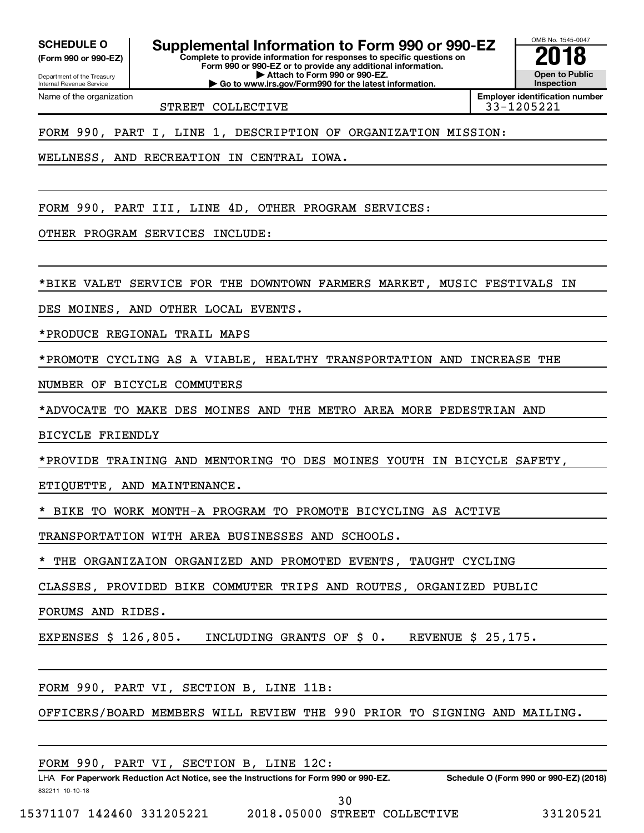**(Form 990 or 990-EZ)**

**Complete to provide information for responses to specific questions on** SCHEDULE O **Supplemental Information to Form 990 or 990-EZ 2018**<br>(Form 990 or 990-EZ) Complete to provide information for responses to specific questions on

Department of the Treasury Internal Revenue Service Name of the organization **Form 990 or 990-EZ or to provide any additional information. | Attach to Form 990 or 990-EZ. | Go to www.irs.gov/Form990 for the latest information.**

**Open to Public Inspection Employer identification number**

OMB No. 1545-0047

STREET COLLECTIVE

FORM 990, PART I, LINE 1, DESCRIPTION OF ORGANIZATION MISSION:

WELLNESS, AND RECREATION IN CENTRAL IOWA.

FORM 990, PART III, LINE 4D, OTHER PROGRAM SERVICES:

OTHER PROGRAM SERVICES INCLUDE:

\*BIKE VALET SERVICE FOR THE DOWNTOWN FARMERS MARKET, MUSIC FESTIVALS IN

DES MOINES, AND OTHER LOCAL EVENTS.

\*PRODUCE REGIONAL TRAIL MAPS

\*PROMOTE CYCLING AS A VIABLE, HEALTHY TRANSPORTATION AND INCREASE THE

NUMBER OF BICYCLE COMMUTERS

\*ADVOCATE TO MAKE DES MOINES AND THE METRO AREA MORE PEDESTRIAN AND

BICYCLE FRIENDLY

\*PROVIDE TRAINING AND MENTORING TO DES MOINES YOUTH IN BICYCLE SAFETY,

ETIQUETTE, AND MAINTENANCE.

BIKE TO WORK MONTH-A PROGRAM TO PROMOTE BICYCLING AS ACTIVE

TRANSPORTATION WITH AREA BUSINESSES AND SCHOOLS.

THE ORGANIZAION ORGANIZED AND PROMOTED EVENTS, TAUGHT CYCLING

CLASSES, PROVIDED BIKE COMMUTER TRIPS AND ROUTES, ORGANIZED PUBLIC

FORUMS AND RIDES.

EXPENSES \$ 126,805. INCLUDING GRANTS OF \$ 0. REVENUE \$ 25,175.

FORM 990, PART VI, SECTION B, LINE 11B:

OFFICERS/BOARD MEMBERS WILL REVIEW THE 990 PRIOR TO SIGNING AND MAILING.

|                 |  |                           | FORM 990, PART VI, SECTION B, LINE 12C:                                              |  |     |                              |                                        |
|-----------------|--|---------------------------|--------------------------------------------------------------------------------------|--|-----|------------------------------|----------------------------------------|
|                 |  |                           | LHA For Paperwork Reduction Act Notice, see the Instructions for Form 990 or 990-EZ. |  |     |                              | Schedule O (Form 990 or 990-EZ) (2018) |
| 832211 10-10-18 |  |                           |                                                                                      |  | 30. |                              |                                        |
|                 |  | 15371107 142460 331205221 |                                                                                      |  |     | 2018.05000 STREET COLLECTIVE | 33120521                               |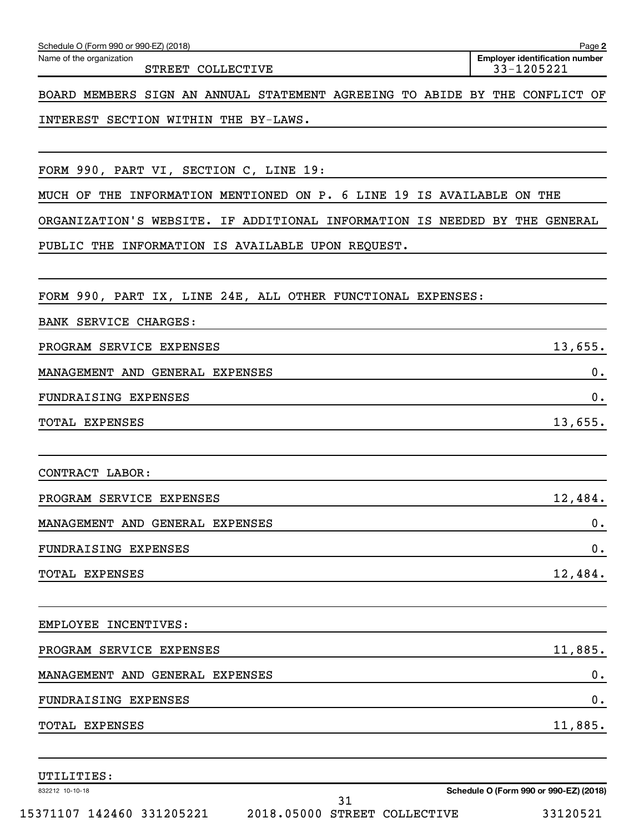| Schedule O (Form 990 or 990-EZ) (2018)                                      | Page 2                                              |
|-----------------------------------------------------------------------------|-----------------------------------------------------|
| Name of the organization<br>STREET COLLECTIVE                               | <b>Employer identification number</b><br>33-1205221 |
| BOARD MEMBERS SIGN AN ANNUAL STATEMENT AGREEING TO ABIDE BY THE CONFLICT OF |                                                     |
| INTEREST SECTION WITHIN THE BY-LAWS.                                        |                                                     |
|                                                                             |                                                     |
| FORM 990, PART VI, SECTION C, LINE 19:                                      |                                                     |
| INFORMATION MENTIONED ON P. 6 LINE 19 IS AVAILABLE ON THE<br>MUCH OF<br>THE |                                                     |
| ORGANIZATION'S WEBSITE.<br>IF ADDITIONAL INFORMATION IS NEEDED BY           | THE GENERAL                                         |
| PUBLIC THE<br>INFORMATION IS AVAILABLE UPON REQUEST.                        |                                                     |
| FORM 990, PART IX, LINE 24E, ALL OTHER FUNCTIONAL EXPENSES:                 |                                                     |
| <b>BANK SERVICE CHARGES:</b>                                                |                                                     |
| PROGRAM SERVICE EXPENSES                                                    | 13,655.                                             |
| MANAGEMENT AND GENERAL EXPENSES                                             | 0.                                                  |
| FUNDRAISING EXPENSES                                                        | 0.                                                  |
| <b>TOTAL EXPENSES</b>                                                       | 13,655.                                             |
| CONTRACT LABOR:                                                             |                                                     |
| PROGRAM SERVICE EXPENSES                                                    | 12,484.                                             |
| MANAGEMENT AND GENERAL EXPENSES                                             | $\mathbf 0$ .                                       |
| FUNDRAISING EXPENSES                                                        | $0$ .                                               |
| TOTAL EXPENSES                                                              | 12,484.                                             |
| EMPLOYEE INCENTIVES:                                                        |                                                     |
| PROGRAM SERVICE EXPENSES                                                    | 11,885.                                             |
| MANAGEMENT AND GENERAL EXPENSES                                             | $0$ .                                               |
| FUNDRAISING EXPENSES                                                        | $0$ .                                               |
| <b>TOTAL EXPENSES</b>                                                       | 11,885.                                             |
|                                                                             |                                                     |

UTILITIES:

832212 10-10-18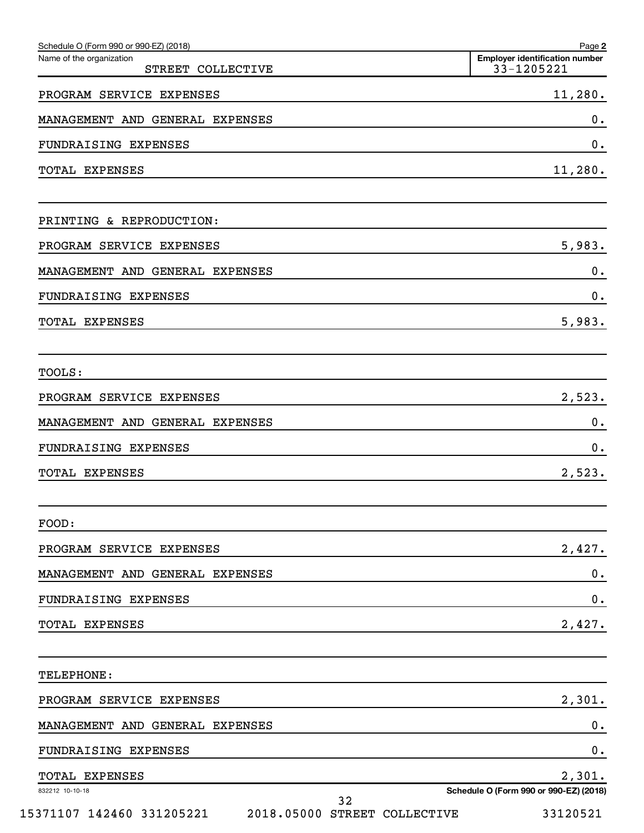| Schedule O (Form 990 or 990-EZ) (2018)                    | Page 2                                              |
|-----------------------------------------------------------|-----------------------------------------------------|
| Name of the organization<br>STREET COLLECTIVE             | <b>Employer identification number</b><br>33-1205221 |
| PROGRAM SERVICE EXPENSES                                  | 11,280.                                             |
| MANAGEMENT AND GENERAL EXPENSES                           | 0.                                                  |
| FUNDRAISING EXPENSES                                      | 0.                                                  |
| <b>TOTAL EXPENSES</b>                                     | 11,280.                                             |
| PRINTING & REPRODUCTION:                                  |                                                     |
| PROGRAM SERVICE EXPENSES                                  | 5,983.                                              |
| MANAGEMENT AND GENERAL EXPENSES                           | 0.                                                  |
| FUNDRAISING EXPENSES                                      | 0.                                                  |
| <b>TOTAL EXPENSES</b>                                     | 5,983.                                              |
| TOOLS:                                                    |                                                     |
| PROGRAM SERVICE EXPENSES                                  | 2,523.                                              |
| MANAGEMENT AND GENERAL EXPENSES                           | 0.                                                  |
| <b>FUNDRAISING EXPENSES</b>                               | 0.                                                  |
| <b>TOTAL EXPENSES</b>                                     | 2,523.                                              |
| FOOD:                                                     |                                                     |
| PROGRAM SERVICE EXPENSES                                  | 2,427.                                              |
| MANAGEMENT AND GENERAL EXPENSES                           | $\mathbf 0$ .                                       |
| FUNDRAISING EXPENSES                                      | 0.                                                  |
| TOTAL EXPENSES                                            | 2,427.                                              |
| TELEPHONE:                                                |                                                     |
| PROGRAM SERVICE EXPENSES                                  | 2,301.                                              |
| MANAGEMENT AND GENERAL EXPENSES                           | $\mathbf 0$ .                                       |
| FUNDRAISING EXPENSES                                      | 0.                                                  |
| TOTAL EXPENSES                                            | 2,301.                                              |
| 832212 10-10-18<br>32                                     | Schedule O (Form 990 or 990-EZ) (2018)              |
| 15371107 142460 331205221<br>2018.05000 STREET COLLECTIVE | 33120521                                            |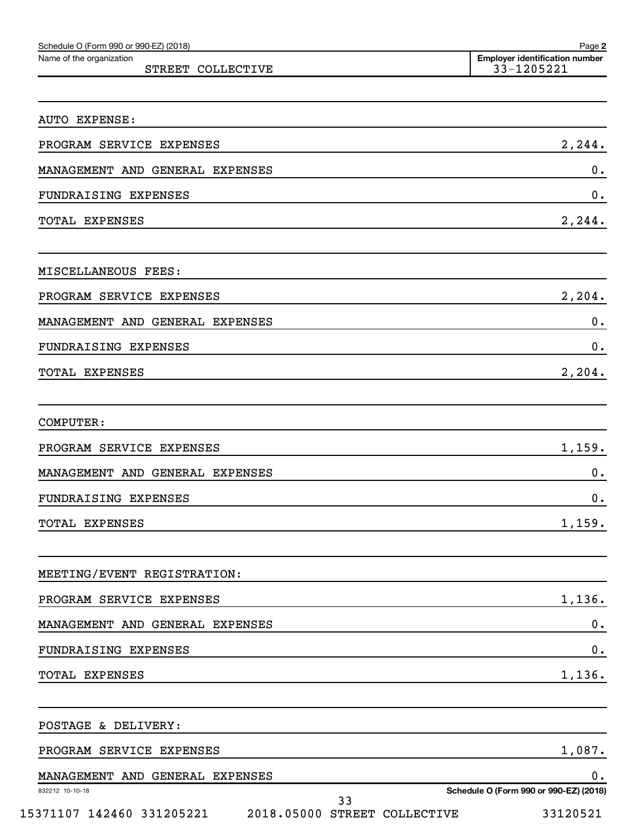| Schedule O (Form 990 or 990-EZ) (2018)                 | Page 2                                              |
|--------------------------------------------------------|-----------------------------------------------------|
| Name of the organization<br>STREET COLLECTIVE          | <b>Employer identification number</b><br>33-1205221 |
|                                                        |                                                     |
| AUTO EXPENSE:                                          |                                                     |
| PROGRAM SERVICE EXPENSES                               | 2, 244.                                             |
| MANAGEMENT AND GENERAL EXPENSES                        | 0.                                                  |
| FUNDRAISING EXPENSES                                   | 0.                                                  |
| TOTAL EXPENSES                                         | 2, 244.                                             |
| MISCELLANEOUS FEES:                                    |                                                     |
| PROGRAM SERVICE EXPENSES                               | 2, 204.                                             |
| MANAGEMENT AND GENERAL EXPENSES                        | 0.                                                  |
| FUNDRAISING EXPENSES                                   | 0.                                                  |
| TOTAL EXPENSES                                         | 2, 204.                                             |
| COMPUTER:                                              |                                                     |
| PROGRAM SERVICE EXPENSES                               | 1,159.                                              |
| MANAGEMENT AND GENERAL EXPENSES                        | 0.                                                  |
| FUNDRAISING EXPENSES                                   | 0.                                                  |
| TOTAL EXPENSES                                         | 1,159.                                              |
| MEETING/EVENT REGISTRATION:                            |                                                     |
| PROGRAM SERVICE EXPENSES                               | 1,136.                                              |
| MANAGEMENT AND GENERAL EXPENSES                        | 0.                                                  |
| FUNDRAISING EXPENSES                                   | 0.                                                  |
| TOTAL EXPENSES                                         | 1,136.                                              |
| POSTAGE & DELIVERY:                                    |                                                     |
| PROGRAM SERVICE EXPENSES                               | 1,087.                                              |
| MANAGEMENT AND GENERAL EXPENSES                        | 0.                                                  |
| 832212 10-10-18<br>33                                  | Schedule O (Form 990 or 990-EZ) (2018)              |
| 15371107 142460 331205221 2018.05000 STREET COLLECTIVE | 33120521                                            |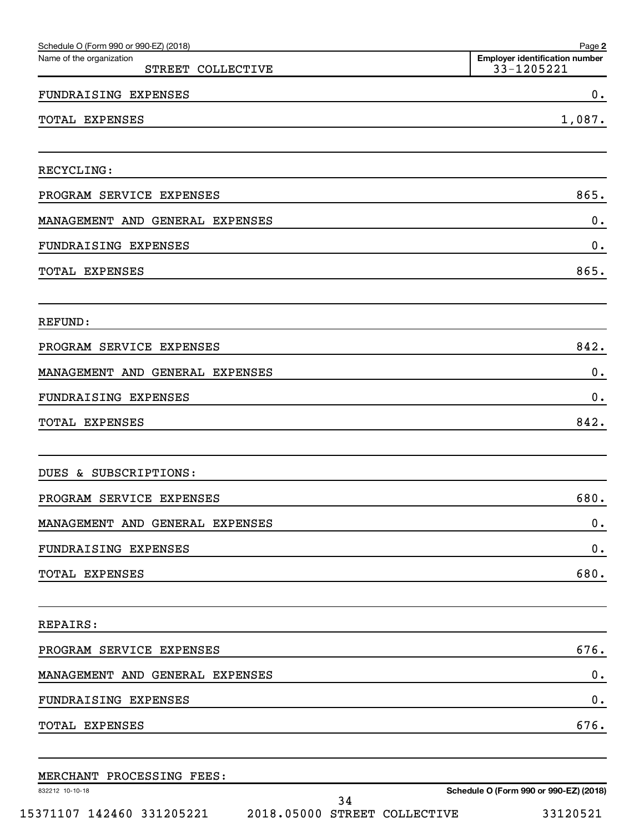| Schedule O (Form 990 or 990-EZ) (2018)                  | Page 2                                              |
|---------------------------------------------------------|-----------------------------------------------------|
| Name of the organization<br>COLLECTIVE<br><b>STREET</b> | <b>Employer identification number</b><br>33-1205221 |
| FUNDRAISING EXPENSES                                    | 0.                                                  |
| <b>TOTAL EXPENSES</b>                                   | 1,087.                                              |
|                                                         |                                                     |
| RECYCLING:                                              |                                                     |
| PROGRAM SERVICE EXPENSES                                | 865.                                                |
| <b>GENERAL</b><br>MANAGEMENT AND<br><b>EXPENSES</b>     | 0.                                                  |
| FUNDRAISING EXPENSES                                    | 0.                                                  |
| <b>TOTAL EXPENSES</b>                                   | 865.                                                |
| <b>REFUND:</b>                                          |                                                     |
| PROGRAM SERVICE EXPENSES                                | 842.                                                |
| MANAGEMENT AND GENERAL EXPENSES                         | 0.                                                  |
| FUNDRAISING EXPENSES                                    | 0.                                                  |
| <b>TOTAL EXPENSES</b>                                   | 842.                                                |
| & SUBSCRIPTIONS:<br><b>DUES</b>                         |                                                     |
| PROGRAM SERVICE EXPENSES                                | 680.                                                |
| MANAGEMENT AND GENERAL EXPENSES                         | 0.                                                  |
| FUNDRAISING EXPENSES                                    | 0.                                                  |
| TOTAL EXPENSES                                          | 680.                                                |
| REPAIRS:                                                |                                                     |
| PROGRAM SERVICE EXPENSES                                | 676.                                                |
| MANAGEMENT AND GENERAL EXPENSES                         | 0.                                                  |
| FUNDRAISING EXPENSES                                    | 0.                                                  |
| TOTAL EXPENSES                                          | 676.                                                |
| MERCHANT PROCESSING FEES:                               |                                                     |
| 832212 10-10-18<br>34                                   | Schedule O (Form 990 or 990-EZ) (2018)              |
| 371107 142460 331205221 2018 05000 STREET COLLECTIVE    | 33120521                                            |

| 000010 | 18 |  |  |
|--------|----|--|--|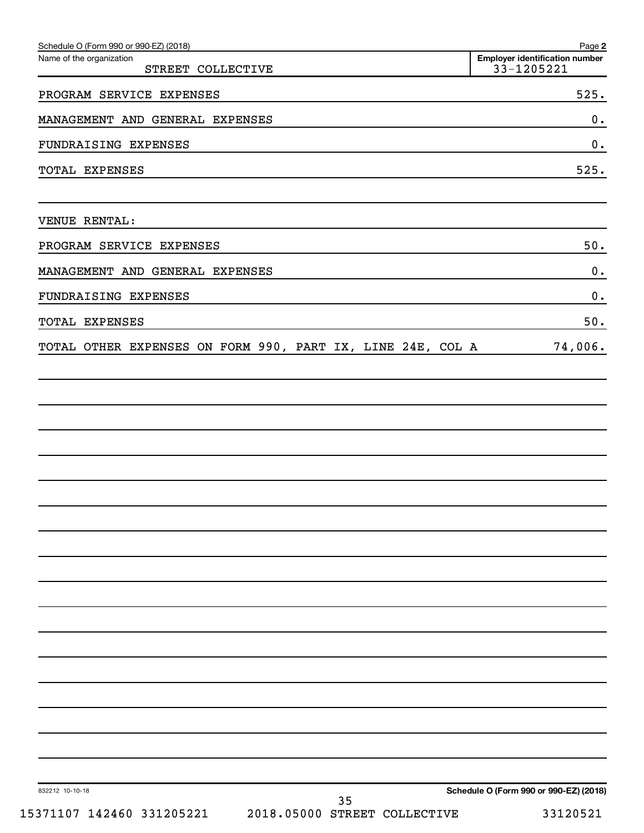| Schedule O (Form 990 or 990-EZ) (2018)                          | Page 2                                              |
|-----------------------------------------------------------------|-----------------------------------------------------|
| Name of the organization<br>STREET COLLECTIVE                   | <b>Employer identification number</b><br>33-1205221 |
| PROGRAM SERVICE EXPENSES                                        | 525.                                                |
| MANAGEMENT AND GENERAL EXPENSES                                 | 0.                                                  |
| FUNDRAISING EXPENSES                                            | 0.                                                  |
| TOTAL EXPENSES                                                  | 525.                                                |
| VENUE RENTAL:                                                   |                                                     |
| PROGRAM SERVICE EXPENSES                                        | 50.                                                 |
| MANAGEMENT AND GENERAL EXPENSES                                 | 0.                                                  |
| FUNDRAISING EXPENSES                                            | 0.                                                  |
| TOTAL EXPENSES                                                  | 50.                                                 |
| TOTAL OTHER EXPENSES ON FORM 990, PART IX, LINE 24E, COL A      | 74,006.                                             |
|                                                                 |                                                     |
| 832212 10-10-18                                                 | Schedule O (Form 990 or 990-EZ) (2018)              |
| 35<br>2018.05000 STREET COLLECTIVE<br>15371107 142460 331205221 | 33120521                                            |